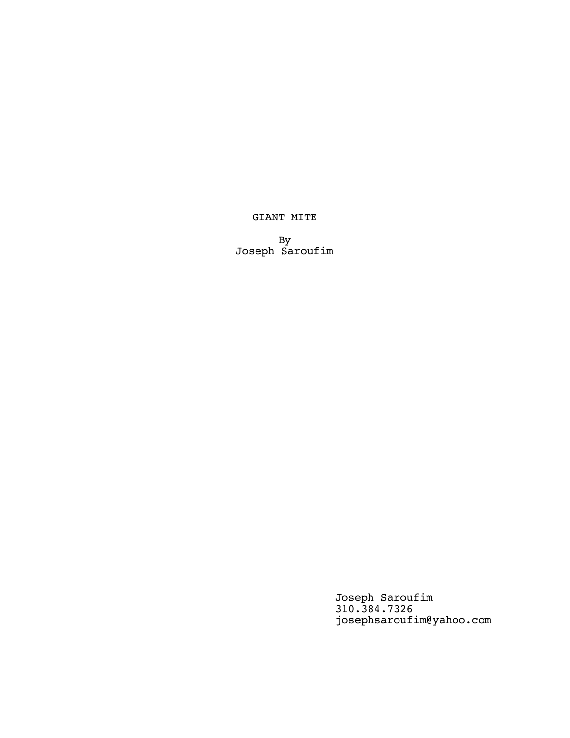# GIANT MITE

By Joseph Saroufim

> Joseph Saroufim 310.384.7326 josephsaroufim@yahoo.com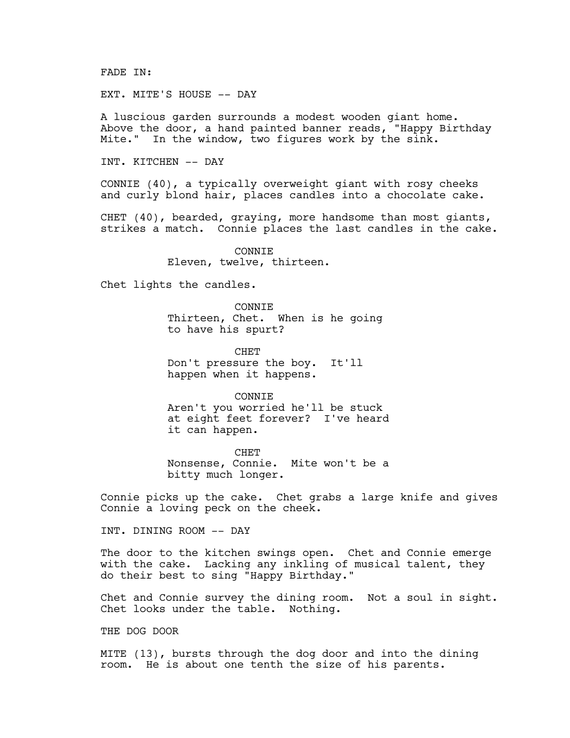FADE IN:

EXT. MITE'S HOUSE -- DAY

A luscious garden surrounds a modest wooden giant home. Above the door, a hand painted banner reads, "Happy Birthday Mite." In the window, two figures work by the sink.

INT. KITCHEN -- DAY

CONNIE (40), a typically overweight giant with rosy cheeks and curly blond hair, places candles into a chocolate cake.

CHET (40), bearded, graying, more handsome than most giants, strikes a match. Connie places the last candles in the cake.

> CONNIE Eleven, twelve, thirteen.

Chet lights the candles.

CONNIE Thirteen, Chet. When is he going to have his spurt?

**CHET** Don't pressure the boy. It'll happen when it happens.

CONNIE Aren't you worried he'll be stuck at eight feet forever? I've heard it can happen.

CHET Nonsense, Connie. Mite won't be a bitty much longer.

Connie picks up the cake. Chet grabs a large knife and gives Connie a loving peck on the cheek.

INT. DINING ROOM -- DAY

The door to the kitchen swings open. Chet and Connie emerge with the cake. Lacking any inkling of musical talent, they do their best to sing "Happy Birthday."

Chet and Connie survey the dining room. Not a soul in sight. Chet looks under the table. Nothing.

THE DOG DOOR

MITE (13), bursts through the dog door and into the dining room. He is about one tenth the size of his parents.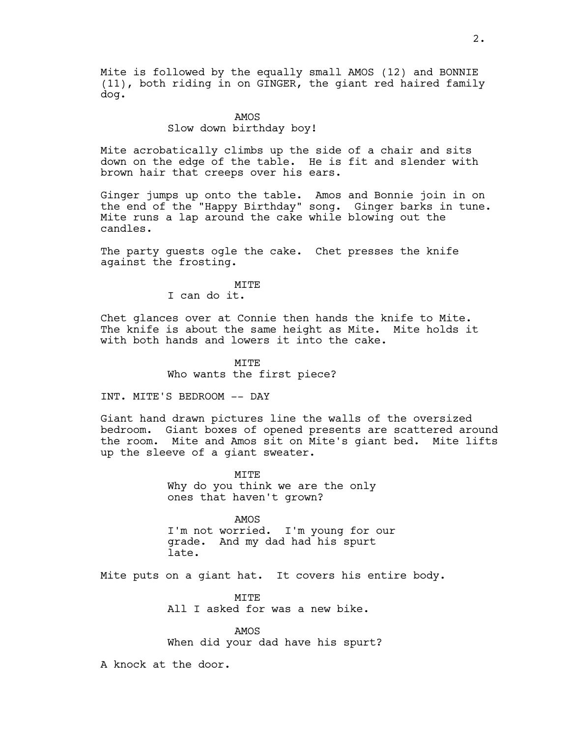Mite is followed by the equally small AMOS (12) and BONNIE (11), both riding in on GINGER, the giant red haired family dog.

# AMOS

# Slow down birthday boy!

Mite acrobatically climbs up the side of a chair and sits down on the edge of the table. He is fit and slender with brown hair that creeps over his ears.

Ginger jumps up onto the table. Amos and Bonnie join in on the end of the "Happy Birthday" song. Ginger barks in tune. Mite runs a lap around the cake while blowing out the candles.

The party guests ogle the cake. Chet presses the knife against the frosting.

### **MTTE**

I can do it.

Chet glances over at Connie then hands the knife to Mite. The knife is about the same height as Mite. Mite holds it with both hands and lowers it into the cake.

# **MTTE** Who wants the first piece?

INT. MITE'S BEDROOM -- DAY

Giant hand drawn pictures line the walls of the oversized bedroom. Giant boxes of opened presents are scattered around the room. Mite and Amos sit on Mite's giant bed. Mite lifts up the sleeve of a giant sweater.

> MITE Why do you think we are the only ones that haven't grown?

AMOS I'm not worried. I'm young for our grade. And my dad had his spurt late.

Mite puts on a giant hat. It covers his entire body.

MTTF. All I asked for was a new bike.

AMOS When did your dad have his spurt?

A knock at the door.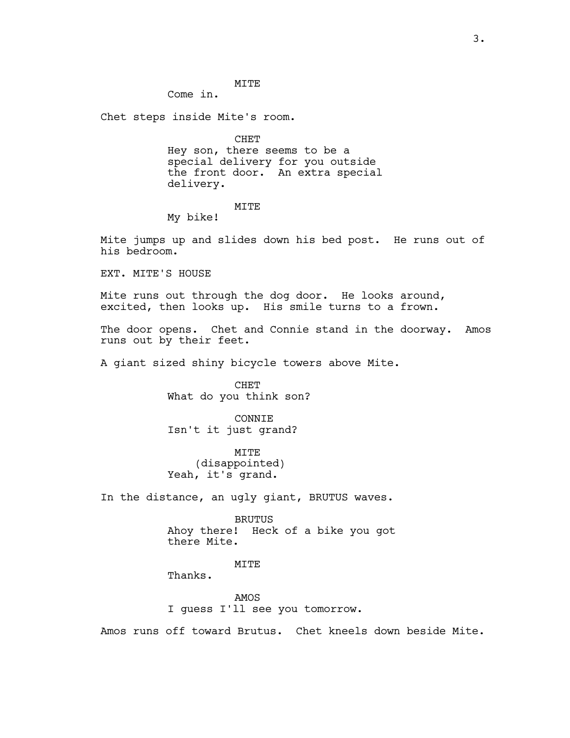### MITE

Come in.

Chet steps inside Mite's room.

CHET Hey son, there seems to be a special delivery for you outside the front door. An extra special delivery.

# MITE

My bike!

Mite jumps up and slides down his bed post. He runs out of his bedroom.

EXT. MITE'S HOUSE

Mite runs out through the dog door. He looks around, excited, then looks up. His smile turns to a frown.

The door opens. Chet and Connie stand in the doorway. Amos runs out by their feet.

A giant sized shiny bicycle towers above Mite.

CHET What do you think son?

CONNIE Isn't it just grand?

MITE (disappointed) Yeah, it's grand.

In the distance, an ugly giant, BRUTUS waves.

BRUTUS Ahoy there! Heck of a bike you got there Mite.

**MTTR** 

Thanks.

AMOS I guess I'll see you tomorrow.

Amos runs off toward Brutus. Chet kneels down beside Mite.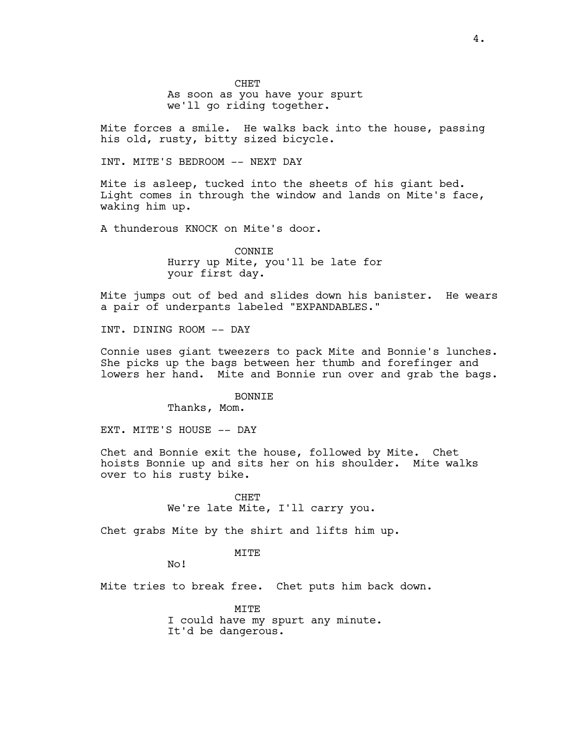CHET As soon as you have your spurt we'll go riding together.

Mite forces a smile. He walks back into the house, passing his old, rusty, bitty sized bicycle.

INT. MITE'S BEDROOM -- NEXT DAY

Mite is asleep, tucked into the sheets of his giant bed. Light comes in through the window and lands on Mite's face, waking him up.

A thunderous KNOCK on Mite's door.

CONNIE Hurry up Mite, you'll be late for your first day.

Mite jumps out of bed and slides down his banister. He wears a pair of underpants labeled "EXPANDABLES."

INT. DINING ROOM -- DAY

Connie uses giant tweezers to pack Mite and Bonnie's lunches. She picks up the bags between her thumb and forefinger and lowers her hand. Mite and Bonnie run over and grab the bags.

**BONNTE** 

Thanks, Mom.

EXT. MITE'S HOUSE -- DAY

Chet and Bonnie exit the house, followed by Mite. Chet hoists Bonnie up and sits her on his shoulder. Mite walks over to his rusty bike.

> CHET We're late Mite, I'll carry you.

Chet grabs Mite by the shirt and lifts him up.

MITE

No!

Mite tries to break free. Chet puts him back down.

MITE I could have my spurt any minute. It'd be dangerous.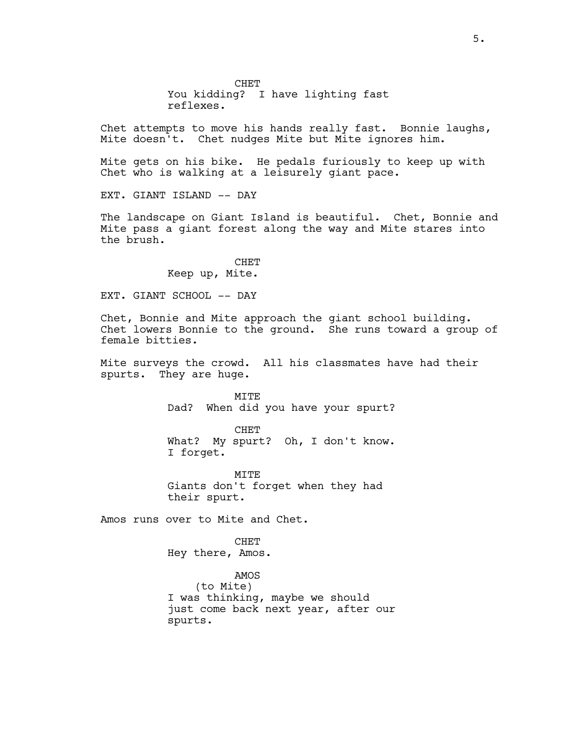CHET You kidding? I have lighting fast reflexes.

Chet attempts to move his hands really fast. Bonnie laughs, Mite doesn't. Chet nudges Mite but Mite ignores him.

Mite gets on his bike. He pedals furiously to keep up with Chet who is walking at a leisurely giant pace.

EXT. GIANT ISLAND -- DAY

The landscape on Giant Island is beautiful. Chet, Bonnie and Mite pass a giant forest along the way and Mite stares into the brush.

> CHET Keep up, Mite.

EXT. GIANT SCHOOL -- DAY

Chet, Bonnie and Mite approach the giant school building. Chet lowers Bonnie to the ground. She runs toward a group of female bitties.

Mite surveys the crowd. All his classmates have had their spurts. They are huge.

> MITE Dad? When did you have your spurt?

> CHET What? My spurt? Oh, I don't know. I forget.

MTTF. Giants don't forget when they had their spurt.

Amos runs over to Mite and Chet.

**CHET** Hey there, Amos.

AMOS (to Mite) I was thinking, maybe we should just come back next year, after our spurts.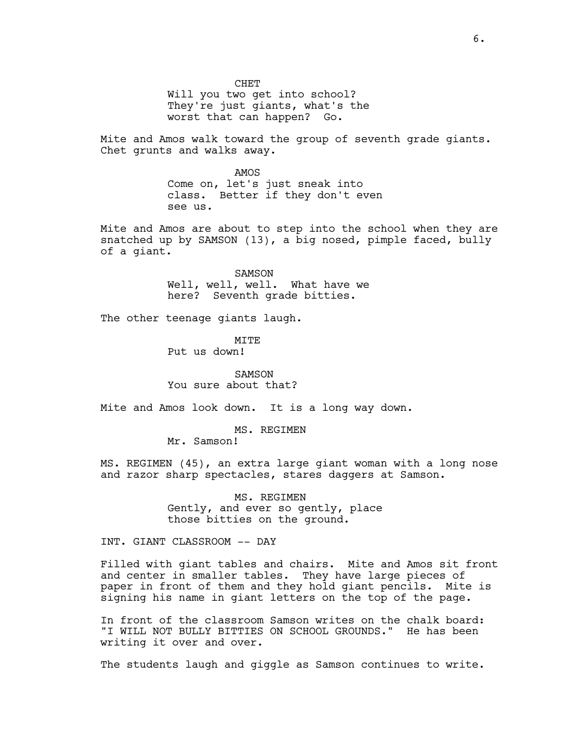CHET Will you two get into school? They're just giants, what's the worst that can happen? Go.

Mite and Amos walk toward the group of seventh grade giants. Chet grunts and walks away.

> AMOS Come on, let's just sneak into class. Better if they don't even see us.

Mite and Amos are about to step into the school when they are snatched up by SAMSON (13), a big nosed, pimple faced, bully of a giant.

> SAMSON Well, well, well. What have we here? Seventh grade bitties.

The other teenage giants laugh.

**MTTE** Put us down!

SAMSON You sure about that?

Mite and Amos look down. It is a long way down.

MS. REGIMEN

Mr. Samson!

MS. REGIMEN (45), an extra large giant woman with a long nose and razor sharp spectacles, stares daggers at Samson.

> MS. REGIMEN Gently, and ever so gently, place those bitties on the ground.

INT. GIANT CLASSROOM -- DAY

Filled with giant tables and chairs. Mite and Amos sit front and center in smaller tables. They have large pieces of paper in front of them and they hold giant pencils. Mite is signing his name in giant letters on the top of the page.

In front of the classroom Samson writes on the chalk board: "I WILL NOT BULLY BITTIES ON SCHOOL GROUNDS." He has been writing it over and over.

The students laugh and giggle as Samson continues to write.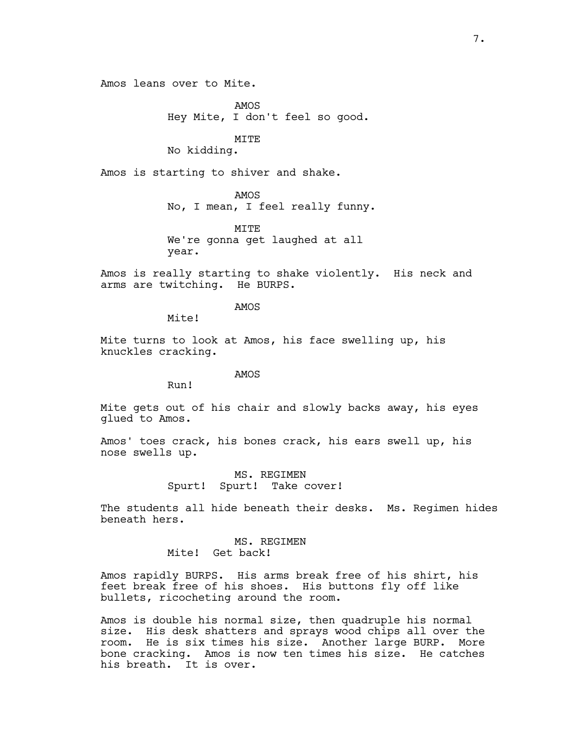Amos leans over to Mite.

AMOS Hey Mite, I don't feel so good.

MITE

No kidding.

Amos is starting to shiver and shake.

AMOS

No, I mean, I feel really funny.

MITE We're gonna get laughed at all year.

Amos is really starting to shake violently. His neck and arms are twitching. He BURPS.

AMOS

Mite!

Mite turns to look at Amos, his face swelling up, his knuckles cracking.

## AMOS

Run!

Mite gets out of his chair and slowly backs away, his eyes glued to Amos.

Amos' toes crack, his bones crack, his ears swell up, his nose swells up.

> MS. REGIMEN Spurt! Spurt! Take cover!

The students all hide beneath their desks. Ms. Regimen hides beneath hers.

> MS. REGIMEN Mite! Get back!

Amos rapidly BURPS. His arms break free of his shirt, his feet break free of his shoes. His buttons fly off like bullets, ricocheting around the room.

Amos is double his normal size, then quadruple his normal size. His desk shatters and sprays wood chips all over the room. He is six times his size. Another large BURP. More bone cracking. Amos is now ten times his size. He catches his breath. It is over.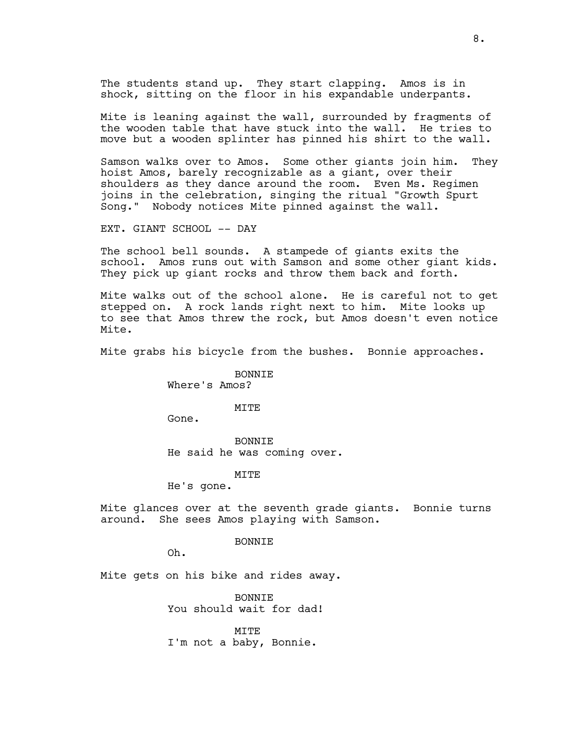The students stand up. They start clapping. Amos is in shock, sitting on the floor in his expandable underpants.

Mite is leaning against the wall, surrounded by fragments of the wooden table that have stuck into the wall. He tries to move but a wooden splinter has pinned his shirt to the wall.

Samson walks over to Amos. Some other giants join him. They hoist Amos, barely recognizable as a giant, over their shoulders as they dance around the room. Even Ms. Regimen joins in the celebration, singing the ritual "Growth Spurt Song." Nobody notices Mite pinned against the wall.

EXT. GIANT SCHOOL -- DAY

The school bell sounds. A stampede of giants exits the school. Amos runs out with Samson and some other giant kids. They pick up giant rocks and throw them back and forth.

Mite walks out of the school alone. He is careful not to get stepped on. A rock lands right next to him. Mite looks up to see that Amos threw the rock, but Amos doesn't even notice Mite.

Mite grabs his bicycle from the bushes. Bonnie approaches.

BONNIE Where's Amos?

#### MITE

Gone.

BONNIE He said he was coming over.

MITE

He's gone.

Mite glances over at the seventh grade giants. Bonnie turns around. She sees Amos playing with Samson.

**BONNTE** 

Oh.

Mite gets on his bike and rides away.

BONNIE You should wait for dad!

MITE I'm not a baby, Bonnie.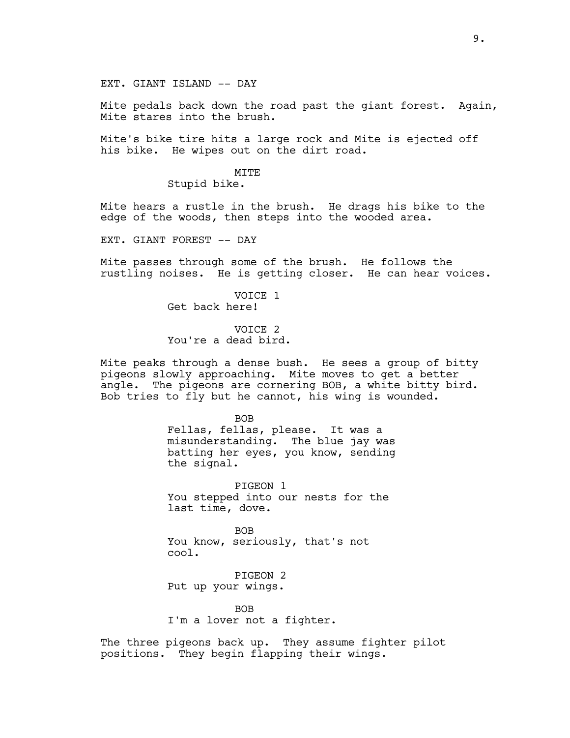### EXT. GIANT ISLAND -- DAY

Mite pedals back down the road past the giant forest. Again, Mite stares into the brush.

Mite's bike tire hits a large rock and Mite is ejected off his bike. He wipes out on the dirt road.

#### MITE

Stupid bike.

Mite hears a rustle in the brush. He drags his bike to the edge of the woods, then steps into the wooded area.

EXT. GIANT FOREST -- DAY

Mite passes through some of the brush. He follows the rustling noises. He is getting closer. He can hear voices.

> VOICE 1 Get back here!

VOICE 2 You're a dead bird.

Mite peaks through a dense bush. He sees a group of bitty pigeons slowly approaching. Mite moves to get a better angle. The pigeons are cornering BOB, a white bitty bird. Bob tries to fly but he cannot, his wing is wounded.

> BOB Fellas, fellas, please. It was a misunderstanding. The blue jay was batting her eyes, you know, sending the signal.

PIGEON 1 You stepped into our nests for the last time, dove.

BOB You know, seriously, that's not cool.

PIGEON 2 Put up your wings.

**BOB** I'm a lover not a fighter.

The three pigeons back up. They assume fighter pilot positions. They begin flapping their wings.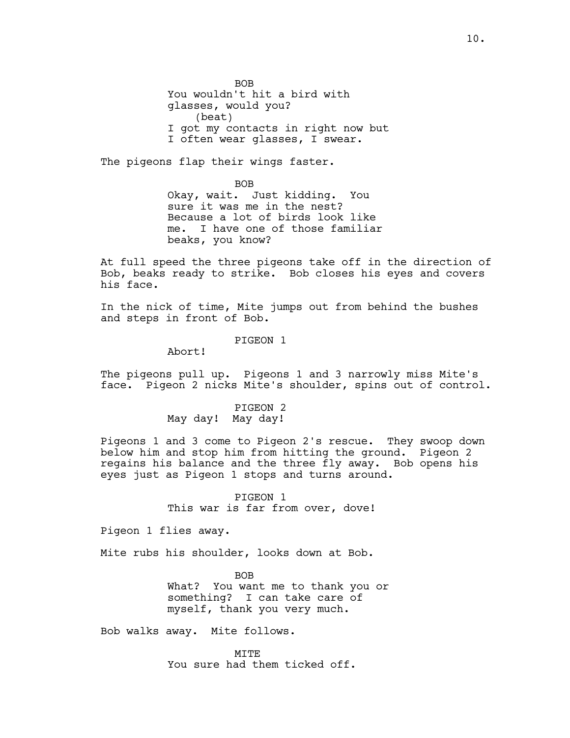BOB You wouldn't hit a bird with glasses, would you? (beat) I got my contacts in right now but I often wear glasses, I swear.

The pigeons flap their wings faster.

BOB Okay, wait. Just kidding. You sure it was me in the nest? Because a lot of birds look like me. I have one of those familiar beaks, you know?

At full speed the three pigeons take off in the direction of Bob, beaks ready to strike. Bob closes his eyes and covers his face.

In the nick of time, Mite jumps out from behind the bushes and steps in front of Bob.

PIGEON 1

Abort!

The pigeons pull up. Pigeons 1 and 3 narrowly miss Mite's face. Pigeon 2 nicks Mite's shoulder, spins out of control.

> PIGEON 2 May day! May day!

Pigeons 1 and 3 come to Pigeon 2's rescue. They swoop down below him and stop him from hitting the ground. Pigeon 2 regains his balance and the three fly away. Bob opens his eyes just as Pigeon 1 stops and turns around.

> PIGEON 1 This war is far from over, dove!

Pigeon 1 flies away.

Mite rubs his shoulder, looks down at Bob.

BOB What? You want me to thank you or something? I can take care of myself, thank you very much.

Bob walks away. Mite follows.

MITE You sure had them ticked off.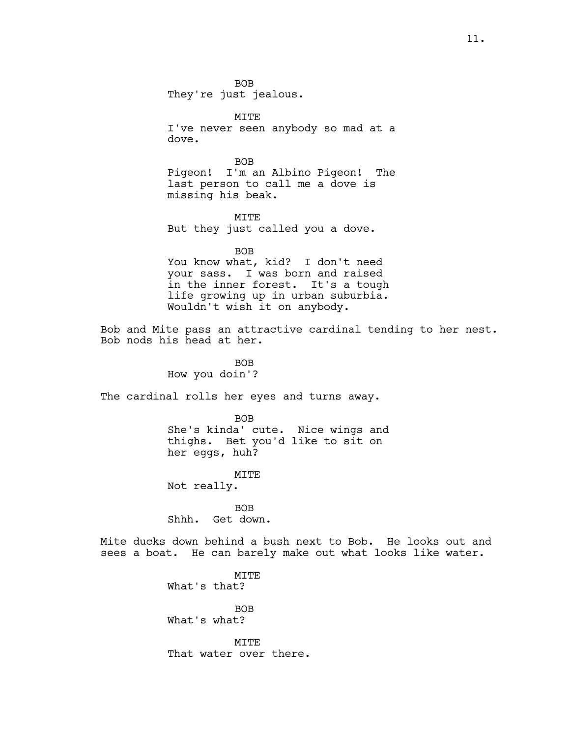BOB They're just jealous.

MITE I've never seen anybody so mad at a dove.

BOB Pigeon! I'm an Albino Pigeon! The last person to call me a dove is missing his beak.

**MTTE** But they just called you a dove.

BOB You know what, kid? I don't need your sass. I was born and raised in the inner forest. It's a tough life growing up in urban suburbia. Wouldn't wish it on anybody.

Bob and Mite pass an attractive cardinal tending to her nest. Bob nods his head at her.

> BOB How you doin'?

The cardinal rolls her eyes and turns away.

BOB She's kinda' cute. Nice wings and thighs. Bet you'd like to sit on her eggs, huh?

MITE

Not really.

BOB Shhh. Get down.

Mite ducks down behind a bush next to Bob. He looks out and sees a boat. He can barely make out what looks like water.

> MITE What's that?

BOB What's what?

MITE That water over there.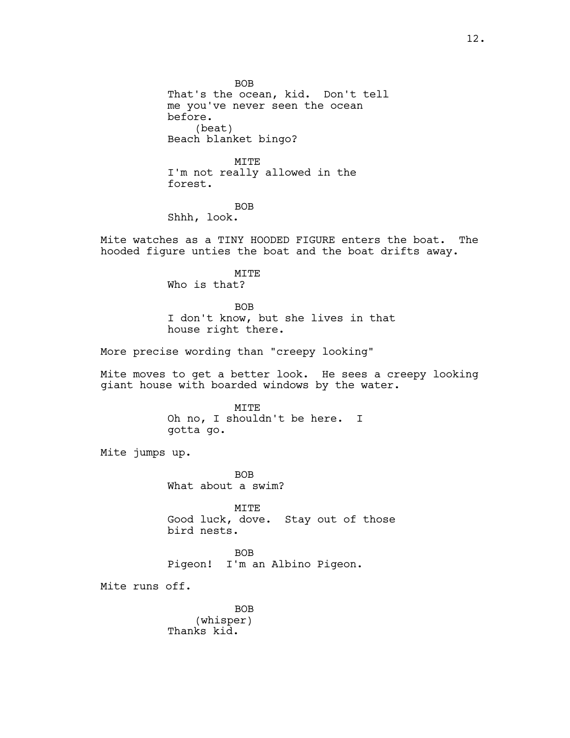BOB That's the ocean, kid. Don't tell me you've never seen the ocean before. (beat) Beach blanket bingo?

MITE I'm not really allowed in the forest.

BOB Shhh, look.

Mite watches as a TINY HOODED FIGURE enters the boat. The hooded figure unties the boat and the boat drifts away.

MITE

Who is that?

BOB I don't know, but she lives in that house right there.

More precise wording than "creepy looking"

Mite moves to get a better look. He sees a creepy looking giant house with boarded windows by the water.

> MITE Oh no, I shouldn't be here. I gotta go.

Mite jumps up.

BOB What about a swim?

MITE Good luck, dove. Stay out of those bird nests.

BOB Pigeon! I'm an Albino Pigeon.

Mite runs off.

BOB (whisper) Thanks kid.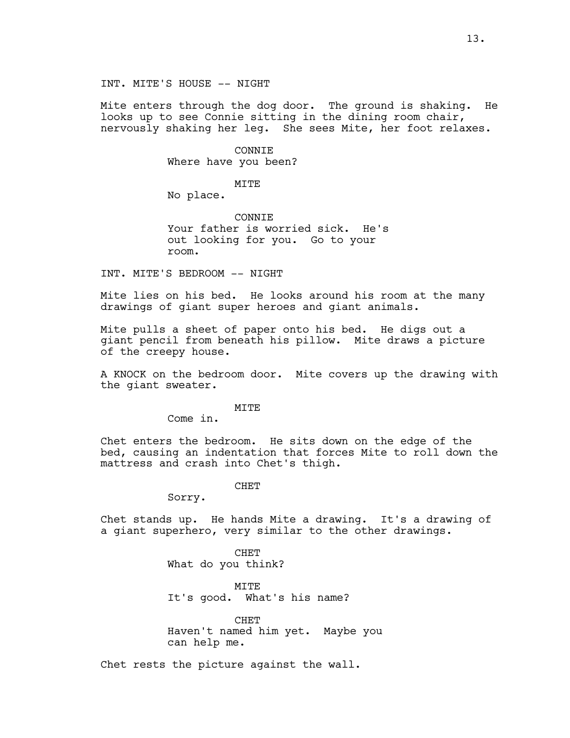Mite enters through the dog door. The ground is shaking. He looks up to see Connie sitting in the dining room chair, nervously shaking her leg. She sees Mite, her foot relaxes.

> CONNIE Where have you been?

> > MITE

No place.

**CONNTE** Your father is worried sick. He's out looking for you. Go to your room.

INT. MITE'S BEDROOM -- NIGHT

Mite lies on his bed. He looks around his room at the many drawings of giant super heroes and giant animals.

Mite pulls a sheet of paper onto his bed. He digs out a giant pencil from beneath his pillow. Mite draws a picture of the creepy house.

A KNOCK on the bedroom door. Mite covers up the drawing with the giant sweater.

MITE

Come in.

Chet enters the bedroom. He sits down on the edge of the bed, causing an indentation that forces Mite to roll down the mattress and crash into Chet's thigh.

CHET

Sorry.

Chet stands up. He hands Mite a drawing. It's a drawing of a giant superhero, very similar to the other drawings.

> CHET What do you think?

MITE It's good. What's his name?

CHET Haven't named him yet. Maybe you can help me.

Chet rests the picture against the wall.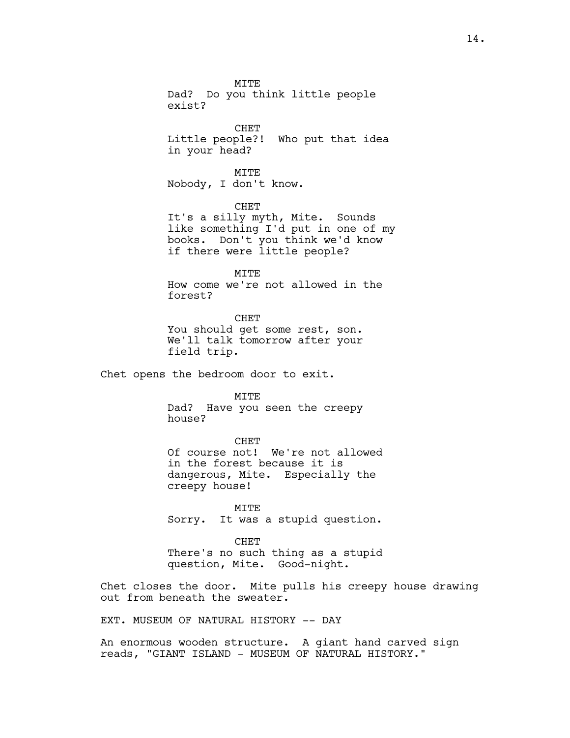MITE Dad? Do you think little people exist?

CHET Little people?! Who put that idea in your head?

MITE Nobody, I don't know.

CHET It's a silly myth, Mite. Sounds like something I'd put in one of my books. Don't you think we'd know if there were little people?

MITE How come we're not allowed in the forest?

CHET You should get some rest, son. We'll talk tomorrow after your field trip.

Chet opens the bedroom door to exit.

**MTTE** 

Dad? Have you seen the creepy house?

CHET Of course not! We're not allowed in the forest because it is dangerous, Mite. Especially the creepy house!

MITE Sorry. It was a stupid question.

CHET There's no such thing as a stupid question, Mite. Good-night.

Chet closes the door. Mite pulls his creepy house drawing out from beneath the sweater.

EXT. MUSEUM OF NATURAL HISTORY -- DAY

An enormous wooden structure. A giant hand carved sign reads, "GIANT ISLAND - MUSEUM OF NATURAL HISTORY."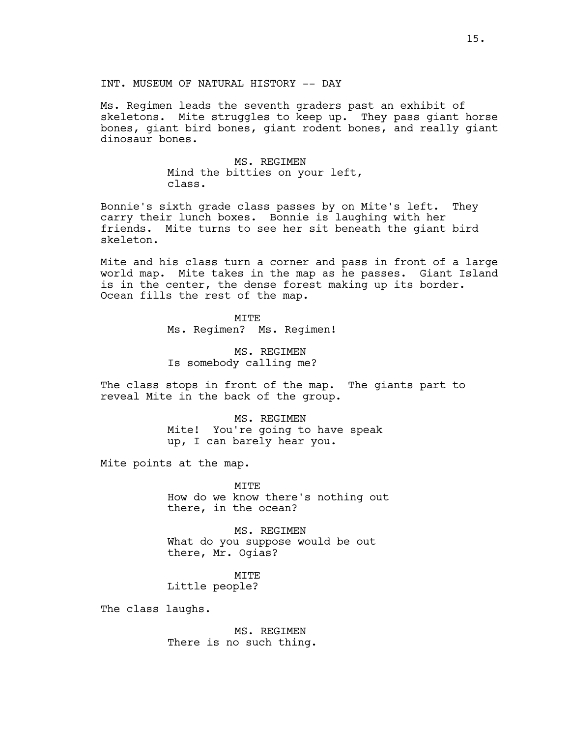Ms. Regimen leads the seventh graders past an exhibit of skeletons. Mite struggles to keep up. They pass giant horse bones, giant bird bones, giant rodent bones, and really giant dinosaur bones.

> MS. REGIMEN Mind the bitties on your left, class.

Bonnie's sixth grade class passes by on Mite's left. They carry their lunch boxes. Bonnie is laughing with her friends. Mite turns to see her sit beneath the giant bird skeleton.

Mite and his class turn a corner and pass in front of a large world map. Mite takes in the map as he passes. Giant Island is in the center, the dense forest making up its border. Ocean fills the rest of the map.

> MITE Ms. Regimen? Ms. Regimen!

MS. REGIMEN Is somebody calling me?

The class stops in front of the map. The giants part to reveal Mite in the back of the group.

> MS. REGIMEN Mite! You're going to have speak up, I can barely hear you.

Mite points at the map.

MITE How do we know there's nothing out there, in the ocean?

MS. REGIMEN What do you suppose would be out there, Mr. Ogias?

MITE Little people?

The class laughs.

MS. REGIMEN There is no such thing.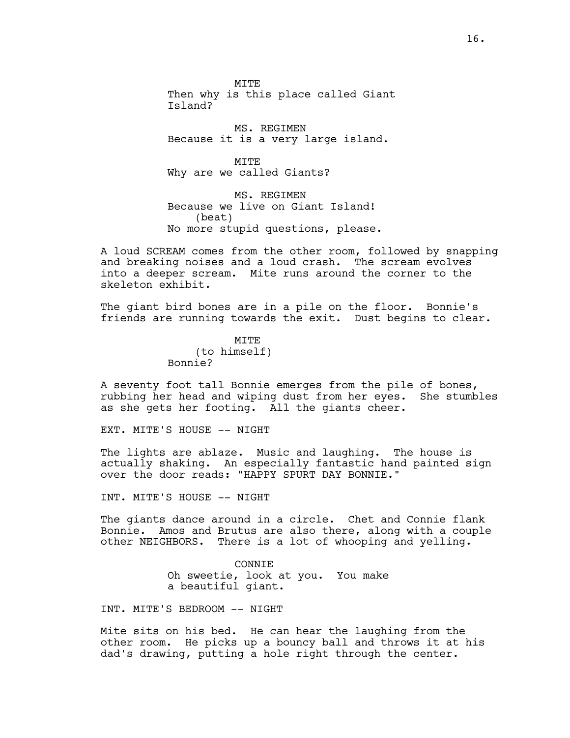MITE Then why is this place called Giant Island?

MS. REGIMEN Because it is a very large island.

**MTTE** Why are we called Giants?

MS. REGIMEN Because we live on Giant Island! (beat) No more stupid questions, please.

A loud SCREAM comes from the other room, followed by snapping and breaking noises and a loud crash. The scream evolves into a deeper scream. Mite runs around the corner to the skeleton exhibit.

The giant bird bones are in a pile on the floor. Bonnie's friends are running towards the exit. Dust begins to clear.

> **MTTE** (to himself) Bonnie?

A seventy foot tall Bonnie emerges from the pile of bones, rubbing her head and wiping dust from her eyes. She stumbles as she gets her footing. All the giants cheer.

EXT. MITE'S HOUSE -- NIGHT

The lights are ablaze. Music and laughing. The house is actually shaking. An especially fantastic hand painted sign over the door reads: "HAPPY SPURT DAY BONNIE."

INT. MITE'S HOUSE -- NIGHT

The giants dance around in a circle. Chet and Connie flank Bonnie. Amos and Brutus are also there, along with a couple other NEIGHBORS. There is a lot of whooping and yelling.

> **CONNTE** Oh sweetie, look at you. You make a beautiful giant.

INT. MITE'S BEDROOM -- NIGHT

Mite sits on his bed. He can hear the laughing from the other room. He picks up a bouncy ball and throws it at his dad's drawing, putting a hole right through the center.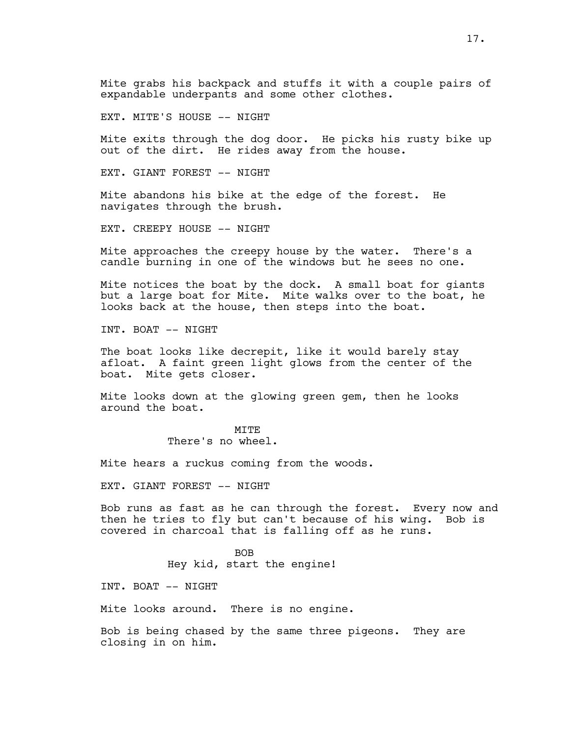Mite grabs his backpack and stuffs it with a couple pairs of expandable underpants and some other clothes.

EXT. MITE'S HOUSE -- NIGHT

Mite exits through the dog door. He picks his rusty bike up out of the dirt. He rides away from the house.

EXT. GIANT FOREST -- NIGHT

Mite abandons his bike at the edge of the forest. He navigates through the brush.

EXT. CREEPY HOUSE -- NIGHT

Mite approaches the creepy house by the water. There's a candle burning in one of the windows but he sees no one.

Mite notices the boat by the dock. A small boat for giants but a large boat for Mite. Mite walks over to the boat, he looks back at the house, then steps into the boat.

INT. BOAT -- NIGHT

The boat looks like decrepit, like it would barely stay afloat. A faint green light glows from the center of the boat. Mite gets closer.

Mite looks down at the glowing green gem, then he looks around the boat.

> **MTTE** There's no wheel.

Mite hears a ruckus coming from the woods.

EXT. GIANT FOREST -- NIGHT

Bob runs as fast as he can through the forest. Every now and then he tries to fly but can't because of his wing. Bob is covered in charcoal that is falling off as he runs.

> BOB Hey kid, start the engine!

INT. BOAT -- NIGHT

Mite looks around. There is no engine.

Bob is being chased by the same three pigeons. They are closing in on him.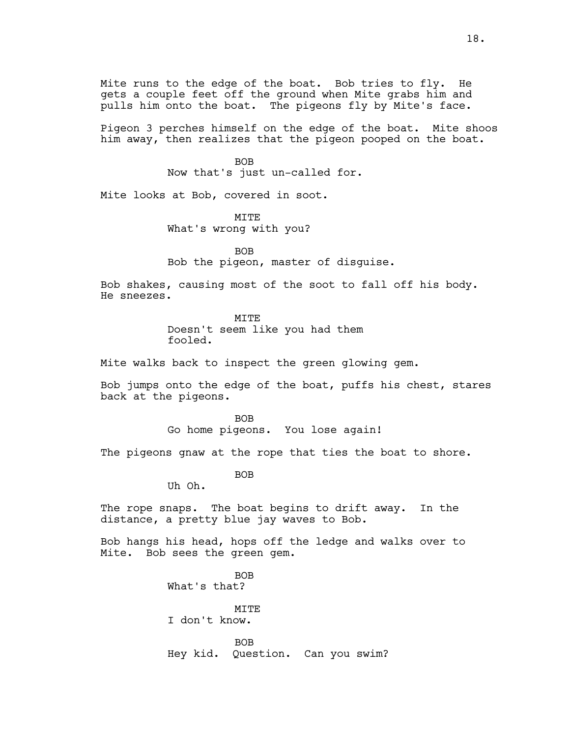Mite runs to the edge of the boat. Bob tries to fly. He gets a couple feet off the ground when Mite grabs him and pulls him onto the boat. The pigeons fly by Mite's face.

Pigeon 3 perches himself on the edge of the boat. Mite shoos him away, then realizes that the pigeon pooped on the boat.

> BOB Now that's just un-called for.

Mite looks at Bob, covered in soot.

**MTTE** What's wrong with you?

BOB Bob the pigeon, master of disguise.

Bob shakes, causing most of the soot to fall off his body. He sneezes.

> **MTTE** Doesn't seem like you had them fooled.

Mite walks back to inspect the green glowing gem.

Bob jumps onto the edge of the boat, puffs his chest, stares back at the pigeons.

> BOB Go home pigeons. You lose again!

The pigeons gnaw at the rope that ties the boat to shore.

BOB

Uh Oh.

The rope snaps. The boat begins to drift away. In the distance, a pretty blue jay waves to Bob.

Bob hangs his head, hops off the ledge and walks over to Mite. Bob sees the green gem.

> BOB What's that? **MTTE** I don't know. BOB Hey kid. Question. Can you swim?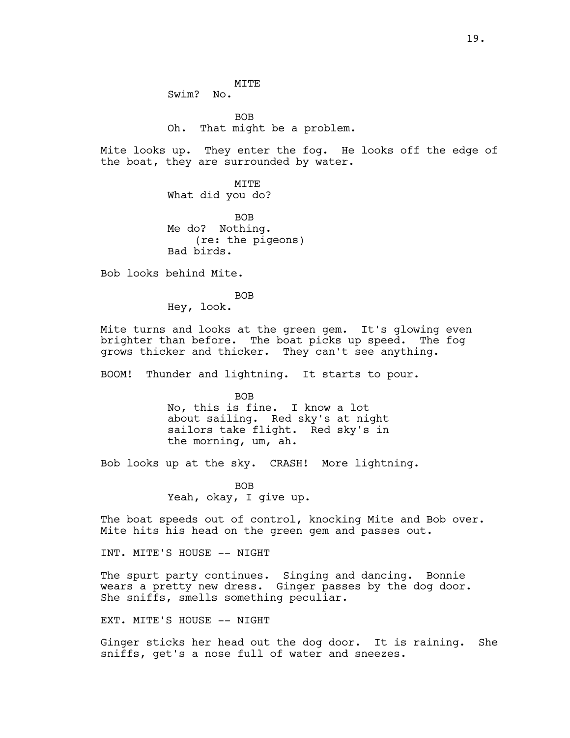MITE Swim? No.

BOB Oh. That might be a problem.

Mite looks up. They enter the fog. He looks off the edge of the boat, they are surrounded by water.

> MITE What did you do?

BOB Me do? Nothing. (re: the pigeons) Bad birds.

Bob looks behind Mite.

BOB

Hey, look.

Mite turns and looks at the green gem. It's glowing even brighter than before. The boat picks up speed. The fog grows thicker and thicker. They can't see anything.

BOOM! Thunder and lightning. It starts to pour.

BOB No, this is fine. I know a lot about sailing. Red sky's at night sailors take flight. Red sky's in the morning, um, ah.

Bob looks up at the sky. CRASH! More lightning.

BOB Yeah, okay, I give up.

The boat speeds out of control, knocking Mite and Bob over. Mite hits his head on the green gem and passes out.

INT. MITE'S HOUSE -- NIGHT

The spurt party continues. Singing and dancing. Bonnie wears a pretty new dress. Ginger passes by the dog door. She sniffs, smells something peculiar.

EXT. MITE'S HOUSE -- NIGHT

Ginger sticks her head out the dog door. It is raining. She sniffs, get's a nose full of water and sneezes.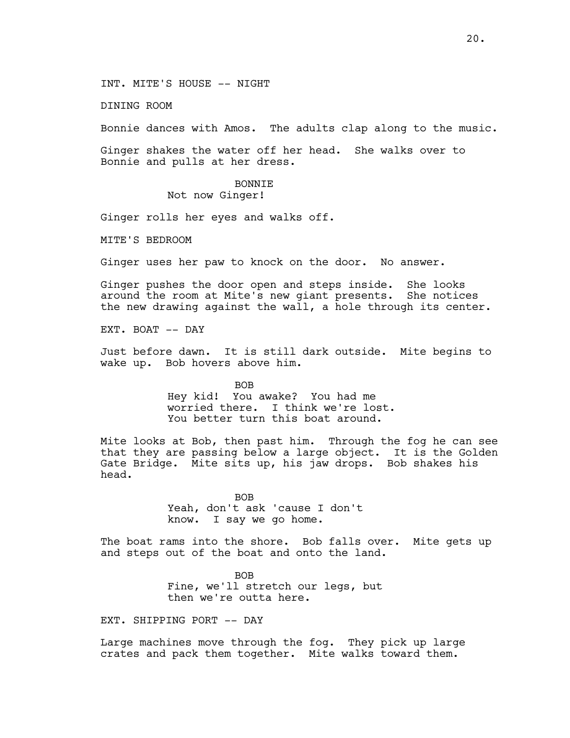INT. MITE'S HOUSE -- NIGHT

DINING ROOM

Bonnie dances with Amos. The adults clap along to the music.

Ginger shakes the water off her head. She walks over to Bonnie and pulls at her dress.

> BONNIE Not now Ginger!

Ginger rolls her eyes and walks off.

MITE'S BEDROOM

Ginger uses her paw to knock on the door. No answer.

Ginger pushes the door open and steps inside. She looks around the room at Mite's new giant presents. She notices the new drawing against the wall, a hole through its center.

EXT. BOAT -- DAY

Just before dawn. It is still dark outside. Mite begins to wake up. Bob hovers above him.

> BOB Hey kid! You awake? You had me worried there. I think we're lost. You better turn this boat around.

Mite looks at Bob, then past him. Through the fog he can see that they are passing below a large object. It is the Golden Gate Bridge. Mite sits up, his jaw drops. Bob shakes his head.

> BOB Yeah, don't ask 'cause I don't know. I say we go home.

The boat rams into the shore. Bob falls over. Mite gets up and steps out of the boat and onto the land.

> BOB Fine, we'll stretch our legs, but then we're outta here.

EXT. SHIPPING PORT -- DAY

Large machines move through the fog. They pick up large crates and pack them together. Mite walks toward them.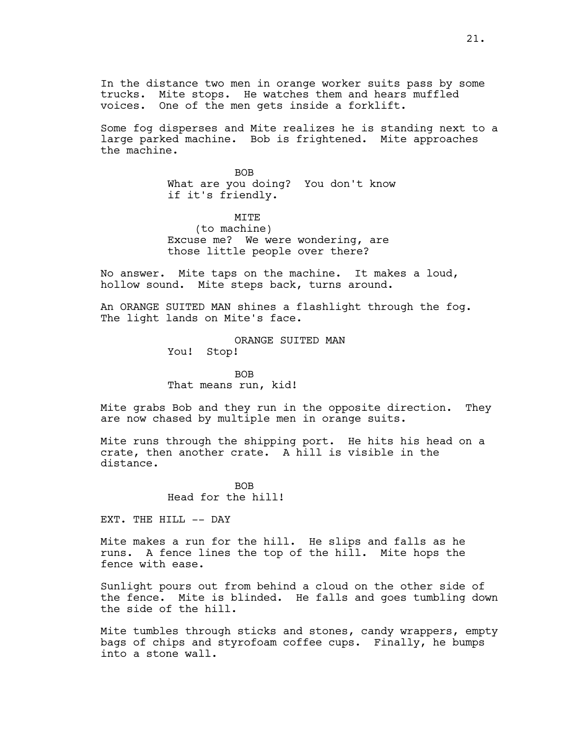In the distance two men in orange worker suits pass by some trucks. Mite stops. He watches them and hears muffled voices. One of the men gets inside a forklift.

Some fog disperses and Mite realizes he is standing next to a large parked machine. Bob is frightened. Mite approaches the machine.

> BOB What are you doing? You don't know if it's friendly.

MITE (to machine) Excuse me? We were wondering, are those little people over there?

No answer. Mite taps on the machine. It makes a loud, hollow sound. Mite steps back, turns around.

An ORANGE SUITED MAN shines a flashlight through the fog. The light lands on Mite's face.

> ORANGE SUITED MAN You! Stop!

BOB That means run, kid!

Mite grabs Bob and they run in the opposite direction. They are now chased by multiple men in orange suits.

Mite runs through the shipping port. He hits his head on a crate, then another crate. A hill is visible in the distance.

> **BOB** Head for the hill!

EXT. THE HILL -- DAY

Mite makes a run for the hill. He slips and falls as he runs. A fence lines the top of the hill. Mite hops the fence with ease.

Sunlight pours out from behind a cloud on the other side of the fence. Mite is blinded. He falls and goes tumbling down the side of the hill.

Mite tumbles through sticks and stones, candy wrappers, empty bags of chips and styrofoam coffee cups. Finally, he bumps into a stone wall.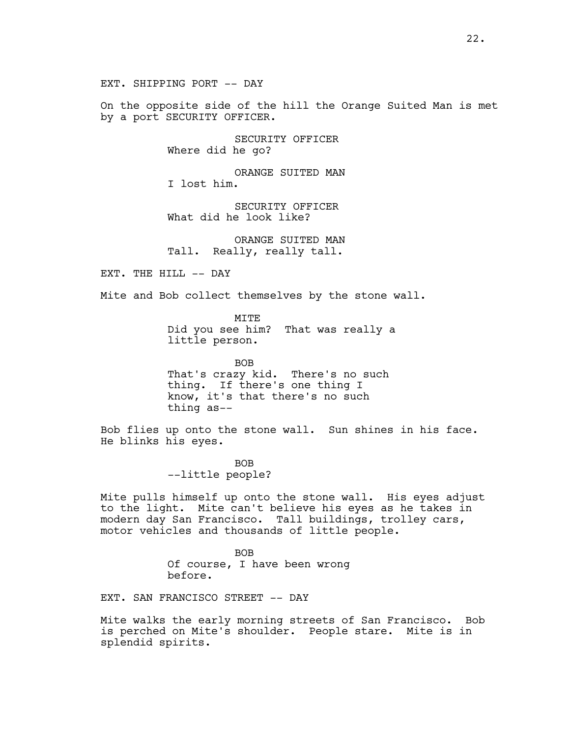EXT. SHIPPING PORT -- DAY

On the opposite side of the hill the Orange Suited Man is met by a port SECURITY OFFICER.

> SECURITY OFFICER Where did he go?

ORANGE SUITED MAN I lost him.

SECURITY OFFICER What did he look like?

ORANGE SUITED MAN Tall. Really, really tall.

EXT. THE HILL -- DAY

Mite and Bob collect themselves by the stone wall.

MITE Did you see him? That was really a little person.

BOB That's crazy kid. There's no such thing. If there's one thing I know, it's that there's no such thing as--

Bob flies up onto the stone wall. Sun shines in his face. He blinks his eyes.

> BOB --little people?

Mite pulls himself up onto the stone wall. His eyes adjust to the light. Mite can't believe his eyes as he takes in modern day San Francisco. Tall buildings, trolley cars, motor vehicles and thousands of little people.

> BOB Of course, I have been wrong before.

EXT. SAN FRANCISCO STREET -- DAY

Mite walks the early morning streets of San Francisco. Bob is perched on Mite's shoulder. People stare. Mite is in splendid spirits.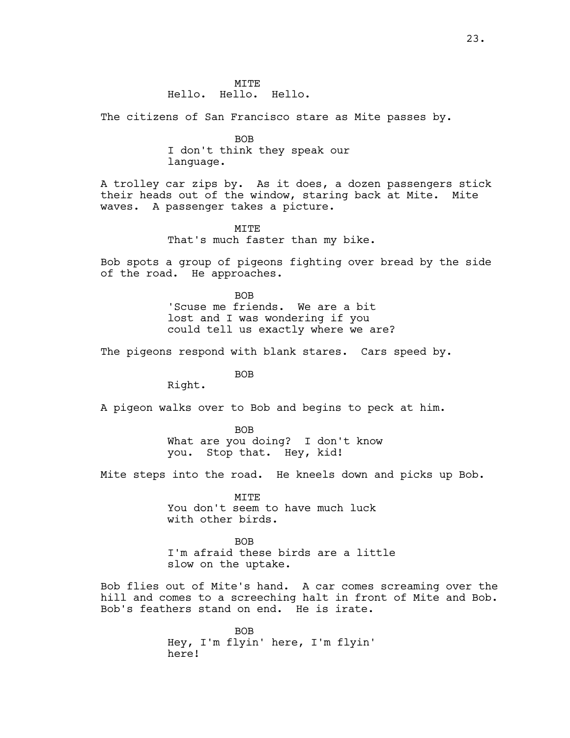The citizens of San Francisco stare as Mite passes by.

BOB I don't think they speak our language.

A trolley car zips by. As it does, a dozen passengers stick their heads out of the window, staring back at Mite. Mite waves. A passenger takes a picture.

> MITE That's much faster than my bike.

Bob spots a group of pigeons fighting over bread by the side of the road. He approaches.

> BOB 'Scuse me friends. We are a bit lost and I was wondering if you could tell us exactly where we are?

The pigeons respond with blank stares. Cars speed by.

BOB

Right.

A pigeon walks over to Bob and begins to peck at him.

BOB What are you doing? I don't know you. Stop that. Hey, kid!

Mite steps into the road. He kneels down and picks up Bob.

MITE You don't seem to have much luck with other birds.

BOB I'm afraid these birds are a little slow on the uptake.

Bob flies out of Mite's hand. A car comes screaming over the hill and comes to a screeching halt in front of Mite and Bob. Bob's feathers stand on end. He is irate.

> BOB Hey, I'm flyin' here, I'm flyin' here!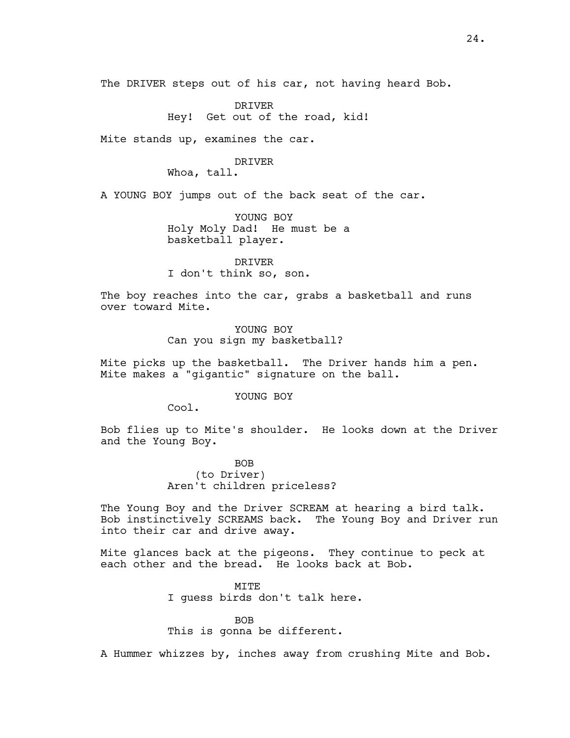The DRIVER steps out of his car, not having heard Bob.

DRIVER Hey! Get out of the road, kid!

Mite stands up, examines the car.

# DRIVER

Whoa, tall.

A YOUNG BOY jumps out of the back seat of the car.

YOUNG BOY Holy Moly Dad! He must be a basketball player.

DRIVER I don't think so, son.

The boy reaches into the car, grabs a basketball and runs over toward Mite.

> YOUNG BOY Can you sign my basketball?

Mite picks up the basketball. The Driver hands him a pen. Mite makes a "gigantic" signature on the ball.

YOUNG BOY

Cool.

Bob flies up to Mite's shoulder. He looks down at the Driver and the Young Boy.

> BOB (to Driver) Aren't children priceless?

The Young Boy and the Driver SCREAM at hearing a bird talk. Bob instinctively SCREAMS back. The Young Boy and Driver run into their car and drive away.

Mite glances back at the pigeons. They continue to peck at each other and the bread. He looks back at Bob.

> **MTTE** I guess birds don't talk here.

> > BOB

This is gonna be different.

A Hummer whizzes by, inches away from crushing Mite and Bob.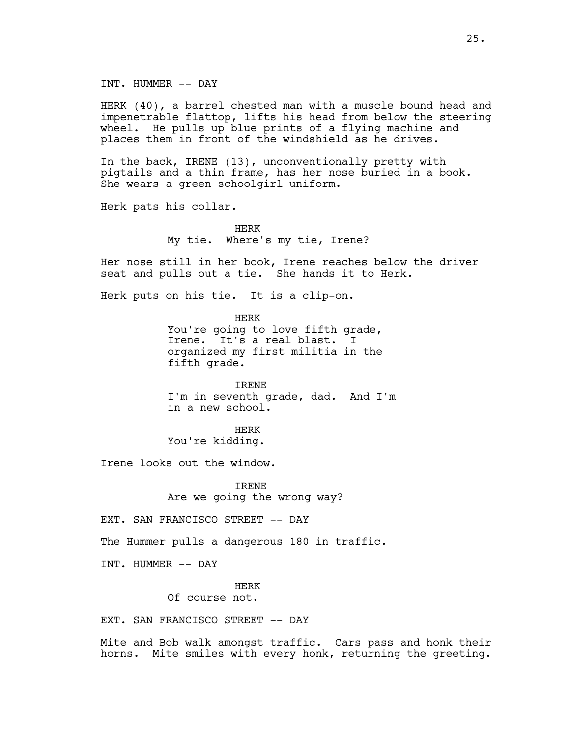INT. HUMMER -- DAY

HERK (40), a barrel chested man with a muscle bound head and impenetrable flattop, lifts his head from below the steering wheel. He pulls up blue prints of a flying machine and places them in front of the windshield as he drives.

In the back, IRENE (13), unconventionally pretty with pigtails and a thin frame, has her nose buried in a book. She wears a green schoolgirl uniform.

Herk pats his collar.

HERK My tie. Where's my tie, Irene?

Her nose still in her book, Irene reaches below the driver seat and pulls out a tie. She hands it to Herk.

Herk puts on his tie. It is a clip-on.

HERK You're going to love fifth grade, Irene. It's a real blast. I organized my first militia in the fifth grade.

IRENE I'm in seventh grade, dad. And I'm in a new school.

HERK You're kidding.

Irene looks out the window.

IRENE Are we going the wrong way?

EXT. SAN FRANCISCO STREET -- DAY

The Hummer pulls a dangerous 180 in traffic.

INT. HUMMER -- DAY

HERK

Of course not.

EXT. SAN FRANCISCO STREET -- DAY

Mite and Bob walk amongst traffic. Cars pass and honk their horns. Mite smiles with every honk, returning the greeting.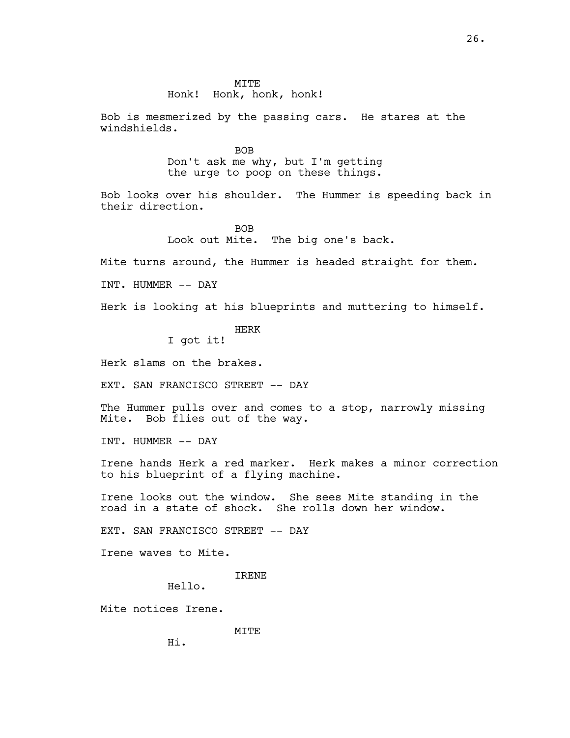## MITE

# Honk! Honk, honk, honk!

Bob is mesmerized by the passing cars. He stares at the windshields.

> BOB Don't ask me why, but I'm getting the urge to poop on these things.

Bob looks over his shoulder. The Hummer is speeding back in their direction.

> BOB Look out Mite. The big one's back.

Mite turns around, the Hummer is headed straight for them.

INT. HUMMER -- DAY

Herk is looking at his blueprints and muttering to himself.

HERK

I got it!

Herk slams on the brakes.

EXT. SAN FRANCISCO STREET -- DAY

The Hummer pulls over and comes to a stop, narrowly missing Mite. Bob flies out of the way.

INT. HUMMER -- DAY

Irene hands Herk a red marker. Herk makes a minor correction to his blueprint of a flying machine.

Irene looks out the window. She sees Mite standing in the road in a state of shock. She rolls down her window.

EXT. SAN FRANCISCO STREET -- DAY

Irene waves to Mite.

IRENE

Hello.

Mite notices Irene.

MITE

Hi.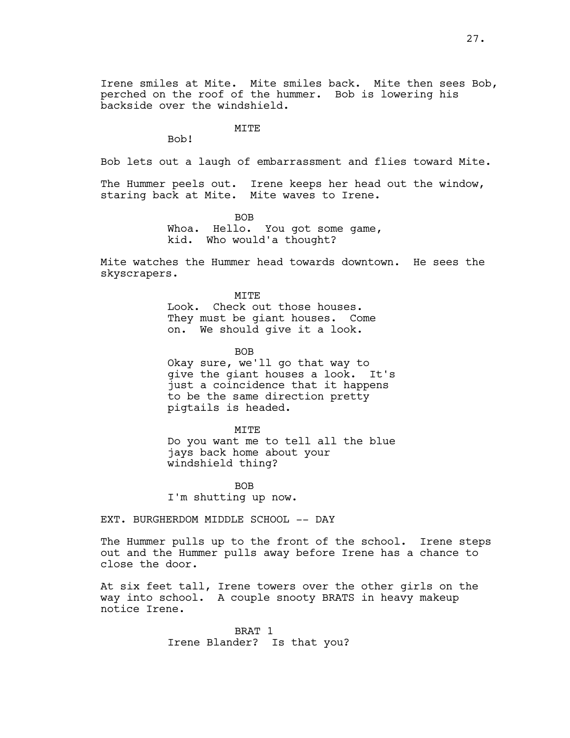Irene smiles at Mite. Mite smiles back. Mite then sees Bob, perched on the roof of the hummer. Bob is lowering his backside over the windshield.

# **MTTE**

Bob!

Bob lets out a laugh of embarrassment and flies toward Mite.

The Hummer peels out. Irene keeps her head out the window, staring back at Mite. Mite waves to Irene.

> BOB Whoa. Hello. You got some game, kid. Who would'a thought?

Mite watches the Hummer head towards downtown. He sees the skyscrapers.

> **MTTE** Look. Check out those houses. They must be giant houses. Come on. We should give it a look.

> > BOB

Okay sure, we'll go that way to give the giant houses a look. It's just a coincidence that it happens to be the same direction pretty pigtails is headed.

MITE

Do you want me to tell all the blue jays back home about your windshield thing?

**BOB** I'm shutting up now.

EXT. BURGHERDOM MIDDLE SCHOOL -- DAY

The Hummer pulls up to the front of the school. Irene steps out and the Hummer pulls away before Irene has a chance to close the door.

At six feet tall, Irene towers over the other girls on the way into school. A couple snooty BRATS in heavy makeup notice Irene.

> BRAT 1 Irene Blander? Is that you?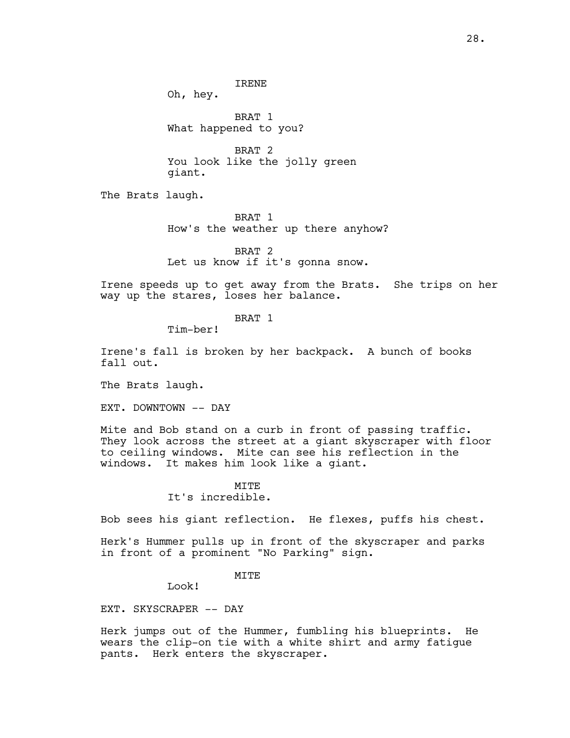Oh, hey.

BRAT 1 What happened to you?

BRAT 2 You look like the jolly green giant.

The Brats laugh.

BRAT 1 How's the weather up there anyhow?

BRAT 2 Let us know if it's gonna snow.

Irene speeds up to get away from the Brats. She trips on her way up the stares, loses her balance.

BRAT 1

Tim-ber!

Irene's fall is broken by her backpack. A bunch of books fall out.

The Brats laugh.

EXT. DOWNTOWN -- DAY

Mite and Bob stand on a curb in front of passing traffic. They look across the street at a giant skyscraper with floor to ceiling windows. Mite can see his reflection in the windows. It makes him look like a giant.

# $MT$ T $F$

It's incredible.

Bob sees his giant reflection. He flexes, puffs his chest.

Herk's Hummer pulls up in front of the skyscraper and parks in front of a prominent "No Parking" sign.

MITE

Look!

EXT. SKYSCRAPER -- DAY

Herk jumps out of the Hummer, fumbling his blueprints. He wears the clip-on tie with a white shirt and army fatigue pants. Herk enters the skyscraper.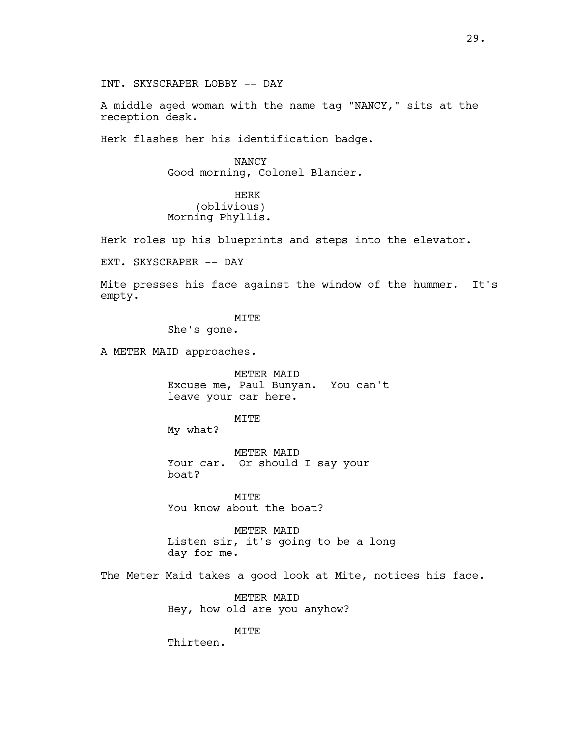INT. SKYSCRAPER LOBBY -- DAY

A middle aged woman with the name tag "NANCY," sits at the reception desk.

Herk flashes her his identification badge.

NANCY Good morning, Colonel Blander.

HERK (oblivious) Morning Phyllis.

Herk roles up his blueprints and steps into the elevator.

EXT. SKYSCRAPER -- DAY

Mite presses his face against the window of the hummer. It's empty.

MITE

She's gone.

A METER MAID approaches.

METER MAID Excuse me, Paul Bunyan. You can't leave your car here.

MITE

My what?

METER MAID Your car. Or should I say your boat?

MITE You know about the boat?

METER MAID Listen sir, it's going to be a long day for me.

The Meter Maid takes a good look at Mite, notices his face.

METER MAID Hey, how old are you anyhow?

MITE

Thirteen.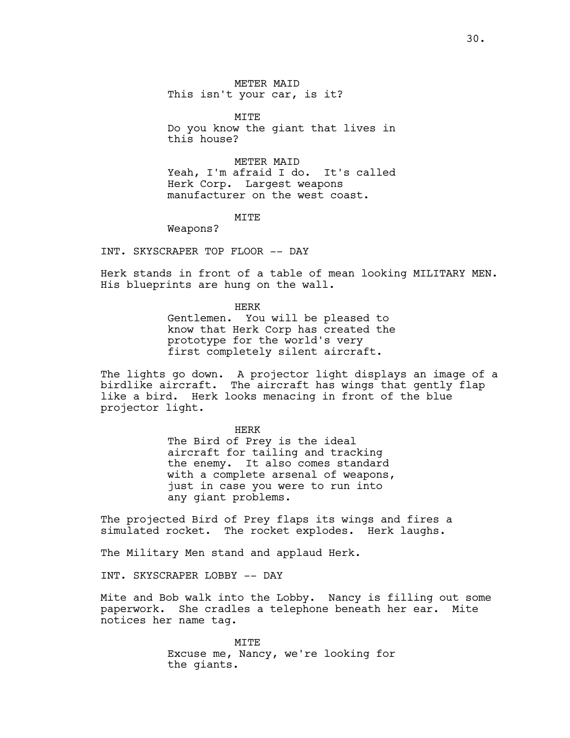METER MAID This isn't your car, is it?

MITE Do you know the giant that lives in this house?

METER MAID Yeah, I'm afraid I do. It's called Herk Corp. Largest weapons manufacturer on the west coast.

## **MTTE**

Weapons?

INT. SKYSCRAPER TOP FLOOR -- DAY

Herk stands in front of a table of mean looking MILITARY MEN. His blueprints are hung on the wall.

HERK

Gentlemen. You will be pleased to know that Herk Corp has created the prototype for the world's very first completely silent aircraft.

The lights go down. A projector light displays an image of a birdlike aircraft. The aircraft has wings that gently flap like a bird. Herk looks menacing in front of the blue projector light.

> HERK The Bird of Prey is the ideal aircraft for tailing and tracking the enemy. It also comes standard with a complete arsenal of weapons, just in case you were to run into any giant problems.

The projected Bird of Prey flaps its wings and fires a simulated rocket. The rocket explodes. Herk laughs.

The Military Men stand and applaud Herk.

INT. SKYSCRAPER LOBBY -- DAY

Mite and Bob walk into the Lobby. Nancy is filling out some paperwork. She cradles a telephone beneath her ear. Mite notices her name tag.

> **MTTE** Excuse me, Nancy, we're looking for the giants.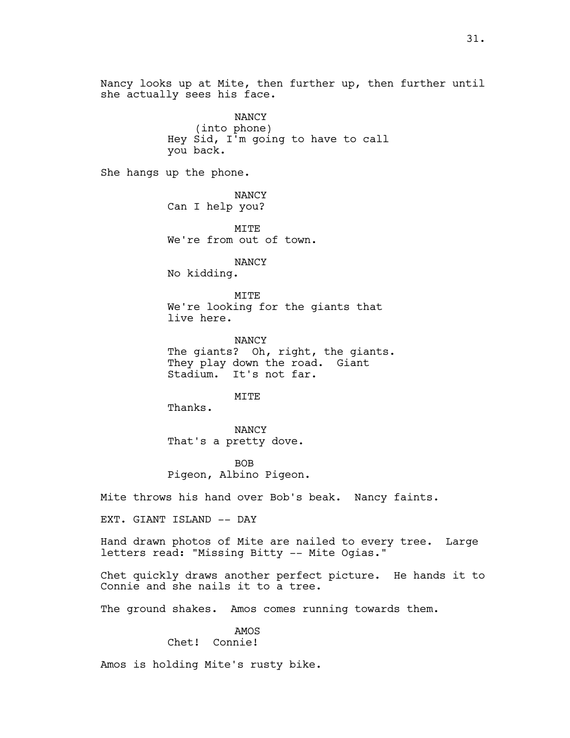Nancy looks up at Mite, then further up, then further until she actually sees his face.

> NANCY (into phone) Hey Sid, I'm going to have to call you back.

She hangs up the phone.

NANCY Can I help you?

MITE We're from out of town.

NANCY No kidding.

**MTTE** We're looking for the giants that live here.

NANCY The giants? Oh, right, the giants. They play down the road. Giant Stadium. It's not far.

MITE

Thanks.

NANCY That's a pretty dove.

BOB Pigeon, Albino Pigeon.

Mite throws his hand over Bob's beak. Nancy faints.

EXT. GIANT ISLAND -- DAY

Hand drawn photos of Mite are nailed to every tree. Large letters read: "Missing Bitty -- Mite Ogias."

Chet quickly draws another perfect picture. He hands it to Connie and she nails it to a tree.

The ground shakes. Amos comes running towards them.

# AMOS

Chet! Connie!

Amos is holding Mite's rusty bike.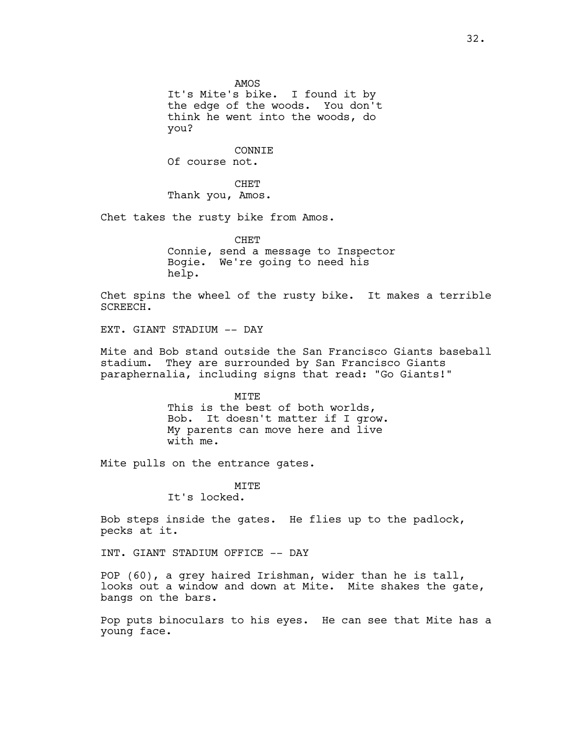AMOS It's Mite's bike. I found it by the edge of the woods. You don't think he went into the woods, do you?

CONNIE Of course not.

CHET Thank you, Amos.

Chet takes the rusty bike from Amos.

**CHET** Connie, send a message to Inspector Bogie. We're going to need his help.

Chet spins the wheel of the rusty bike. It makes a terrible SCREECH.

EXT. GIANT STADIUM -- DAY

Mite and Bob stand outside the San Francisco Giants baseball stadium. They are surrounded by San Francisco Giants paraphernalia, including signs that read: "Go Giants!"

> MITE This is the best of both worlds, Bob. It doesn't matter if I grow. My parents can move here and live with me.

Mite pulls on the entrance gates.

**MTTE** It's locked.

Bob steps inside the gates. He flies up to the padlock, pecks at it.

INT. GIANT STADIUM OFFICE -- DAY

POP (60), a grey haired Irishman, wider than he is tall, looks out a window and down at Mite. Mite shakes the gate, bangs on the bars.

Pop puts binoculars to his eyes. He can see that Mite has a young face.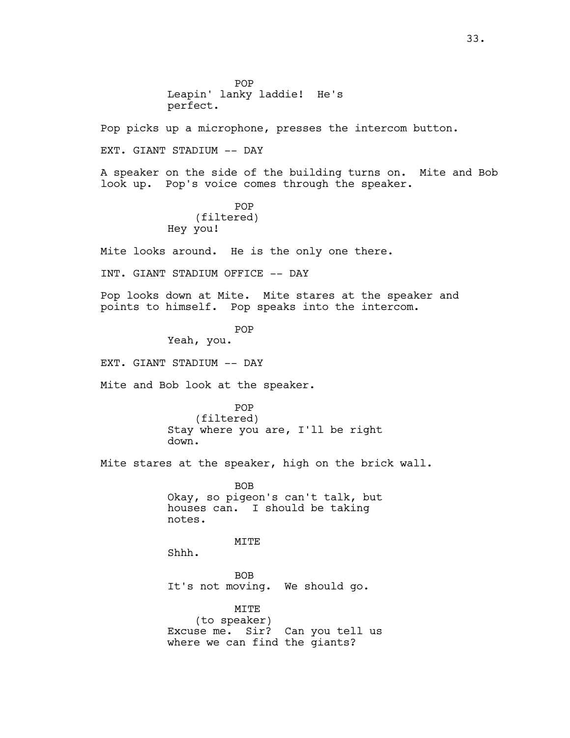POP Leapin' lanky laddie! He's perfect.

Pop picks up a microphone, presses the intercom button.

EXT. GIANT STADIUM -- DAY

A speaker on the side of the building turns on. Mite and Bob look up. Pop's voice comes through the speaker.

> POP (filtered) Hey you!

Mite looks around. He is the only one there.

INT. GIANT STADIUM OFFICE -- DAY

Pop looks down at Mite. Mite stares at the speaker and points to himself. Pop speaks into the intercom.

POP

Yeah, you.

EXT. GIANT STADIUM -- DAY

Mite and Bob look at the speaker.

POP (filtered) Stay where you are, I'll be right down.

Mite stares at the speaker, high on the brick wall.

BOB Okay, so pigeon's can't talk, but houses can. I should be taking notes.

MITE

Shhh.

BOB It's not moving. We should go.

MITE (to speaker) Excuse me. Sir? Can you tell us where we can find the giants?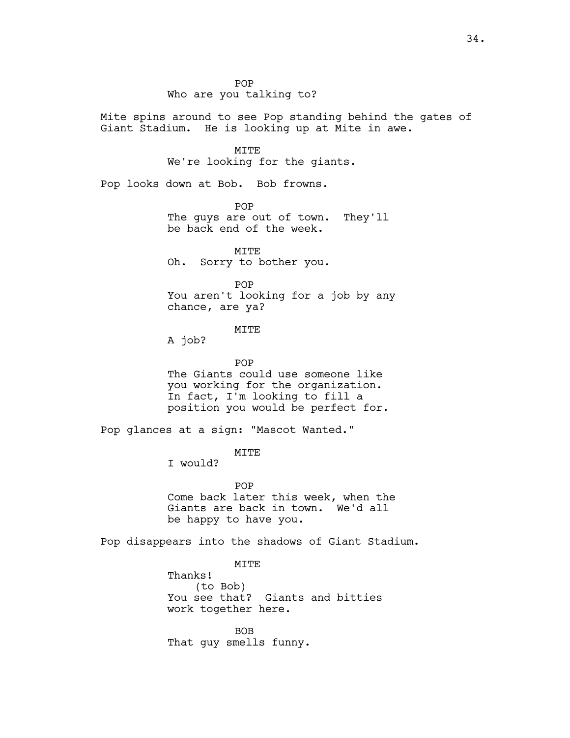POP Who are you talking to?

Mite spins around to see Pop standing behind the gates of Giant Stadium. He is looking up at Mite in awe.

MITE

We're looking for the giants.

Pop looks down at Bob. Bob frowns.

POP The guys are out of town. They'll be back end of the week.

MITE Oh. Sorry to bother you.

POP You aren't looking for a job by any chance, are ya?

## MITE

A job?

POP The Giants could use someone like you working for the organization. In fact, I'm looking to fill a position you would be perfect for.

Pop glances at a sign: "Mascot Wanted."

MITE

I would?

POP Come back later this week, when the Giants are back in town. We'd all be happy to have you.

Pop disappears into the shadows of Giant Stadium.

MITE Thanks! (to Bob) You see that? Giants and bitties work together here.

BOB That guy smells funny.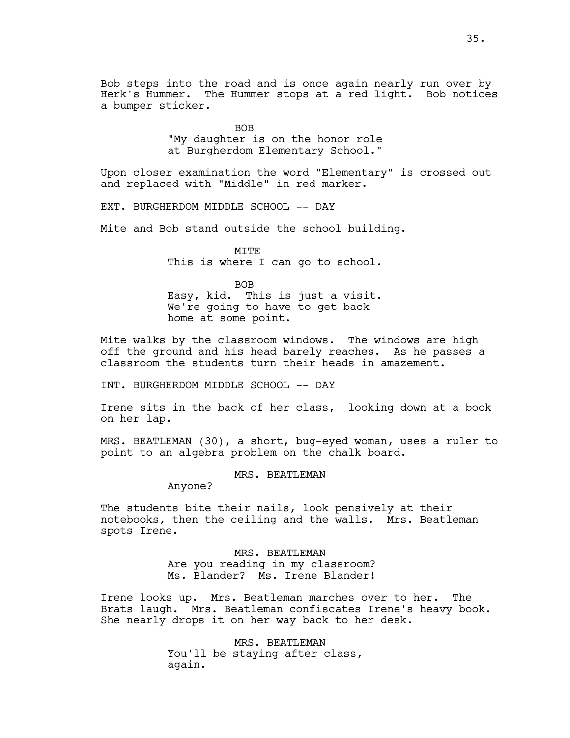Bob steps into the road and is once again nearly run over by Herk's Hummer. The Hummer stops at a red light. Bob notices a bumper sticker.

> BOB "My daughter is on the honor role at Burgherdom Elementary School."

Upon closer examination the word "Elementary" is crossed out and replaced with "Middle" in red marker.

EXT. BURGHERDOM MIDDLE SCHOOL -- DAY

Mite and Bob stand outside the school building.

MITE This is where I can go to school.

BOB Easy, kid. This is just a visit. We're going to have to get back home at some point.

Mite walks by the classroom windows. The windows are high off the ground and his head barely reaches. As he passes a classroom the students turn their heads in amazement.

INT. BURGHERDOM MIDDLE SCHOOL -- DAY

Irene sits in the back of her class, looking down at a book on her lap.

MRS. BEATLEMAN (30), a short, bug-eyed woman, uses a ruler to point to an algebra problem on the chalk board.

MRS. BEATLEMAN

Anyone?

The students bite their nails, look pensively at their notebooks, then the ceiling and the walls. Mrs. Beatleman spots Irene.

> MRS. BEATLEMAN Are you reading in my classroom? Ms. Blander? Ms. Irene Blander!

Irene looks up. Mrs. Beatleman marches over to her. The Brats laugh. Mrs. Beatleman confiscates Irene's heavy book. She nearly drops it on her way back to her desk.

> MRS. BEATLEMAN You'll be staying after class, again.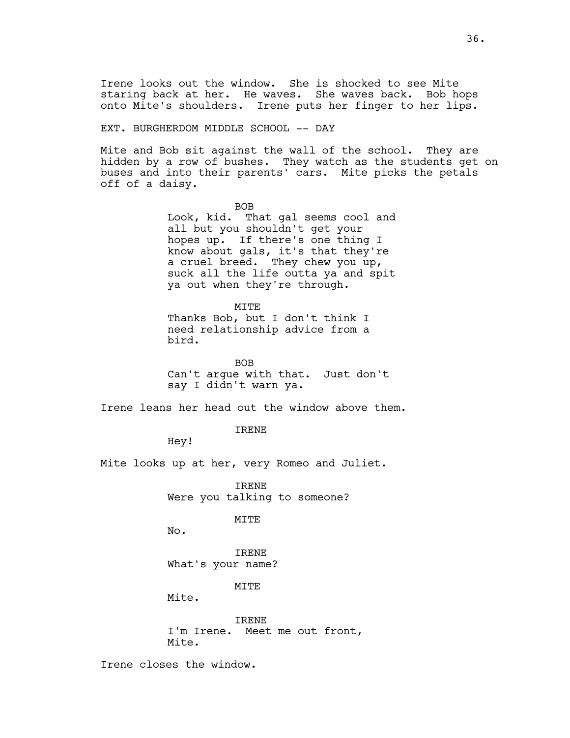Irene looks out the window. She is shocked to see Mite staring back at her. He waves. She waves back. Bob hops onto Mite's shoulders. Irene puts her finger to her lips.

EXT. BURGHERDOM MIDDLE SCHOOL -- DAY

Mite and Bob sit against the wall of the school. They are hidden by a row of bushes. They watch as the students get on buses and into their parents' cars. Mite picks the petals off of a daisy.

> BOB Look, kid. That gal seems cool and all but you shouldn't get your hopes up. If there's one thing I know about gals, it's that they're a cruel breed. They chew you up, suck all the life outta ya and spit ya out when they're through.

> > MITE

Thanks Bob, but I don't think I need relationship advice from a bird.

BOB Can't argue with that. Just don't say I didn't warn ya.

Irene leans her head out the window above them.

IRENE

Hey!

Mite looks up at her, very Romeo and Juliet.

IRENE Were you talking to someone?

MITE

No.

IRENE What's your name?

**MTTE** 

Mite.

IRENE I'm Irene. Meet me out front, Mite.

Irene closes the window.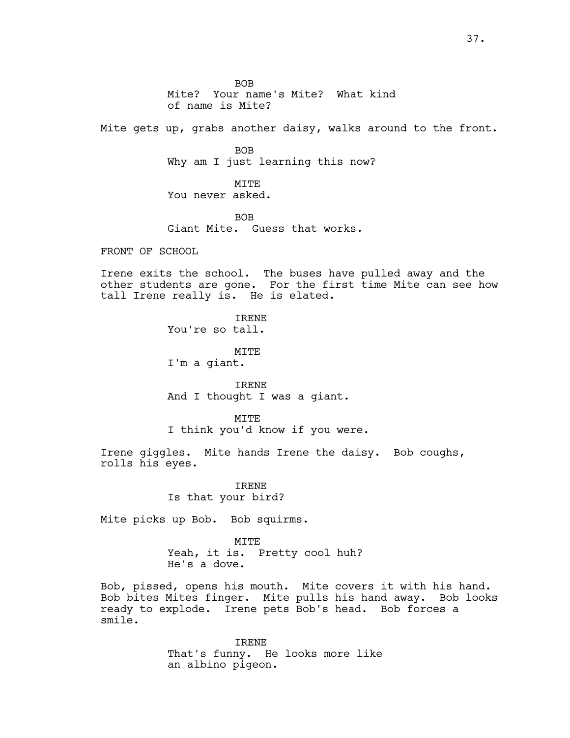BOB Mite? Your name's Mite? What kind of name is Mite? Mite gets up, grabs another daisy, walks around to the front. BOB Why am I just learning this now? MITE

You never asked.

BOB Giant Mite. Guess that works.

FRONT OF SCHOOL

Irene exits the school. The buses have pulled away and the other students are gone. For the first time Mite can see how tall Irene really is. He is elated.

> IRENE You're so tall.

MITE I'm a giant.

IRENE And I thought I was a giant.

**MTTE** I think you'd know if you were.

Irene giggles. Mite hands Irene the daisy. Bob coughs, rolls his eyes.

> IRENE Is that your bird?

Mite picks up Bob. Bob squirms.

MITE Yeah, it is. Pretty cool huh? He's a dove.

Bob, pissed, opens his mouth. Mite covers it with his hand. Bob bites Mites finger. Mite pulls his hand away. Bob looks ready to explode. Irene pets Bob's head. Bob forces a smile.

> IRENE That's funny. He looks more like an albino pigeon.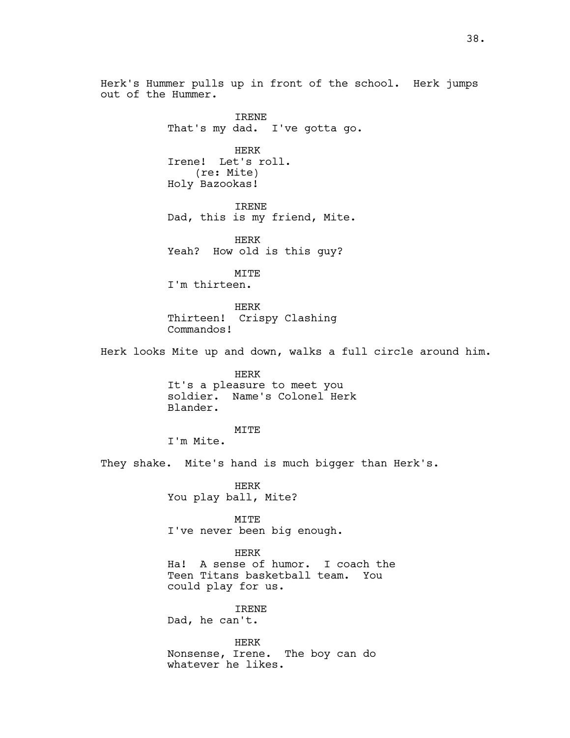Herk's Hummer pulls up in front of the school. Herk jumps out of the Hummer.

IRENE That's my dad. I've gotta go. HERK Irene! Let's roll. (re: Mite) Holy Bazookas! IRENE Dad, this is my friend, Mite. HERK Yeah? How old is this guy? MITE I'm thirteen. HERK Thirteen! Crispy Clashing Commandos! Herk looks Mite up and down, walks a full circle around him. HERK It's a pleasure to meet you soldier. Name's Colonel Herk Blander. MITE I'm Mite. They shake. Mite's hand is much bigger than Herk's. HERK You play ball, Mite? MITE I've never been big enough. HERK Ha! A sense of humor. I coach the Teen Titans basketball team. You could play for us. IRENE Dad, he can't.

HERK Nonsense, Irene. The boy can do whatever he likes.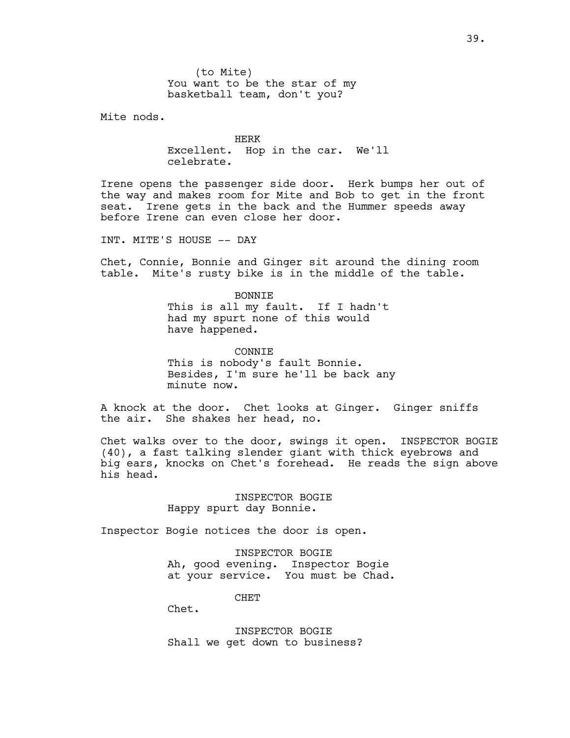(to Mite) You want to be the star of my basketball team, don't you?

Mite nods.

HERK Excellent. Hop in the car. We'll celebrate.

Irene opens the passenger side door. Herk bumps her out of the way and makes room for Mite and Bob to get in the front seat. Irene gets in the back and the Hummer speeds away before Irene can even close her door.

INT. MITE'S HOUSE -- DAY

Chet, Connie, Bonnie and Ginger sit around the dining room table. Mite's rusty bike is in the middle of the table.

> BONNIE This is all my fault. If I hadn't had my spurt none of this would have happened.

**CONNTE** This is nobody's fault Bonnie. Besides, I'm sure he'll be back any minute now.

A knock at the door. Chet looks at Ginger. Ginger sniffs the air. She shakes her head, no.

Chet walks over to the door, swings it open. INSPECTOR BOGIE (40), a fast talking slender giant with thick eyebrows and big ears, knocks on Chet's forehead. He reads the sign above his head.

> INSPECTOR BOGIE Happy spurt day Bonnie.

Inspector Bogie notices the door is open.

INSPECTOR BOGIE Ah, good evening. Inspector Bogie at your service. You must be Chad.

CHET

Chet.

INSPECTOR BOGIE Shall we get down to business?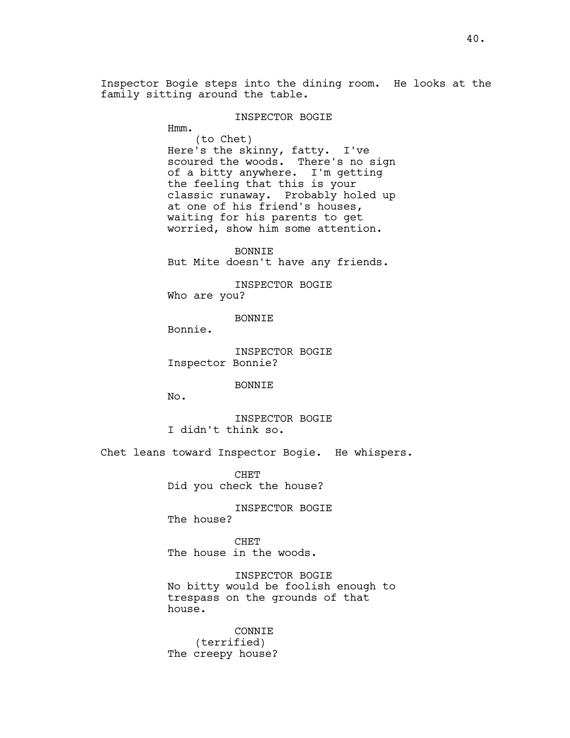Inspector Bogie steps into the dining room. He looks at the family sitting around the table.

#### INSPECTOR BOGIE

Hmm.

(to Chet) Here's the skinny, fatty. I've scoured the woods. There's no sign of a bitty anywhere. I'm getting the feeling that this is your classic runaway. Probably holed up at one of his friend's houses, waiting for his parents to get worried, show him some attention.

BONNIE But Mite doesn't have any friends.

INSPECTOR BOGIE Who are you?

BONNIE

Bonnie.

INSPECTOR BOGIE Inspector Bonnie?

BONNIE

No.

INSPECTOR BOGIE I didn't think so.

Chet leans toward Inspector Bogie. He whispers.

CHET Did you check the house?

INSPECTOR BOGIE The house?

**CHET** The house in the woods.

INSPECTOR BOGIE No bitty would be foolish enough to trespass on the grounds of that house.

CONNIE (terrified) The creepy house?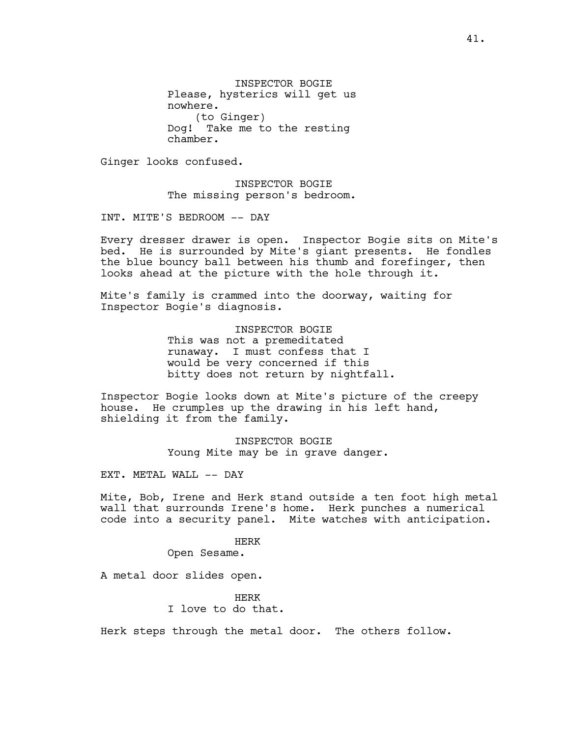INSPECTOR BOGIE Please, hysterics will get us nowhere. (to Ginger) Dog! Take me to the resting chamber.

Ginger looks confused.

INSPECTOR BOGIE The missing person's bedroom.

INT. MITE'S BEDROOM -- DAY

Every dresser drawer is open. Inspector Bogie sits on Mite's bed. He is surrounded by Mite's giant presents. He fondles the blue bouncy ball between his thumb and forefinger, then looks ahead at the picture with the hole through it.

Mite's family is crammed into the doorway, waiting for Inspector Bogie's diagnosis.

> INSPECTOR BOGIE This was not a premeditated runaway. I must confess that I would be very concerned if this bitty does not return by nightfall.

Inspector Bogie looks down at Mite's picture of the creepy house. He crumples up the drawing in his left hand, shielding it from the family.

> INSPECTOR BOGIE Young Mite may be in grave danger.

EXT. METAL WALL -- DAY

Mite, Bob, Irene and Herk stand outside a ten foot high metal wall that surrounds Irene's home. Herk punches a numerical code into a security panel. Mite watches with anticipation.

HERK

Open Sesame.

A metal door slides open.

HERK I love to do that.

Herk steps through the metal door. The others follow.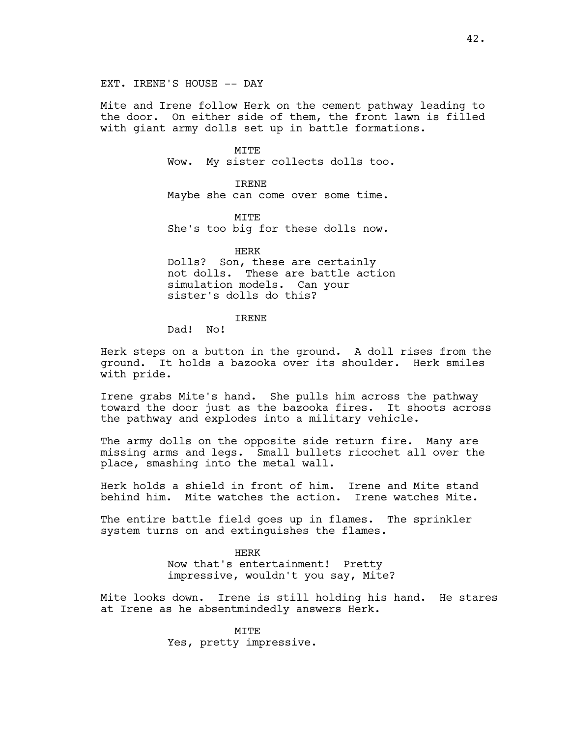#### EXT. IRENE'S HOUSE -- DAY

Mite and Irene follow Herk on the cement pathway leading to the door. On either side of them, the front lawn is filled with giant army dolls set up in battle formations.

> MITE Wow. My sister collects dolls too.

IRENE Maybe she can come over some time.

**MTTE** She's too big for these dolls now.

HERK Dolls? Son, these are certainly not dolls. These are battle action simulation models. Can your sister's dolls do this?

## IRENE

Dad! No!

Herk steps on a button in the ground. A doll rises from the ground. It holds a bazooka over its shoulder. Herk smiles with pride.

Irene grabs Mite's hand. She pulls him across the pathway toward the door just as the bazooka fires. It shoots across the pathway and explodes into a military vehicle.

The army dolls on the opposite side return fire. Many are missing arms and legs. Small bullets ricochet all over the place, smashing into the metal wall.

Herk holds a shield in front of him. Irene and Mite stand behind him. Mite watches the action. Irene watches Mite.

The entire battle field goes up in flames. The sprinkler system turns on and extinguishes the flames.

> HERK Now that's entertainment! Pretty impressive, wouldn't you say, Mite?

Mite looks down. Irene is still holding his hand. He stares at Irene as he absentmindedly answers Herk.

> MITE Yes, pretty impressive.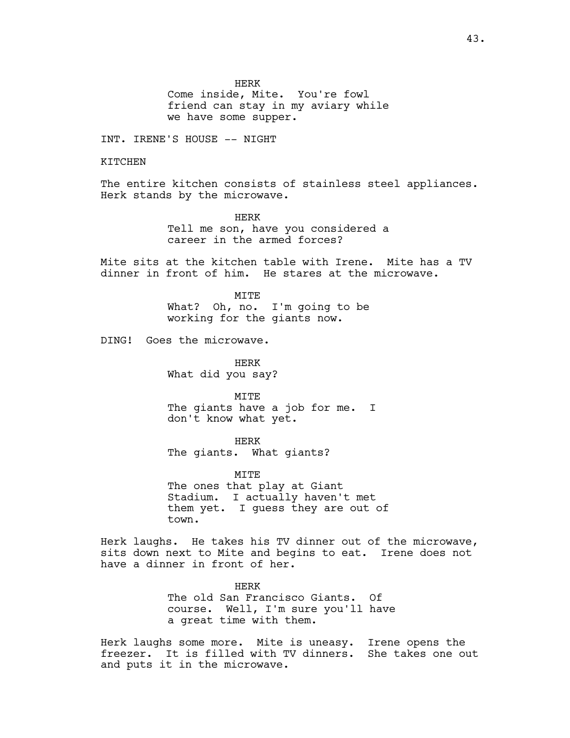HERK

Come inside, Mite. You're fowl friend can stay in my aviary while we have some supper.

INT. IRENE'S HOUSE -- NIGHT

KITCHEN

The entire kitchen consists of stainless steel appliances. Herk stands by the microwave.

> HERK Tell me son, have you considered a career in the armed forces?

Mite sits at the kitchen table with Irene. Mite has a TV dinner in front of him. He stares at the microwave.

> MITE What? Oh, no. I'm going to be working for the giants now.

DING! Goes the microwave.

HERK What did you say?

MTTF. The giants have a job for me. I don't know what yet.

HERK The giants. What giants?

MITE The ones that play at Giant Stadium. I actually haven't met them yet. I guess they are out of town.

Herk laughs. He takes his TV dinner out of the microwave, sits down next to Mite and begins to eat. Irene does not have a dinner in front of her.

> HERK The old San Francisco Giants. Of course. Well, I'm sure you'll have a great time with them.

Herk laughs some more. Mite is uneasy. Irene opens the freezer. It is filled with TV dinners. She takes one out and puts it in the microwave.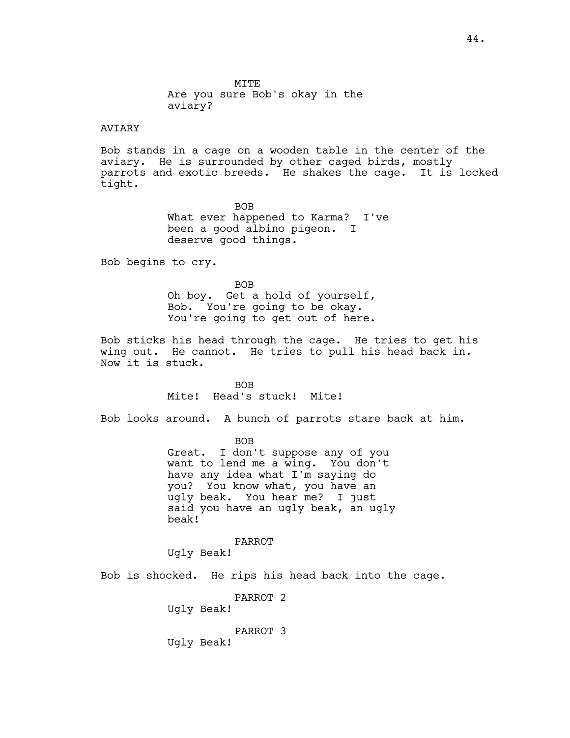MITE Are you sure Bob's okay in the aviary?

# AVIARY

Bob stands in a cage on a wooden table in the center of the aviary. He is surrounded by other caged birds, mostly parrots and exotic breeds. He shakes the cage. It is locked tight.

> BOB What ever happened to Karma? I've been a good albino pigeon. I deserve good things.

Bob begins to cry.

BOB Oh boy. Get a hold of yourself, Bob. You're going to be okay. You're going to get out of here.

Bob sticks his head through the cage. He tries to get his wing out. He cannot. He tries to pull his head back in. Now it is stuck.

> BOB Mite! Head's stuck! Mite!

Bob looks around. A bunch of parrots stare back at him.

BOB

Great. I don't suppose any of you want to lend me a wing. You don't have any idea what I'm saying do you? You know what, you have an ugly beak. You hear me? I just said you have an ugly beak, an ugly beak!

PARROT

Ugly Beak!

Bob is shocked. He rips his head back into the cage.

PARROT 2

Ugly Beak!

PARROT 3

Ugly Beak!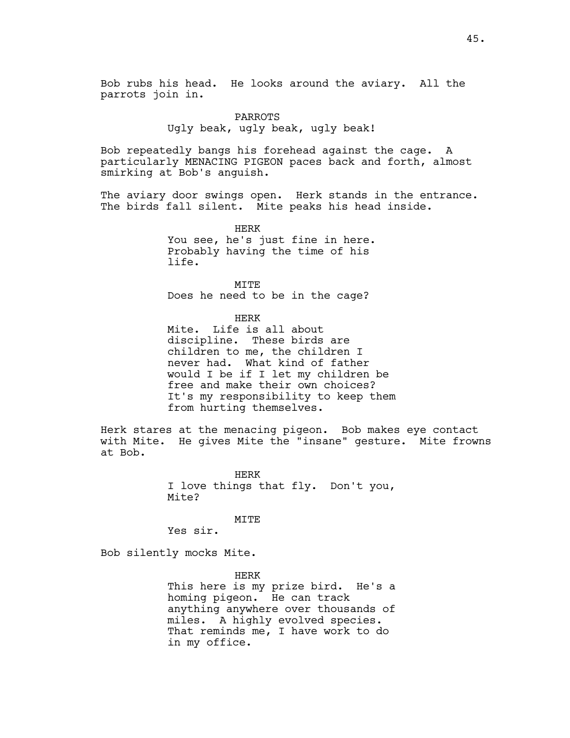Bob rubs his head. He looks around the aviary. All the parrots join in.

# PARROTS Ugly beak, ugly beak, ugly beak!

Bob repeatedly bangs his forehead against the cage. A particularly MENACING PIGEON paces back and forth, almost smirking at Bob's anguish.

The aviary door swings open. Herk stands in the entrance. The birds fall silent. Mite peaks his head inside.

> HERK You see, he's just fine in here. Probably having the time of his life.

MITE Does he need to be in the cage?

HERK

Mite. Life is all about discipline. These birds are children to me, the children I never had. What kind of father would I be if I let my children be free and make their own choices? It's my responsibility to keep them from hurting themselves.

Herk stares at the menacing pigeon. Bob makes eye contact with Mite. He gives Mite the "insane" gesture. Mite frowns at Bob.

> HERK I love things that fly. Don't you, Mite?

> > MITE

Yes sir.

Bob silently mocks Mite.

HERK This here is my prize bird. He's a homing pigeon. He can track anything anywhere over thousands of miles. A highly evolved species. That reminds me, I have work to do in my office.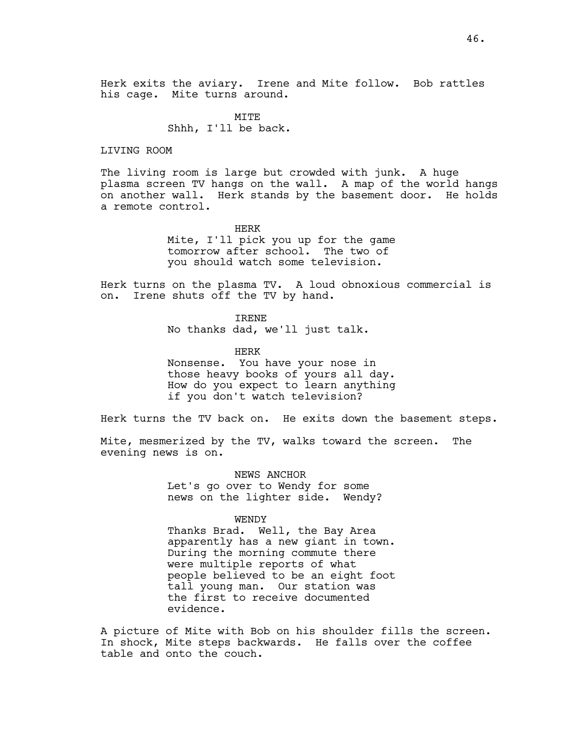Herk exits the aviary. Irene and Mite follow. Bob rattles his cage. Mite turns around.

> MITE Shhh, I'll be back.

LIVING ROOM

The living room is large but crowded with junk. A huge plasma screen TV hangs on the wall. A map of the world hangs on another wall. Herk stands by the basement door. He holds a remote control.

> HERK Mite, I'll pick you up for the game tomorrow after school. The two of you should watch some television.

Herk turns on the plasma TV. A loud obnoxious commercial is on. Irene shuts off the TV by hand.

IRENE

No thanks dad, we'll just talk.

HERK

Nonsense. You have your nose in those heavy books of yours all day. How do you expect to learn anything if you don't watch television?

Herk turns the TV back on. He exits down the basement steps.

Mite, mesmerized by the TV, walks toward the screen. The evening news is on.

> NEWS ANCHOR Let's go over to Wendy for some news on the lighter side. Wendy?

> > WENDY

Thanks Brad. Well, the Bay Area apparently has a new giant in town. During the morning commute there were multiple reports of what people believed to be an eight foot tall young man. Our station was the first to receive documented evidence.

A picture of Mite with Bob on his shoulder fills the screen. In shock, Mite steps backwards. He falls over the coffee table and onto the couch.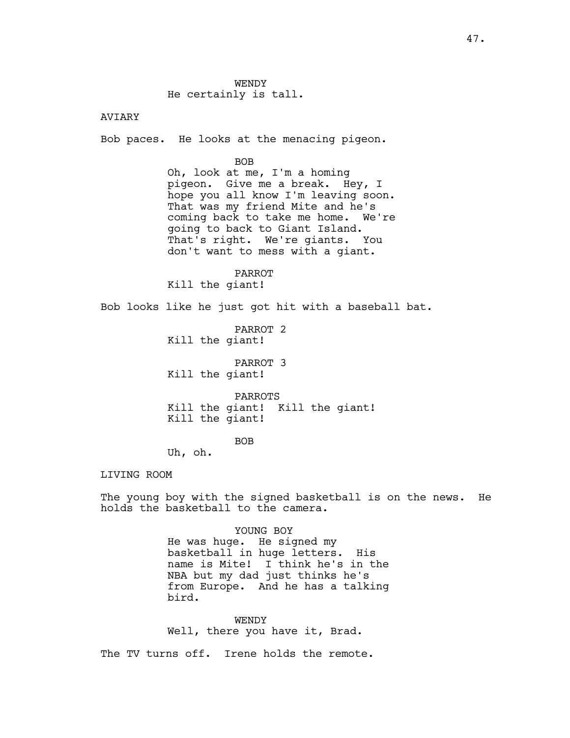## AVIARY

Bob paces. He looks at the menacing pigeon.

#### BOB

Oh, look at me, I'm a homing pigeon. Give me a break. Hey, I hope you all know I'm leaving soon. That was my friend Mite and he's coming back to take me home. We're going to back to Giant Island. That's right. We're giants. You don't want to mess with a giant.

#### PARROT

Kill the giant!

Bob looks like he just got hit with a baseball bat.

PARROT 2 Kill the giant!

PARROT 3 Kill the giant!

PARROTS Kill the giant! Kill the giant! Kill the giant!

BOB

Uh, oh.

LIVING ROOM

The young boy with the signed basketball is on the news. He holds the basketball to the camera.

#### YOUNG BOY

He was huge. He signed my basketball in huge letters. His name is Mite! I think he's in the NBA but my dad just thinks he's from Europe. And he has a talking bird.

WENDY Well, there you have it, Brad.

The TV turns off. Irene holds the remote.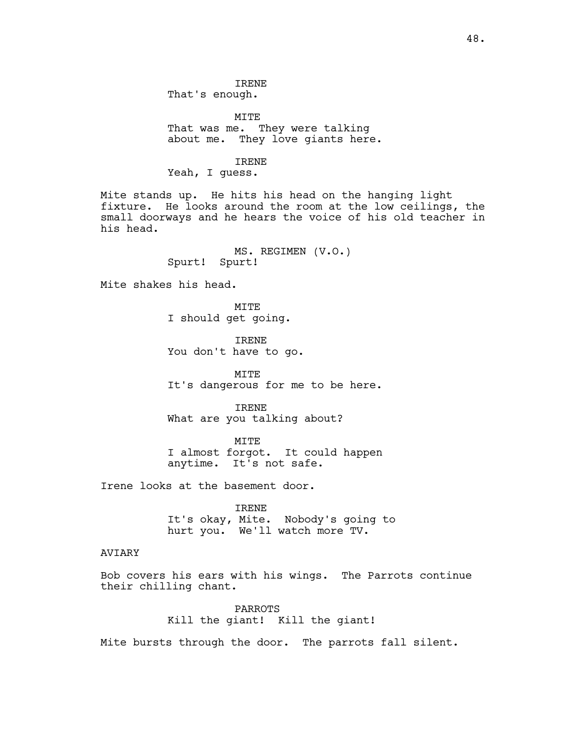That's enough.

MITE That was me. They were talking about me. They love giants here.

## IRENE

Yeah, I guess.

Mite stands up. He hits his head on the hanging light fixture. He looks around the room at the low ceilings, the small doorways and he hears the voice of his old teacher in his head.

> MS. REGIMEN (V.O.) Spurt! Spurt!

Mite shakes his head.

MITE I should get going.

IRENE You don't have to go.

MITE It's dangerous for me to be here.

IRENE What are you talking about?

MITE I almost forgot. It could happen anytime. It's not safe.

Irene looks at the basement door.

IRENE It's okay, Mite. Nobody's going to hurt you. We'll watch more TV.

## AVIARY

Bob covers his ears with his wings. The Parrots continue their chilling chant.

> PARROTS Kill the giant! Kill the giant!

Mite bursts through the door. The parrots fall silent.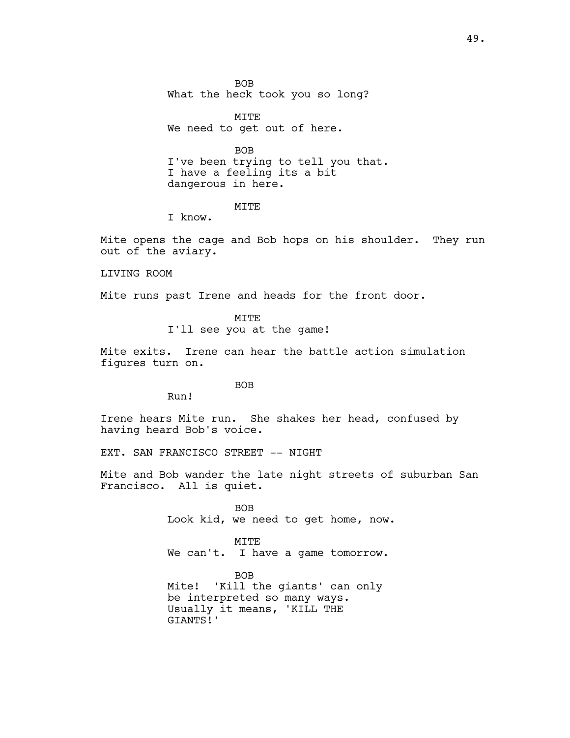BOB What the heck took you so long?

MITE We need to get out of here.

BOB I've been trying to tell you that. I have a feeling its a bit dangerous in here.

MITE

I know.

Mite opens the cage and Bob hops on his shoulder. They run out of the aviary.

LIVING ROOM

Mite runs past Irene and heads for the front door.

MITE I'll see you at the game!

Mite exits. Irene can hear the battle action simulation figures turn on.

BOB

Run!

Irene hears Mite run. She shakes her head, confused by having heard Bob's voice.

EXT. SAN FRANCISCO STREET -- NIGHT

Mite and Bob wander the late night streets of suburban San Francisco. All is quiet.

> BOB Look kid, we need to get home, now.

MITE We can't. I have a game tomorrow.

BOB Mite! 'Kill the giants' can only be interpreted so many ways. Usually it means, 'KILL THE GIANTS!'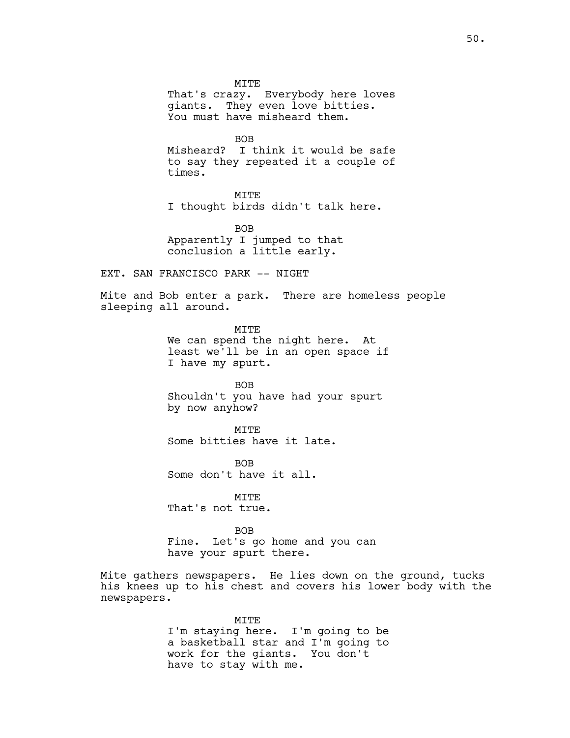MITE That's crazy. Everybody here loves giants. They even love bitties. You must have misheard them.

BOB

Misheard? I think it would be safe to say they repeated it a couple of times.

MITE

I thought birds didn't talk here.

BOB Apparently I jumped to that conclusion a little early.

EXT. SAN FRANCISCO PARK -- NIGHT

Mite and Bob enter a park. There are homeless people sleeping all around.

> MITE We can spend the night here. At least we'll be in an open space if I have my spurt.

BOB Shouldn't you have had your spurt by now anyhow?

MITE Some bitties have it late.

BOB Some don't have it all.

MITE That's not true.

BOB Fine. Let's go home and you can have your spurt there.

Mite gathers newspapers. He lies down on the ground, tucks his knees up to his chest and covers his lower body with the newspapers.

> MITE I'm staying here. I'm going to be a basketball star and I'm going to work for the giants. You don't have to stay with me.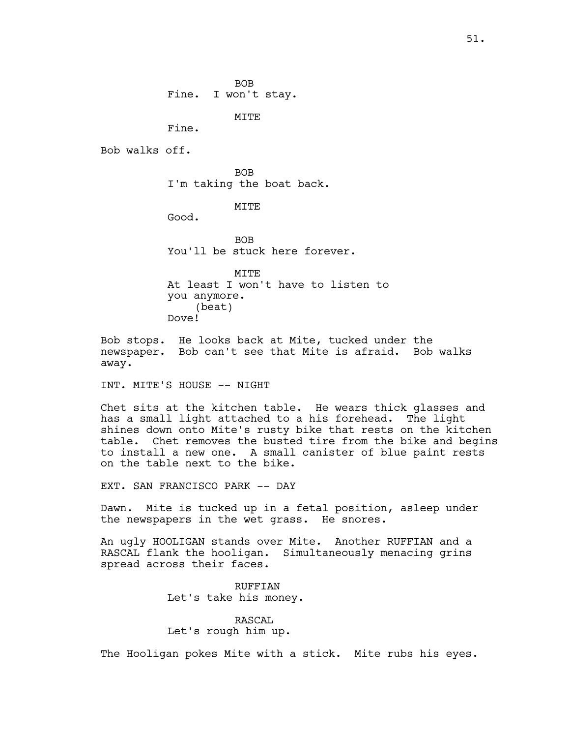MITE

Fine.

Bob walks off.

BOB I'm taking the boat back.

MITE

Good.

**BOB** You'll be stuck here forever.

MITE At least I won't have to listen to you anymore. (beat) Dove!

Bob stops. He looks back at Mite, tucked under the newspaper. Bob can't see that Mite is afraid. Bob walks away.

INT. MITE'S HOUSE -- NIGHT

Chet sits at the kitchen table. He wears thick glasses and has a small light attached to a his forehead. The light shines down onto Mite's rusty bike that rests on the kitchen table. Chet removes the busted tire from the bike and begins to install a new one. A small canister of blue paint rests on the table next to the bike.

EXT. SAN FRANCISCO PARK -- DAY

Dawn. Mite is tucked up in a fetal position, asleep under the newspapers in the wet grass. He snores.

An ugly HOOLIGAN stands over Mite. Another RUFFIAN and a RASCAL flank the hooligan. Simultaneously menacing grins spread across their faces.

> RUFFIAN Let's take his money.

# RASCAL

Let's rough him up.

The Hooligan pokes Mite with a stick. Mite rubs his eyes.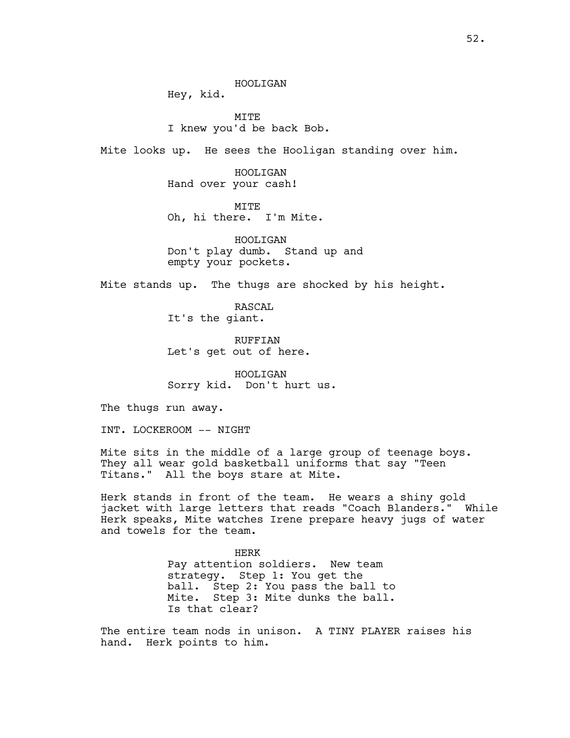HOOLIGAN

Hey, kid.

**MTTE** I knew you'd be back Bob.

Mite looks up. He sees the Hooligan standing over him.

HOOLIGAN Hand over your cash!

MITE Oh, hi there. I'm Mite.

HOOLIGAN Don't play dumb. Stand up and empty your pockets.

Mite stands up. The thugs are shocked by his height.

RASCAL It's the giant.

RUFFIAN Let's get out of here.

HOOLIGAN Sorry kid. Don't hurt us.

The thugs run away.

INT. LOCKEROOM -- NIGHT

Mite sits in the middle of a large group of teenage boys. They all wear gold basketball uniforms that say "Teen Titans." All the boys stare at Mite.

Herk stands in front of the team. He wears a shiny gold jacket with large letters that reads "Coach Blanders." While Herk speaks, Mite watches Irene prepare heavy jugs of water and towels for the team.

> HERK Pay attention soldiers. New team strategy. Step 1: You get the ball. Step 2: You pass the ball to Mite. Step 3: Mite dunks the ball. Is that clear?

The entire team nods in unison. A TINY PLAYER raises his hand. Herk points to him.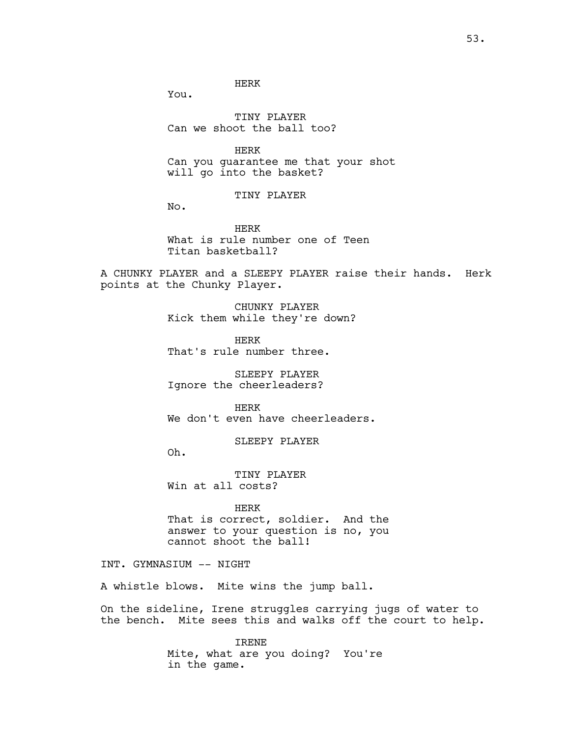HERK

You.

TINY PLAYER Can we shoot the ball too?

HERK Can you guarantee me that your shot will go into the basket?

TINY PLAYER

No.

HERK What is rule number one of Teen Titan basketball?

A CHUNKY PLAYER and a SLEEPY PLAYER raise their hands. Herk points at the Chunky Player.

> CHUNKY PLAYER Kick them while they're down?

HERK That's rule number three.

SLEEPY PLAYER Ignore the cheerleaders?

HERK We don't even have cheerleaders.

SLEEPY PLAYER

Oh.

TINY PLAYER Win at all costs?

HERK That is correct, soldier. And the answer to your question is no, you cannot shoot the ball!

INT. GYMNASIUM -- NIGHT

A whistle blows. Mite wins the jump ball.

On the sideline, Irene struggles carrying jugs of water to the bench. Mite sees this and walks off the court to help.

> IRENE Mite, what are you doing? You're in the game.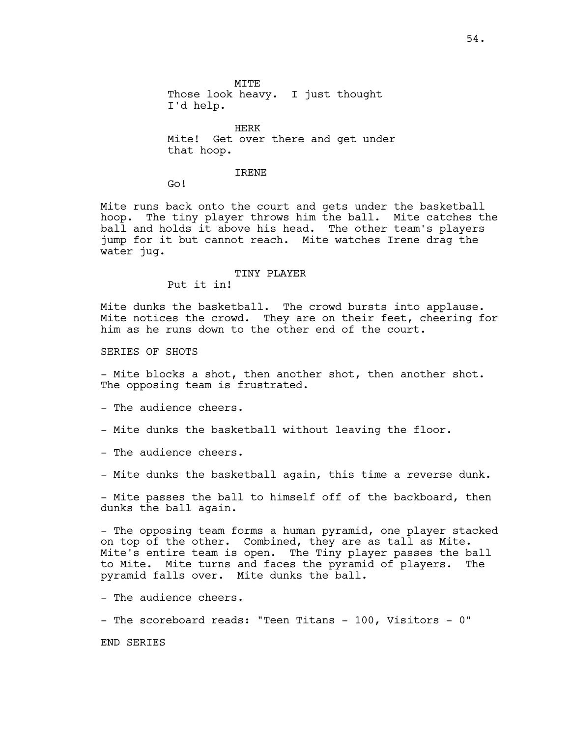MITE Those look heavy. I just thought I'd help.

HERK Mite! Get over there and get under that hoop.

#### IRENE

Go!

Mite runs back onto the court and gets under the basketball hoop. The tiny player throws him the ball. Mite catches the ball and holds it above his head. The other team's players jump for it but cannot reach. Mite watches Irene drag the water jug.

#### TINY PLAYER

Put it in!

Mite dunks the basketball. The crowd bursts into applause. Mite notices the crowd. They are on their feet, cheering for him as he runs down to the other end of the court.

SERIES OF SHOTS

- Mite blocks a shot, then another shot, then another shot. The opposing team is frustrated.

- The audience cheers.

- Mite dunks the basketball without leaving the floor.
- The audience cheers.
- Mite dunks the basketball again, this time a reverse dunk.

- Mite passes the ball to himself off of the backboard, then dunks the ball again.

- The opposing team forms a human pyramid, one player stacked on top of the other. Combined, they are as tall as Mite. Mite's entire team is open. The Tiny player passes the ball to Mite. Mite turns and faces the pyramid of players. The pyramid falls over. Mite dunks the ball.

- The audience cheers.

- The scoreboard reads: "Teen Titans - 100, Visitors - 0"

END SERIES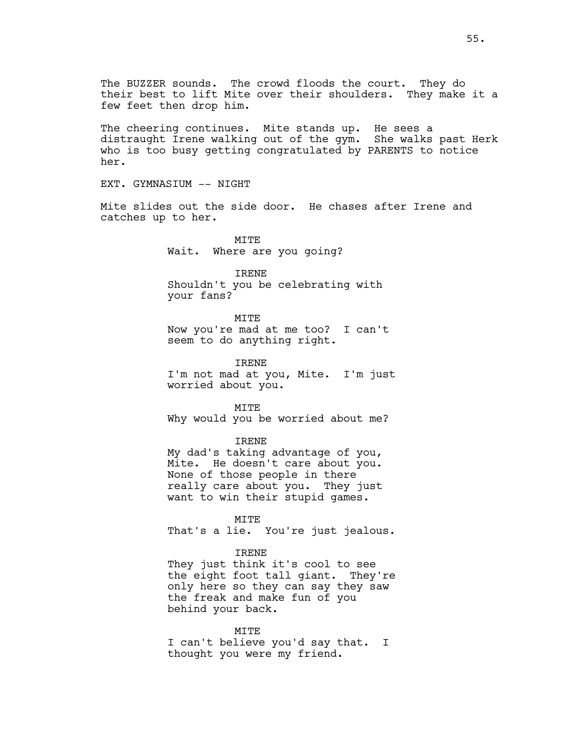The cheering continues. Mite stands up. He sees a distraught Irene walking out of the gym. She walks past Herk who is too busy getting congratulated by PARENTS to notice her.

EXT. GYMNASIUM -- NIGHT

Mite slides out the side door. He chases after Irene and catches up to her.

> MITE Wait. Where are you going?

IRENE Shouldn't you be celebrating with your fans?

MITE Now you're mad at me too? I can't seem to do anything right.

IRENE I'm not mad at you, Mite. I'm just worried about you.

MITE Why would you be worried about me?

IRENE

My dad's taking advantage of you, Mite. He doesn't care about you. None of those people in there really care about you. They just want to win their stupid games.

MITE

That's a lie. You're just jealous.

#### IRENE

They just think it's cool to see the eight foot tall giant. They're only here so they can say they saw the freak and make fun of you behind your back.

MITE

I can't believe you'd say that. I thought you were my friend.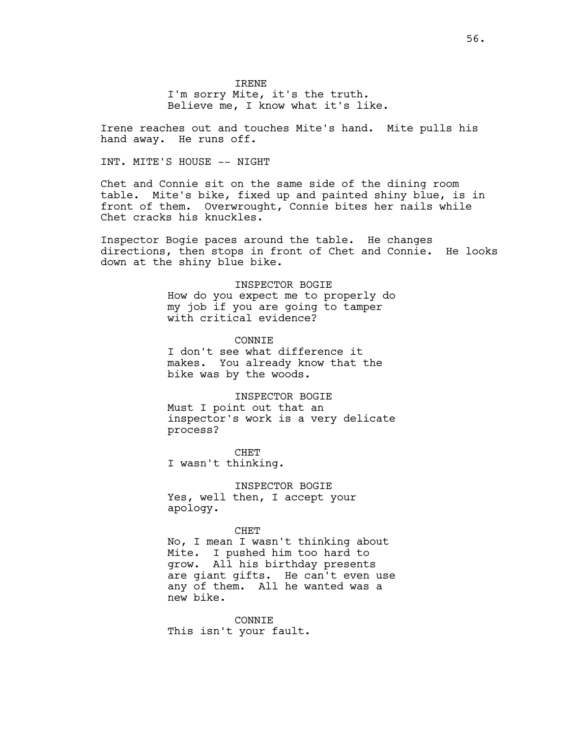IRENE I'm sorry Mite, it's the truth. Believe me, I know what it's like.

Irene reaches out and touches Mite's hand. Mite pulls his hand away. He runs off.

# INT. MITE'S HOUSE -- NIGHT

Chet and Connie sit on the same side of the dining room table. Mite's bike, fixed up and painted shiny blue, is in front of them. Overwrought, Connie bites her nails while Chet cracks his knuckles.

Inspector Bogie paces around the table. He changes directions, then stops in front of Chet and Connie. He looks down at the shiny blue bike.

> INSPECTOR BOGIE How do you expect me to properly do my job if you are going to tamper with critical evidence?

**CONNTE** I don't see what difference it makes. You already know that the bike was by the woods.

INSPECTOR BOGIE Must I point out that an inspector's work is a very delicate process?

CHET I wasn't thinking.

INSPECTOR BOGIE Yes, well then, I accept your apology.

#### CHET

No, I mean I wasn't thinking about Mite. I pushed him too hard to grow. All his birthday presents are giant gifts. He can't even use any of them. All he wanted was a new bike.

CONNIE This isn't your fault.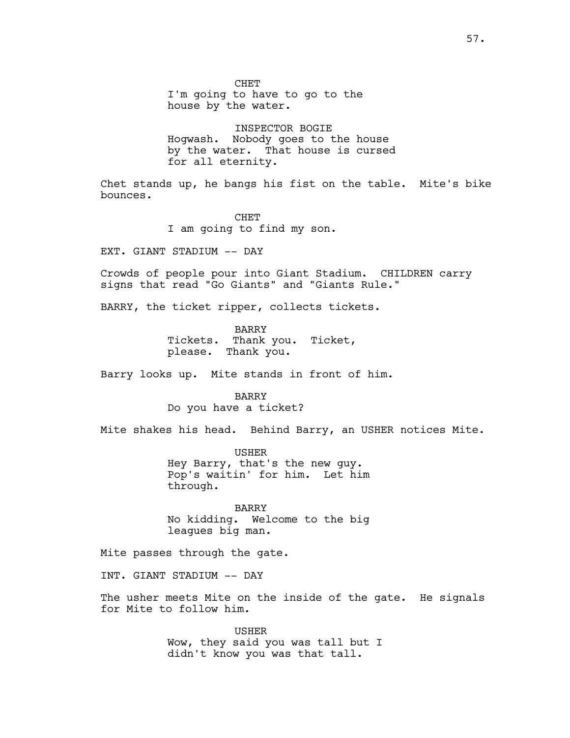CHET I'm going to have to go to the house by the water.

INSPECTOR BOGIE Hogwash. Nobody goes to the house by the water. That house is cursed for all eternity.

Chet stands up, he bangs his fist on the table. Mite's bike bounces.

> **CHET** I am going to find my son.

EXT. GIANT STADIUM -- DAY

Crowds of people pour into Giant Stadium. CHILDREN carry signs that read "Go Giants" and "Giants Rule."

BARRY, the ticket ripper, collects tickets.

BARRY Tickets. Thank you. Ticket, please. Thank you.

Barry looks up. Mite stands in front of him.

BARRY Do you have a ticket?

Mite shakes his head. Behind Barry, an USHER notices Mite.

USHER Hey Barry, that's the new guy. Pop's waitin' for him. Let him through.

BARRY No kidding. Welcome to the big leagues big man.

Mite passes through the gate.

INT. GIANT STADIUM -- DAY

The usher meets Mite on the inside of the gate. He signals for Mite to follow him.

> USHER Wow, they said you was tall but I didn't know you was that tall.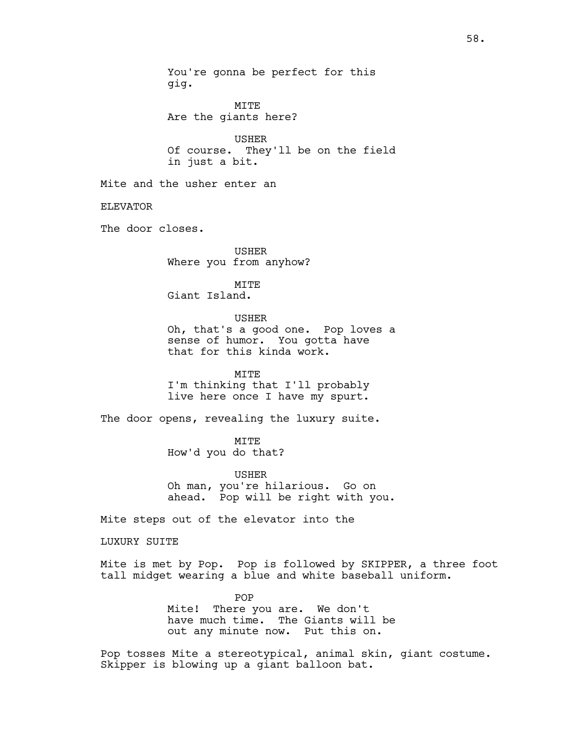You're gonna be perfect for this gig. MITE Are the giants here? USHER Of course. They'll be on the field in just a bit. Mite and the usher enter an ELEVATOR The door closes. USHER Where you from anyhow? MITE Giant Island. USHER Oh, that's a good one. Pop loves a sense of humor. You gotta have that for this kinda work. MITE I'm thinking that I'll probably live here once I have my spurt. The door opens, revealing the luxury suite. MITE How'd you do that? USHER Oh man, you're hilarious. Go on ahead. Pop will be right with you. Mite steps out of the elevator into the LUXURY SUITE Mite is met by Pop. Pop is followed by SKIPPER, a three foot tall midget wearing a blue and white baseball uniform. POP Mite! There you are. We don't have much time. The Giants will be out any minute now. Put this on.

Pop tosses Mite a stereotypical, animal skin, giant costume. Skipper is blowing up a giant balloon bat.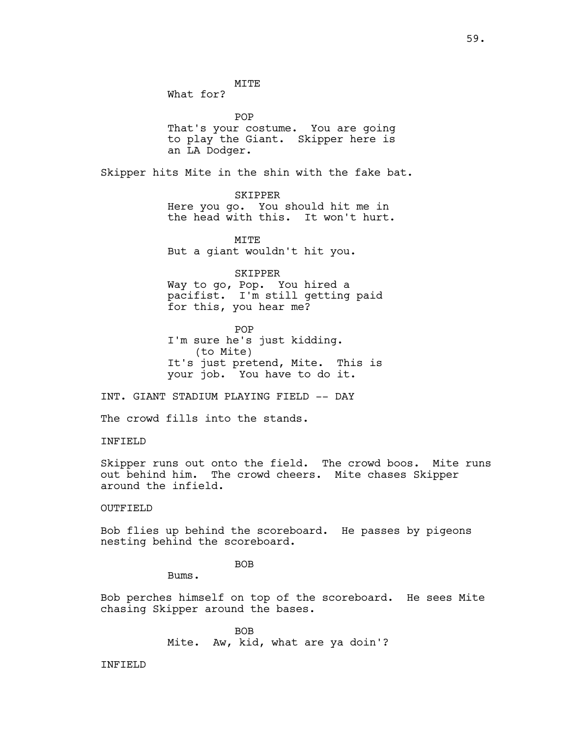MITE

What for?

POP That's your costume. You are going to play the Giant. Skipper here is an LA Dodger.

Skipper hits Mite in the shin with the fake bat.

SKIPPER Here you go. You should hit me in the head with this. It won't hurt.

**MTTE** But a giant wouldn't hit you.

SKIPPER

Way to go, Pop. You hired a pacifist. I'm still getting paid for this, you hear me?

POP I'm sure he's just kidding. (to Mite) It's just pretend, Mite. This is your job. You have to do it.

INT. GIANT STADIUM PLAYING FIELD -- DAY

The crowd fills into the stands.

INFIELD

Skipper runs out onto the field. The crowd boos. Mite runs out behind him. The crowd cheers. Mite chases Skipper around the infield.

OUTFIELD

Bob flies up behind the scoreboard. He passes by pigeons nesting behind the scoreboard.

BOB

Bums.

Bob perches himself on top of the scoreboard. He sees Mite chasing Skipper around the bases.

> BOB Mite. Aw, kid, what are ya doin'?

INFIELD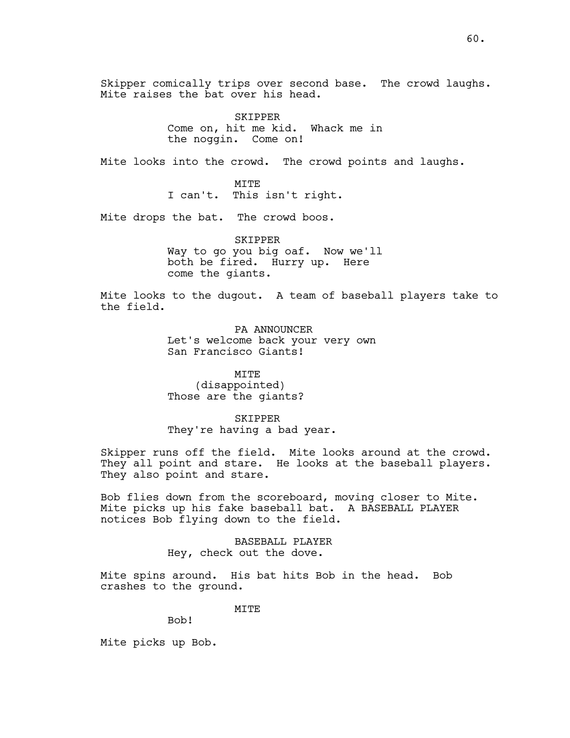Skipper comically trips over second base. The crowd laughs. Mite raises the bat over his head.

> SKIPPER Come on, hit me kid. Whack me in the noggin. Come on!

Mite looks into the crowd. The crowd points and laughs.

MITE I can't. This isn't right.

Mite drops the bat. The crowd boos.

SKIPPER Way to go you big oaf. Now we'll both be fired. Hurry up. Here come the giants.

Mite looks to the dugout. A team of baseball players take to the field.

> PA ANNOUNCER Let's welcome back your very own San Francisco Giants!

MITE (disappointed) Those are the giants?

SKIPPER They're having a bad year.

Skipper runs off the field. Mite looks around at the crowd. They all point and stare. He looks at the baseball players. They also point and stare.

Bob flies down from the scoreboard, moving closer to Mite. Mite picks up his fake baseball bat. A BASEBALL PLAYER notices Bob flying down to the field.

> BASEBALL PLAYER Hey, check out the dove.

Mite spins around. His bat hits Bob in the head. Bob crashes to the ground.

MITE

Bob!

Mite picks up Bob.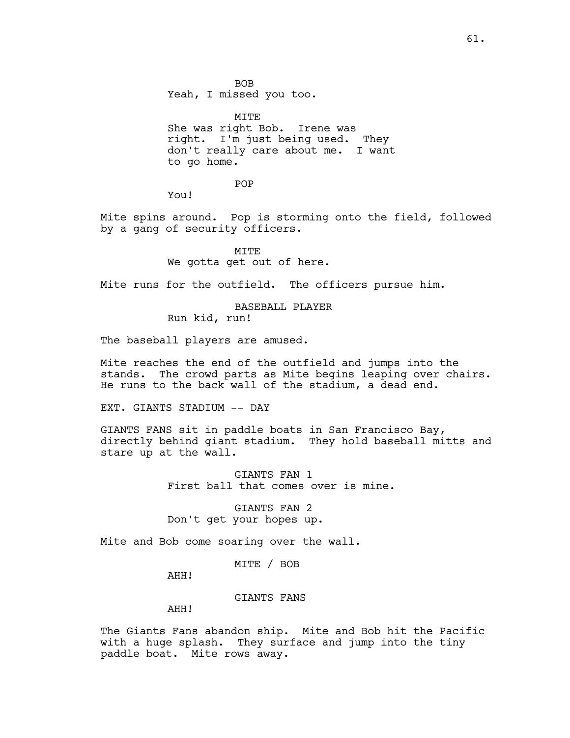BOB Yeah, I missed you too.

MITE She was right Bob. Irene was right. I'm just being used. They don't really care about me. I want to go home.

POP

You!

Mite spins around. Pop is storming onto the field, followed by a gang of security officers.

> MITE We gotta get out of here.

Mite runs for the outfield. The officers pursue him.

BASEBALL PLAYER

Run kid, run!

The baseball players are amused.

Mite reaches the end of the outfield and jumps into the stands. The crowd parts as Mite begins leaping over chairs. He runs to the back wall of the stadium, a dead end.

EXT. GIANTS STADIUM -- DAY

GIANTS FANS sit in paddle boats in San Francisco Bay, directly behind giant stadium. They hold baseball mitts and stare up at the wall.

> GIANTS FAN 1 First ball that comes over is mine.

GIANTS FAN 2 Don't get your hopes up.

Mite and Bob come soaring over the wall.

MITE / BOB

AHH!

GIANTS FANS

AHH!

The Giants Fans abandon ship. Mite and Bob hit the Pacific with a huge splash. They surface and jump into the tiny paddle boat. Mite rows away.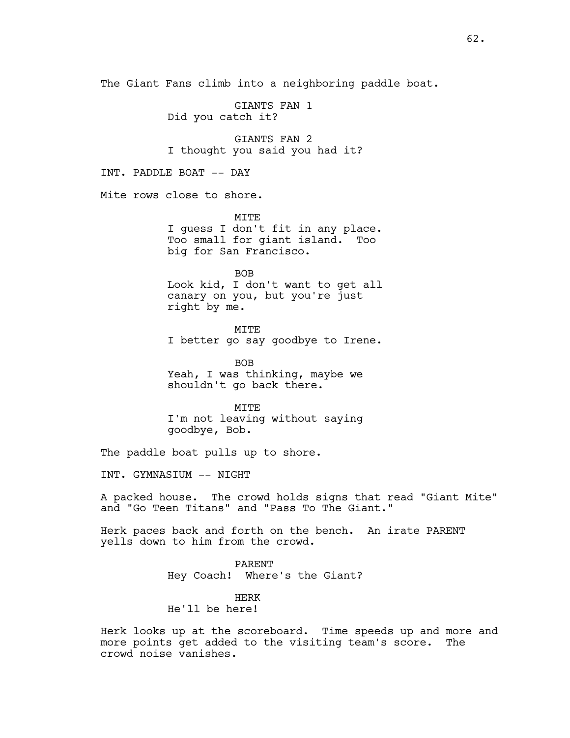The Giant Fans climb into a neighboring paddle boat.

GIANTS FAN 1 Did you catch it?

GIANTS FAN 2 I thought you said you had it?

INT. PADDLE BOAT -- DAY

Mite rows close to shore.

MTT<sub>R</sub> I guess I don't fit in any place. Too small for giant island. Too big for San Francisco.

BOB

Look kid, I don't want to get all canary on you, but you're just right by me.

MITE I better go say goodbye to Irene.

BOB Yeah, I was thinking, maybe we shouldn't go back there.

MITE I'm not leaving without saying goodbye, Bob.

The paddle boat pulls up to shore.

INT. GYMNASIUM -- NIGHT

A packed house. The crowd holds signs that read "Giant Mite" and "Go Teen Titans" and "Pass To The Giant."

Herk paces back and forth on the bench. An irate PARENT yells down to him from the crowd.

> PARENT Hey Coach! Where's the Giant?

HERK He'll be here!

Herk looks up at the scoreboard. Time speeds up and more and more points get added to the visiting team's score. The crowd noise vanishes.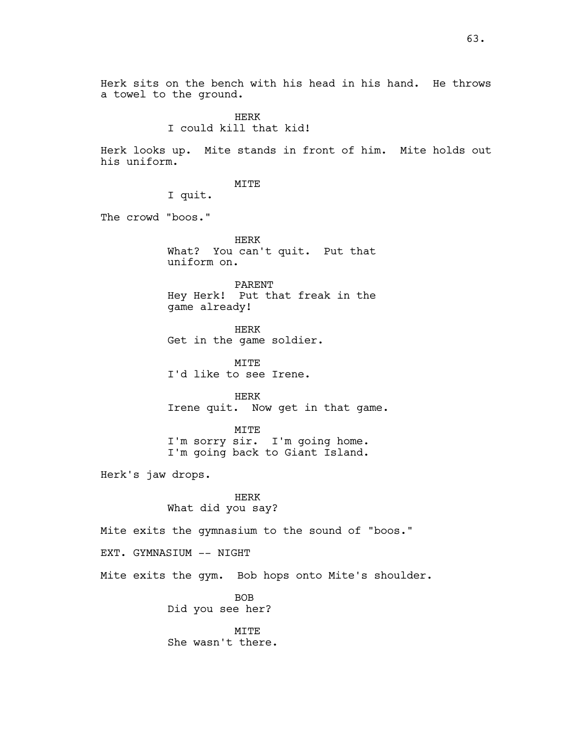Herk sits on the bench with his head in his hand. He throws a towel to the ground.

> HERK I could kill that kid!

Herk looks up. Mite stands in front of him. Mite holds out his uniform.

MITE

I quit.

The crowd "boos."

HERK What? You can't quit. Put that uniform on.

PARENT Hey Herk! Put that freak in the game already!

HERK Get in the game soldier.

MITE I'd like to see Irene.

HERK Irene quit. Now get in that game.

MITE I'm sorry sir. I'm going home. I'm going back to Giant Island.

Herk's jaw drops.

HERK What did you say?

Mite exits the gymnasium to the sound of "boos."

EXT. GYMNASIUM -- NIGHT

Mite exits the gym. Bob hops onto Mite's shoulder.

BOB Did you see her?

MITE She wasn't there.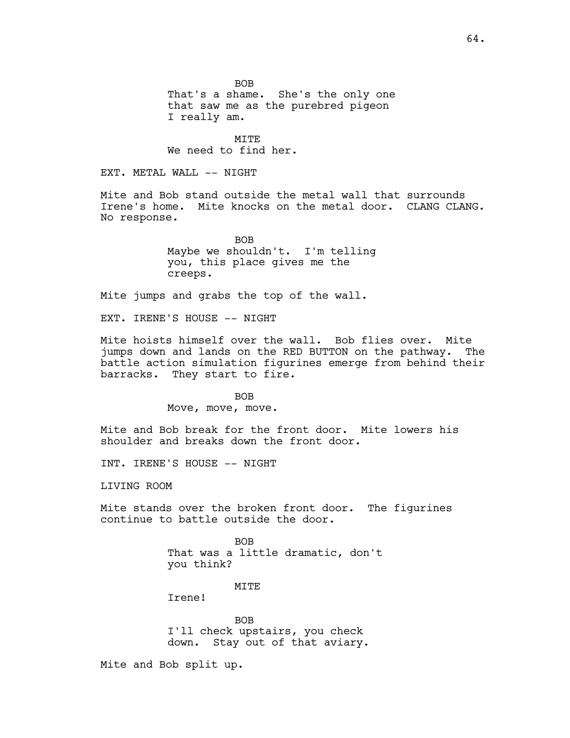BOB That's a shame. She's the only one that saw me as the purebred pigeon I really am.

MITE We need to find her.

EXT. METAL WALL -- NIGHT

Mite and Bob stand outside the metal wall that surrounds Irene's home. Mite knocks on the metal door. CLANG CLANG. No response.

> BOB Maybe we shouldn't. I'm telling you, this place gives me the creeps.

Mite jumps and grabs the top of the wall.

EXT. IRENE'S HOUSE -- NIGHT

Mite hoists himself over the wall. Bob flies over. Mite jumps down and lands on the RED BUTTON on the pathway. The battle action simulation figurines emerge from behind their barracks. They start to fire.

> BOB Move, move, move.

Mite and Bob break for the front door. Mite lowers his shoulder and breaks down the front door.

INT. IRENE'S HOUSE -- NIGHT

LIVING ROOM

Mite stands over the broken front door. The figurines continue to battle outside the door.

> BOB That was a little dramatic, don't you think?

> > **MTTE**

Irene!

BOB I'll check upstairs, you check down. Stay out of that aviary.

Mite and Bob split up.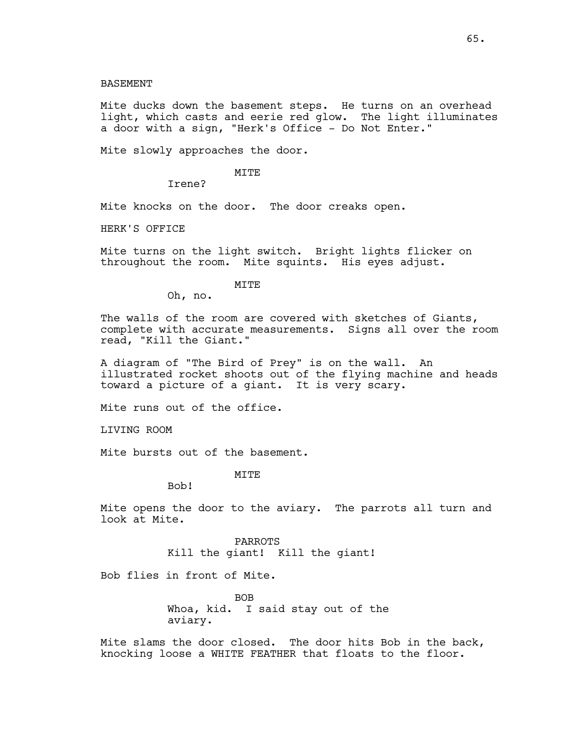Mite ducks down the basement steps. He turns on an overhead light, which casts and eerie red glow. The light illuminates a door with a sign, "Herk's Office - Do Not Enter."

Mite slowly approaches the door.

## MITE

Irene?

Mite knocks on the door. The door creaks open.

HERK'S OFFICE

Mite turns on the light switch. Bright lights flicker on throughout the room. Mite squints. His eyes adjust.

#### MITE

Oh, no.

The walls of the room are covered with sketches of Giants, complete with accurate measurements. Signs all over the room read, "Kill the Giant."

A diagram of "The Bird of Prey" is on the wall. An illustrated rocket shoots out of the flying machine and heads toward a picture of a giant. It is very scary.

Mite runs out of the office.

LIVING ROOM

Mite bursts out of the basement.

MITE

Bob!

Mite opens the door to the aviary. The parrots all turn and look at Mite.

> PARROTS Kill the giant! Kill the giant!

Bob flies in front of Mite.

BOB Whoa, kid. I said stay out of the aviary.

Mite slams the door closed. The door hits Bob in the back, knocking loose a WHITE FEATHER that floats to the floor.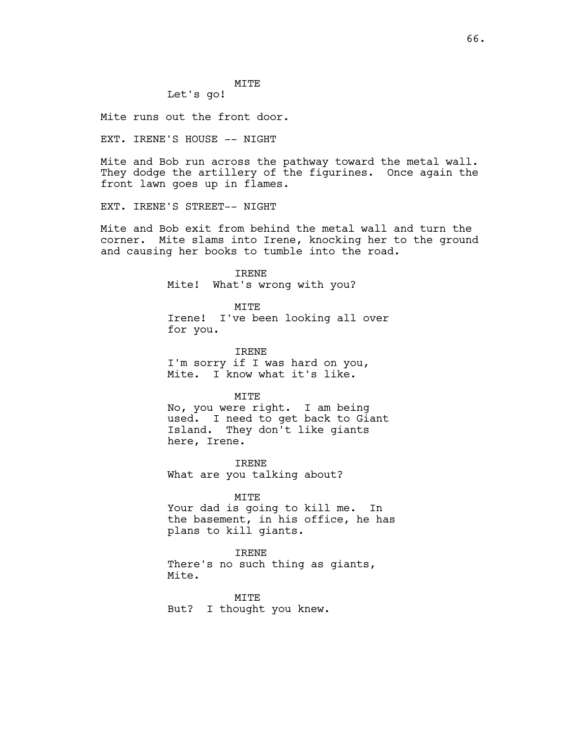# MITE

Let's go!

Mite runs out the front door.

EXT. IRENE'S HOUSE -- NIGHT

Mite and Bob run across the pathway toward the metal wall. They dodge the artillery of the figurines. Once again the front lawn goes up in flames.

EXT. IRENE'S STREET-- NIGHT

Mite and Bob exit from behind the metal wall and turn the corner. Mite slams into Irene, knocking her to the ground and causing her books to tumble into the road.

> IRENE Mite! What's wrong with you?

MITE Irene! I've been looking all over for you.

IRENE I'm sorry if I was hard on you, Mite. I know what it's like.

MITE

No, you were right. I am being used. I need to get back to Giant Island. They don't like giants here, Irene.

IRENE What are you talking about?

MITE

Your dad is going to kill me. In the basement, in his office, he has plans to kill giants.

IRENE There's no such thing as giants,

Mite.

MITE But? I thought you knew.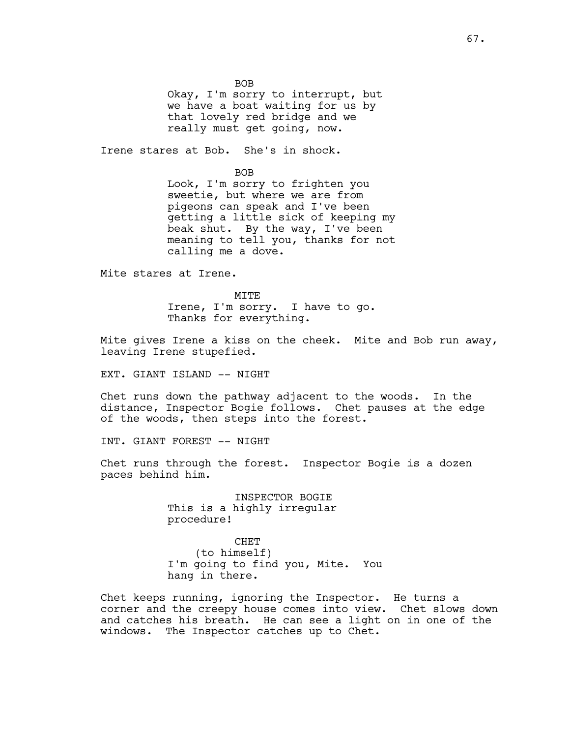BOB

Okay, I'm sorry to interrupt, but we have a boat waiting for us by that lovely red bridge and we really must get going, now.

Irene stares at Bob. She's in shock.

BOB Look, I'm sorry to frighten you sweetie, but where we are from

pigeons can speak and I've been getting a little sick of keeping my beak shut. By the way, I've been meaning to tell you, thanks for not calling me a dove.

Mite stares at Irene.

MTTF. Irene, I'm sorry. I have to go. Thanks for everything.

Mite gives Irene a kiss on the cheek. Mite and Bob run away, leaving Irene stupefied.

EXT. GIANT ISLAND -- NIGHT

Chet runs down the pathway adjacent to the woods. In the distance, Inspector Bogie follows. Chet pauses at the edge of the woods, then steps into the forest.

INT. GIANT FOREST -- NIGHT

Chet runs through the forest. Inspector Bogie is a dozen paces behind him.

> INSPECTOR BOGIE This is a highly irregular procedure!

CHET (to himself) I'm going to find you, Mite. You hang in there.

Chet keeps running, ignoring the Inspector. He turns a corner and the creepy house comes into view. Chet slows down and catches his breath. He can see a light on in one of the windows. The Inspector catches up to Chet.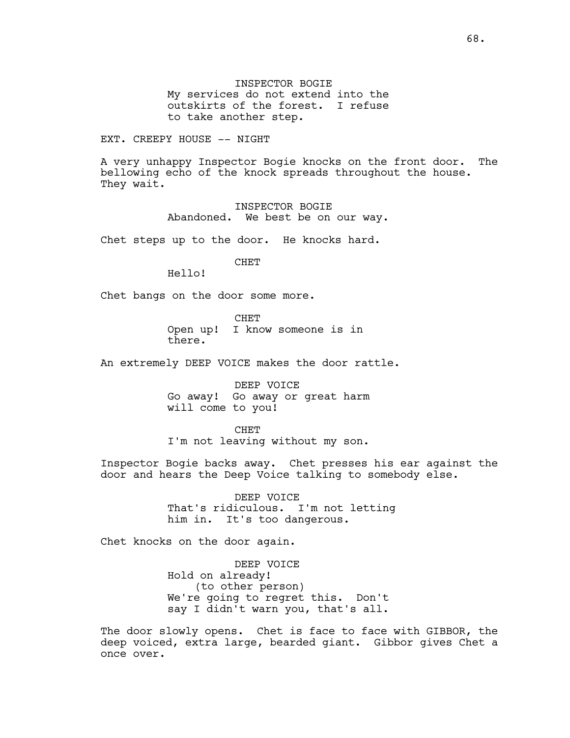INSPECTOR BOGIE My services do not extend into the outskirts of the forest. I refuse to take another step.

EXT. CREEPY HOUSE -- NIGHT

A very unhappy Inspector Bogie knocks on the front door. The bellowing echo of the knock spreads throughout the house. They wait.

> INSPECTOR BOGIE Abandoned. We best be on our way.

Chet steps up to the door. He knocks hard.

CHET

Hello!

Chet bangs on the door some more.

CHET Open up! I know someone is in there.

An extremely DEEP VOICE makes the door rattle.

DEEP VOICE Go away! Go away or great harm will come to you!

CHET I'm not leaving without my son.

Inspector Bogie backs away. Chet presses his ear against the door and hears the Deep Voice talking to somebody else.

> DEEP VOICE That's ridiculous. I'm not letting him in. It's too dangerous.

Chet knocks on the door again.

DEEP VOICE Hold on already! (to other person) We're going to regret this. Don't say I didn't warn you, that's all.

The door slowly opens. Chet is face to face with GIBBOR, the deep voiced, extra large, bearded giant. Gibbor gives Chet a once over.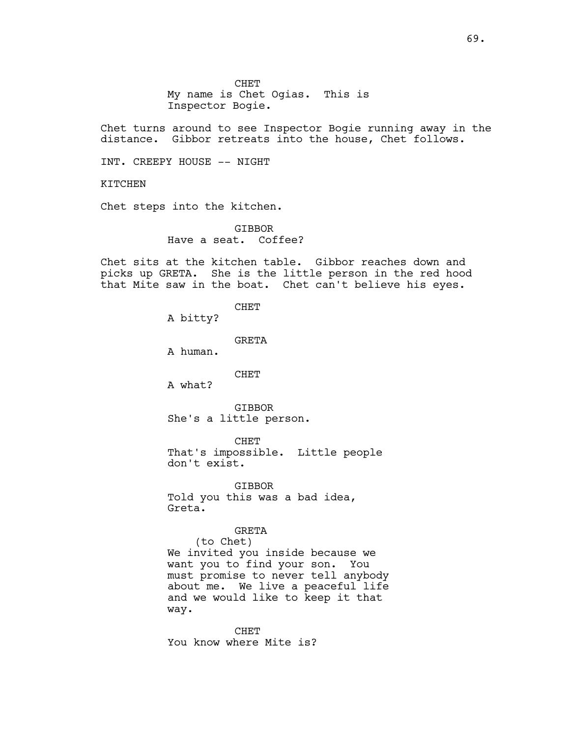My name is Chet Ogias. This is Inspector Bogie.

Chet turns around to see Inspector Bogie running away in the distance. Gibbor retreats into the house, Chet follows.

INT. CREEPY HOUSE -- NIGHT

KITCHEN

Chet steps into the kitchen.

GIBBOR Have a seat. Coffee?

Chet sits at the kitchen table. Gibbor reaches down and picks up GRETA. She is the little person in the red hood that Mite saw in the boat. Chet can't believe his eyes.

> CHET A bitty?

> > GRETA

A human.

CHET

A what?

GIBBOR She's a little person.

CHET

That's impossible. Little people don't exist.

GIBBOR Told you this was a bad idea, Greta.

# GRETA

(to Chet) We invited you inside because we want you to find your son. You must promise to never tell anybody about me. We live a peaceful life and we would like to keep it that way.

CHET You know where Mite is?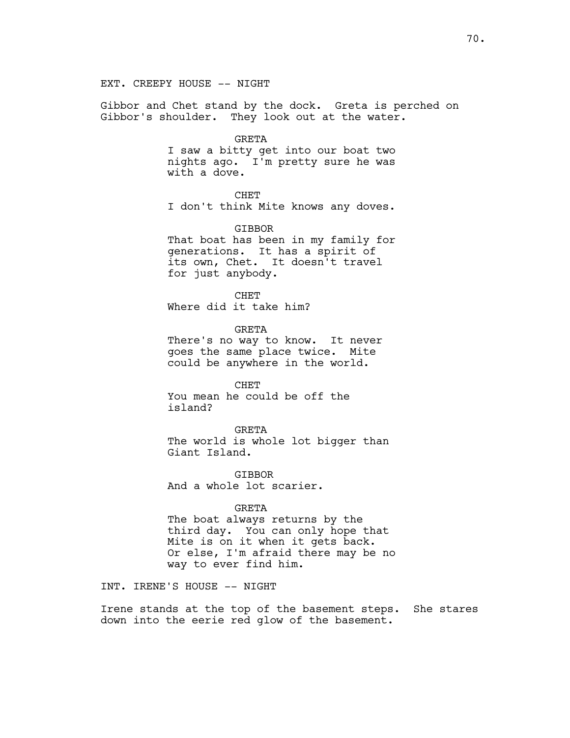Gibbor and Chet stand by the dock. Greta is perched on Gibbor's shoulder. They look out at the water.

#### GRETA

I saw a bitty get into our boat two nights ago. I'm pretty sure he was with a dove.

## CHET

I don't think Mite knows any doves.

#### GIBBOR

That boat has been in my family for generations. It has a spirit of its own, Chet. It doesn't travel for just anybody.

**CHET** Where did it take him?

GRETA There's no way to know. It never goes the same place twice. Mite could be anywhere in the world.

CHET You mean he could be off the island?

GRETA The world is whole lot bigger than Giant Island.

GIBBOR And a whole lot scarier.

#### GRETA

The boat always returns by the third day. You can only hope that Mite is on it when it gets back. Or else, I'm afraid there may be no way to ever find him.

INT. IRENE'S HOUSE -- NIGHT

Irene stands at the top of the basement steps. She stares down into the eerie red glow of the basement.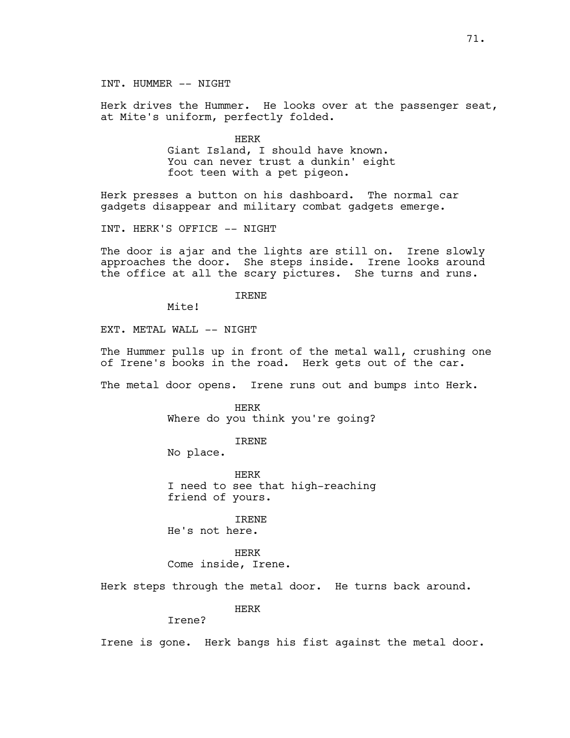INT. HUMMER -- NIGHT

Herk drives the Hummer. He looks over at the passenger seat, at Mite's uniform, perfectly folded.

> HERK Giant Island, I should have known. You can never trust a dunkin' eight foot teen with a pet pigeon.

Herk presses a button on his dashboard. The normal car gadgets disappear and military combat gadgets emerge.

INT. HERK'S OFFICE -- NIGHT

The door is ajar and the lights are still on. Irene slowly approaches the door. She steps inside. Irene looks around the office at all the scary pictures. She turns and runs.

IRENE

Mite!

EXT. METAL WALL -- NIGHT

The Hummer pulls up in front of the metal wall, crushing one of Irene's books in the road. Herk gets out of the car.

The metal door opens. Irene runs out and bumps into Herk.

HERK Where do you think you're going?

IRENE

No place.

HERK I need to see that high-reaching friend of yours.

IRENE

He's not here.

HERK Come inside, Irene.

Herk steps through the metal door. He turns back around.

HERK

Irene?

Irene is gone. Herk bangs his fist against the metal door.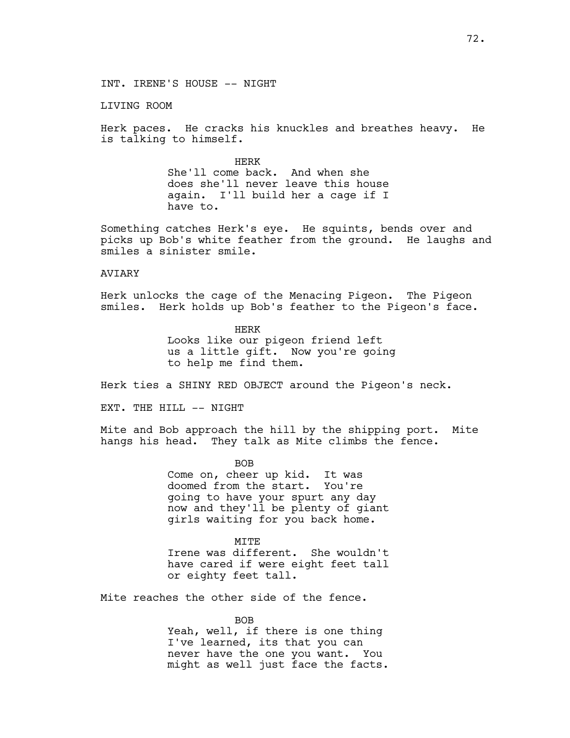LIVING ROOM

Herk paces. He cracks his knuckles and breathes heavy. He is talking to himself.

> HERK She'll come back. And when she does she'll never leave this house again. I'll build her a cage if I have to.

Something catches Herk's eye. He squints, bends over and picks up Bob's white feather from the ground. He laughs and smiles a sinister smile.

### AVIARY

Herk unlocks the cage of the Menacing Pigeon. The Pigeon smiles. Herk holds up Bob's feather to the Pigeon's face.

> HERK Looks like our pigeon friend left us a little gift. Now you're going to help me find them.

Herk ties a SHINY RED OBJECT around the Pigeon's neck.

EXT. THE HILL -- NIGHT

Mite and Bob approach the hill by the shipping port. Mite hangs his head. They talk as Mite climbs the fence.

> BOB Come on, cheer up kid. It was doomed from the start. You're going to have your spurt any day now and they'll be plenty of giant girls waiting for you back home.

> **MTTE** Irene was different. She wouldn't have cared if were eight feet tall or eighty feet tall.

Mite reaches the other side of the fence.

BOB Yeah, well, if there is one thing I've learned, its that you can never have the one you want. You might as well just face the facts.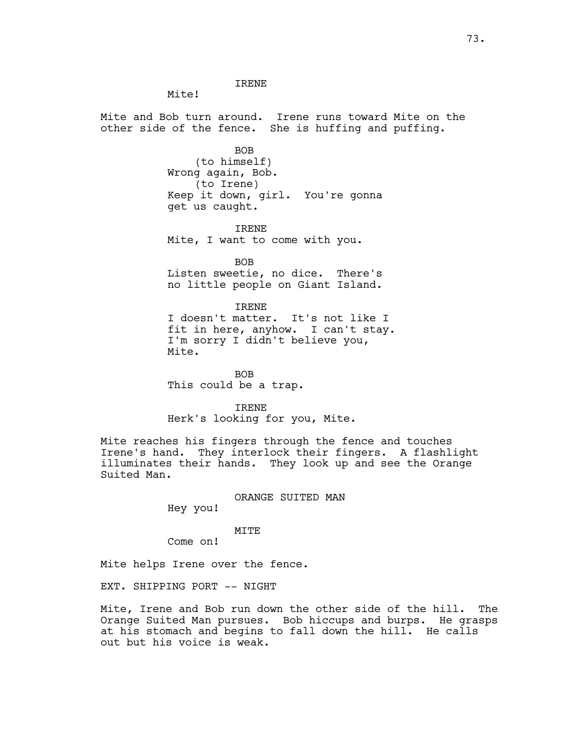Mite!

Mite and Bob turn around. Irene runs toward Mite on the other side of the fence. She is huffing and puffing.

BOB

(to himself) Wrong again, Bob. (to Irene) Keep it down, girl. You're gonna get us caught.

IRENE Mite, I want to come with you.

BOB Listen sweetie, no dice. There's no little people on Giant Island.

IRENE I doesn't matter. It's not like I fit in here, anyhow. I can't stay. I'm sorry I didn't believe you, Mite.

BOB This could be a trap.

IRENE Herk's looking for you, Mite.

Mite reaches his fingers through the fence and touches Irene's hand. They interlock their fingers. A flashlight illuminates their hands. They look up and see the Orange Suited Man.

ORANGE SUITED MAN

Hey you!

### MITE

Come on!

Mite helps Irene over the fence.

EXT. SHIPPING PORT -- NIGHT

Mite, Irene and Bob run down the other side of the hill. The Orange Suited Man pursues. Bob hiccups and burps. He grasps at his stomach and begins to fall down the hill. He calls out but his voice is weak.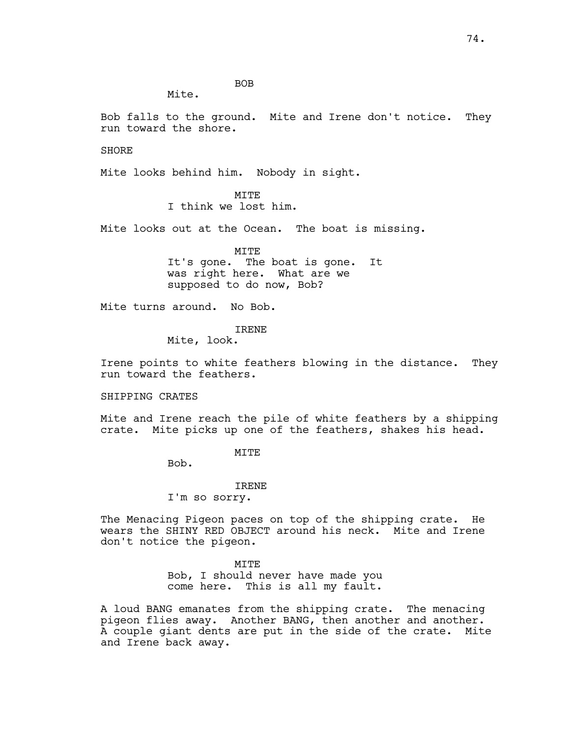BOB

Mite.

Bob falls to the ground. Mite and Irene don't notice. They run toward the shore.

SHORE

Mite looks behind him. Nobody in sight.

**MTTE** I think we lost him.

Mite looks out at the Ocean. The boat is missing.

MITE It's gone. The boat is gone. It was right here. What are we supposed to do now, Bob?

Mite turns around. No Bob.

IRENE

Mite, look.

Irene points to white feathers blowing in the distance. They run toward the feathers.

SHIPPING CRATES

Mite and Irene reach the pile of white feathers by a shipping crate. Mite picks up one of the feathers, shakes his head.

MITE

Bob.

## IRENE

I'm so sorry.

The Menacing Pigeon paces on top of the shipping crate. He wears the SHINY RED OBJECT around his neck. Mite and Irene don't notice the pigeon.

MITE

Bob, I should never have made you come here. This is all my fault.

A loud BANG emanates from the shipping crate. The menacing pigeon flies away. Another BANG, then another and another. A couple giant dents are put in the side of the crate. Mite and Irene back away.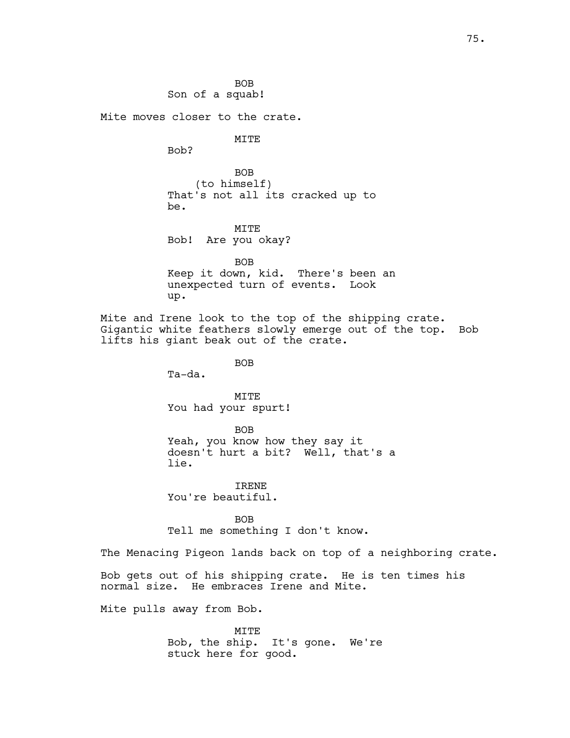BOB Son of a squab!

Mite moves closer to the crate.

MITE

Bob?

BOB (to himself) That's not all its cracked up to be.

MITE Bob! Are you okay?

BOB Keep it down, kid. There's been an unexpected turn of events. Look up.

Mite and Irene look to the top of the shipping crate. Gigantic white feathers slowly emerge out of the top. Bob lifts his giant beak out of the crate.

BOB

Ta-da.

MITE You had your spurt!

BOB

Yeah, you know how they say it doesn't hurt a bit? Well, that's a lie.

IRENE You're beautiful.

BOB Tell me something I don't know.

The Menacing Pigeon lands back on top of a neighboring crate.

Bob gets out of his shipping crate. He is ten times his normal size. He embraces Irene and Mite.

Mite pulls away from Bob.

MITE Bob, the ship. It's gone. We're stuck here for good.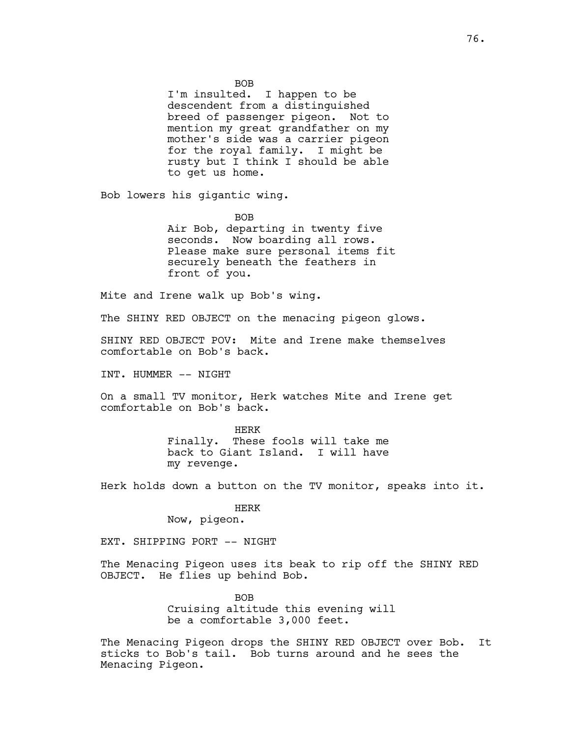BOB

I'm insulted. I happen to be descendent from a distinguished breed of passenger pigeon. Not to mention my great grandfather on my mother's side was a carrier pigeon for the royal family. I might be rusty but I think I should be able to get us home.

Bob lowers his gigantic wing.

BOB Air Bob, departing in twenty five seconds. Now boarding all rows. Please make sure personal items fit securely beneath the feathers in front of you.

Mite and Irene walk up Bob's wing.

The SHINY RED OBJECT on the menacing pigeon glows.

SHINY RED OBJECT POV: Mite and Irene make themselves comfortable on Bob's back.

INT. HUMMER -- NIGHT

On a small TV monitor, Herk watches Mite and Irene get comfortable on Bob's back.

> HERK Finally. These fools will take me back to Giant Island. I will have my revenge.

Herk holds down a button on the TV monitor, speaks into it.

### HERK

Now, pigeon.

EXT. SHIPPING PORT -- NIGHT

The Menacing Pigeon uses its beak to rip off the SHINY RED OBJECT. He flies up behind Bob.

> BOB Cruising altitude this evening will be a comfortable 3,000 feet.

The Menacing Pigeon drops the SHINY RED OBJECT over Bob. It sticks to Bob's tail. Bob turns around and he sees the Menacing Pigeon.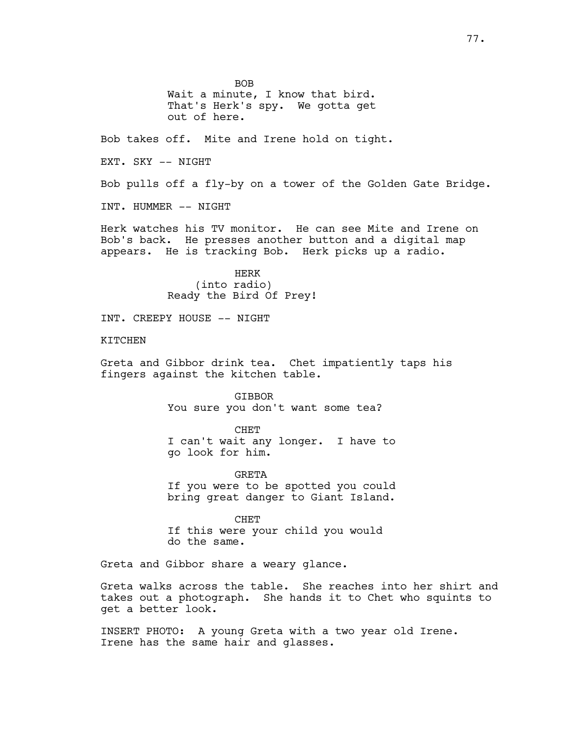BOB Wait a minute, I know that bird. That's Herk's spy. We gotta get out of here. Bob takes off. Mite and Irene hold on tight. EXT. SKY -- NIGHT Bob pulls off a fly-by on a tower of the Golden Gate Bridge. INT. HUMMER -- NIGHT Herk watches his TV monitor. He can see Mite and Irene on Bob's back. He presses another button and a digital map appears. He is tracking Bob. Herk picks up a radio. HERK (into radio) Ready the Bird Of Prey! INT. CREEPY HOUSE -- NIGHT **KTTCHEN** Greta and Gibbor drink tea. Chet impatiently taps his fingers against the kitchen table. GIBBOR You sure you don't want some tea? CHET I can't wait any longer. I have to go look for him. GRETA If you were to be spotted you could bring great danger to Giant Island. CHET If this were your child you would do the same. Greta and Gibbor share a weary glance. Greta walks across the table. She reaches into her shirt and takes out a photograph. She hands it to Chet who squints to get a better look.

INSERT PHOTO: A young Greta with a two year old Irene. Irene has the same hair and glasses.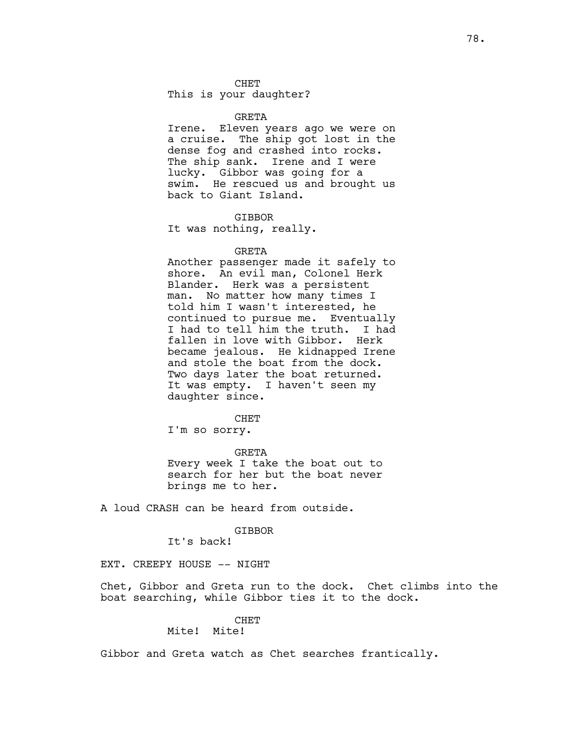### CHET

This is your daughter?

### GRETA

Irene. Eleven years ago we were on a cruise. The ship got lost in the dense fog and crashed into rocks. The ship sank. Irene and I were lucky. Gibbor was going for a swim. He rescued us and brought us back to Giant Island.

#### **GTBBOR**

It was nothing, really.

### GRETA

Another passenger made it safely to shore. An evil man, Colonel Herk Blander. Herk was a persistent man. No matter how many times I told him I wasn't interested, he continued to pursue me. Eventually I had to tell him the truth. I had fallen in love with Gibbor. Herk became jealous. He kidnapped Irene and stole the boat from the dock. Two days later the boat returned. It was empty. I haven't seen my daughter since.

**CHET** 

I'm so sorry.

GRETA Every week I take the boat out to search for her but the boat never brings me to her.

A loud CRASH can be heard from outside.

## GIBBOR

It's back!

EXT. CREEPY HOUSE -- NIGHT

Chet, Gibbor and Greta run to the dock. Chet climbs into the boat searching, while Gibbor ties it to the dock.

# CHET

# Mite! Mite!

Gibbor and Greta watch as Chet searches frantically.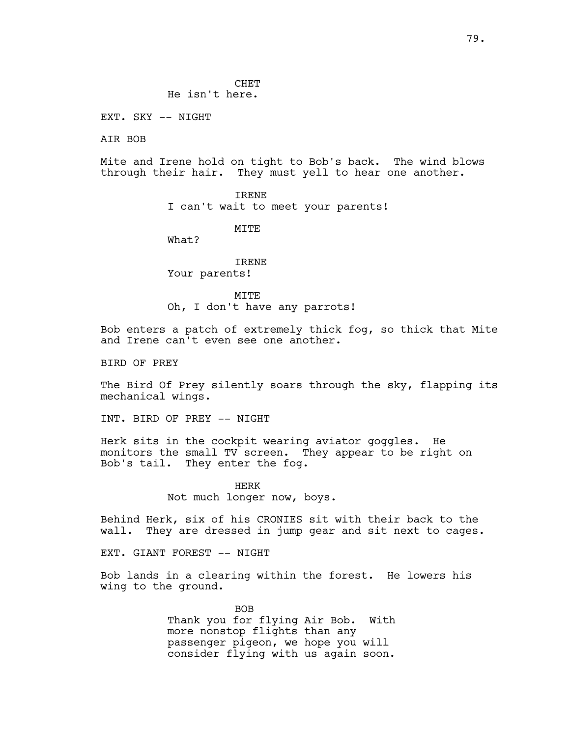EXT. SKY -- NIGHT

AIR BOB

Mite and Irene hold on tight to Bob's back. The wind blows through their hair. They must yell to hear one another.

> IRENE I can't wait to meet your parents!

> > MTTF.

What?

IRENE Your parents!

MTT<sub>R</sub> Oh, I don't have any parrots!

Bob enters a patch of extremely thick fog, so thick that Mite and Irene can't even see one another.

BIRD OF PREY

The Bird Of Prey silently soars through the sky, flapping its mechanical wings.

INT. BIRD OF PREY -- NIGHT

Herk sits in the cockpit wearing aviator goggles. He monitors the small TV screen. They appear to be right on Bob's tail. They enter the fog.

> HERK Not much longer now, boys.

Behind Herk, six of his CRONIES sit with their back to the wall. They are dressed in jump gear and sit next to cages.

EXT. GIANT FOREST -- NIGHT

Bob lands in a clearing within the forest. He lowers his wing to the ground.

> BOB Thank you for flying Air Bob. With more nonstop flights than any passenger pigeon, we hope you will consider flying with us again soon.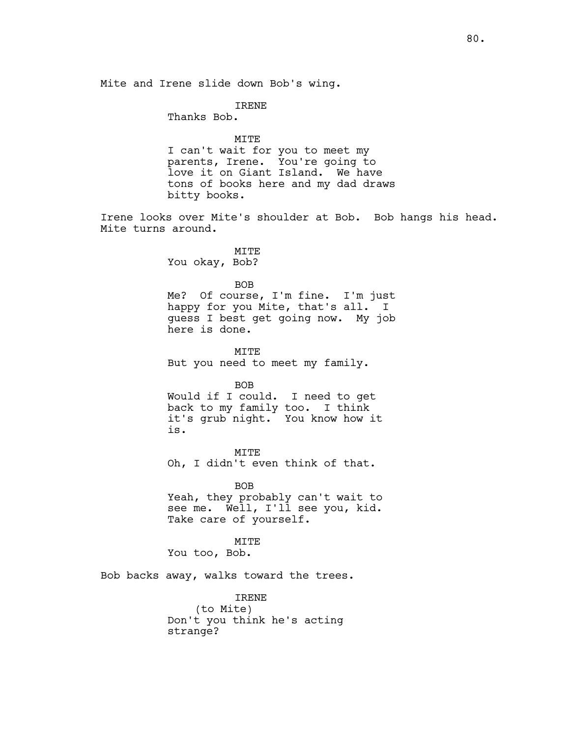Mite and Irene slide down Bob's wing.

IRENE

Thanks Bob.

MITE I can't wait for you to meet my parents, Irene. You're going to love it on Giant Island. We have tons of books here and my dad draws bitty books.

Irene looks over Mite's shoulder at Bob. Bob hangs his head. Mite turns around.

> MITE You okay, Bob?

> > BOB

Me? Of course, I'm fine. I'm just happy for you Mite, that's all. I guess I best get going now. My job here is done.

MITE But you need to meet my family.

BOB Would if I could. I need to get back to my family too. I think it's grub night. You know how it is.

MITE Oh, I didn't even think of that.

BOB Yeah, they probably can't wait to see me. Well, I'll see you, kid. Take care of yourself.

MITE You too, Bob.

Bob backs away, walks toward the trees.

IRENE (to Mite) Don't you think he's acting strange?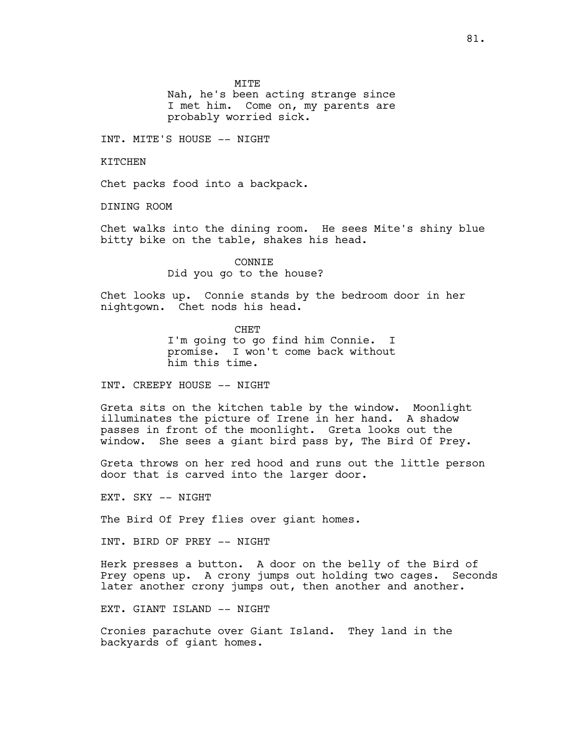MITE

Nah, he's been acting strange since I met him. Come on, my parents are probably worried sick.

INT. MITE'S HOUSE -- NIGHT

KITCHEN

Chet packs food into a backpack.

DINING ROOM

Chet walks into the dining room. He sees Mite's shiny blue bitty bike on the table, shakes his head.

> CONNIE Did you go to the house?

Chet looks up. Connie stands by the bedroom door in her nightgown. Chet nods his head.

> CHET I'm going to go find him Connie. I promise. I won't come back without him this time.

INT. CREEPY HOUSE -- NIGHT

Greta sits on the kitchen table by the window. Moonlight illuminates the picture of Irene in her hand. A shadow passes in front of the moonlight. Greta looks out the window. She sees a giant bird pass by, The Bird Of Prey.

Greta throws on her red hood and runs out the little person door that is carved into the larger door.

EXT. SKY -- NIGHT

The Bird Of Prey flies over giant homes.

INT. BIRD OF PREY -- NIGHT

Herk presses a button. A door on the belly of the Bird of Prey opens up. A crony jumps out holding two cages. Seconds later another crony jumps out, then another and another.

EXT. GIANT ISLAND -- NIGHT

Cronies parachute over Giant Island. They land in the backyards of giant homes.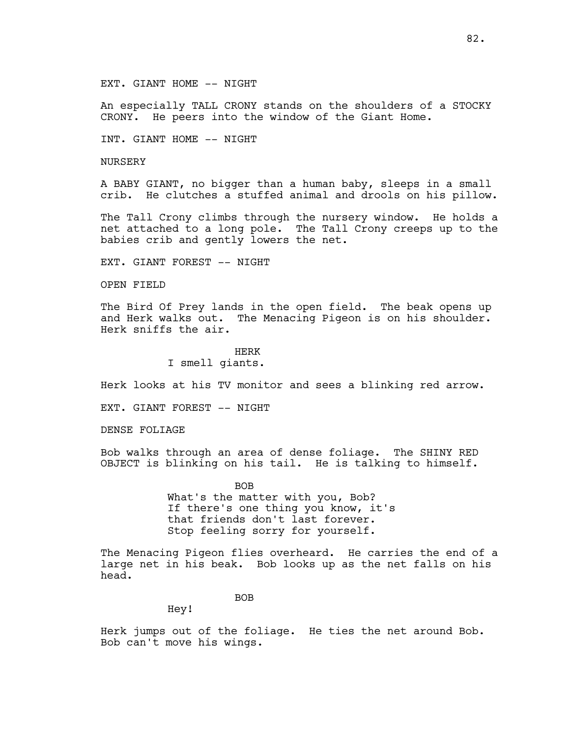## EXT. GIANT HOME -- NIGHT

An especially TALL CRONY stands on the shoulders of a STOCKY CRONY. He peers into the window of the Giant Home.

INT. GIANT HOME -- NIGHT

NURSERY

A BABY GIANT, no bigger than a human baby, sleeps in a small crib. He clutches a stuffed animal and drools on his pillow.

The Tall Crony climbs through the nursery window. He holds a net attached to a long pole. The Tall Crony creeps up to the babies crib and gently lowers the net.

EXT. GIANT FOREST -- NIGHT

OPEN FIELD

The Bird Of Prey lands in the open field. The beak opens up and Herk walks out. The Menacing Pigeon is on his shoulder. Herk sniffs the air.

HERK

I smell giants.

Herk looks at his TV monitor and sees a blinking red arrow.

EXT. GIANT FOREST -- NIGHT

DENSE FOLIAGE

Bob walks through an area of dense foliage. The SHINY RED OBJECT is blinking on his tail. He is talking to himself.

> **BOB** What's the matter with you, Bob? If there's one thing you know, it's that friends don't last forever. Stop feeling sorry for yourself.

The Menacing Pigeon flies overheard. He carries the end of a large net in his beak. Bob looks up as the net falls on his head.

BOB

Hey!

Herk jumps out of the foliage. He ties the net around Bob. Bob can't move his wings.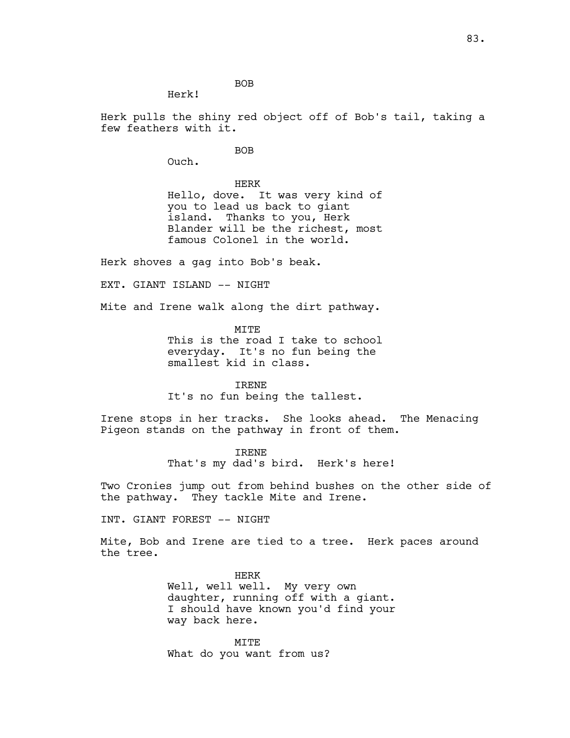BOB

Herk!

Herk pulls the shiny red object off of Bob's tail, taking a few feathers with it.

BOB

Ouch.

HERK Hello, dove. It was very kind of you to lead us back to giant island. Thanks to you, Herk Blander will be the richest, most famous Colonel in the world.

Herk shoves a gag into Bob's beak.

EXT. GIANT ISLAND -- NIGHT

Mite and Irene walk along the dirt pathway.

MITE This is the road I take to school everyday. It's no fun being the smallest kid in class.

IRENE It's no fun being the tallest.

Irene stops in her tracks. She looks ahead. The Menacing Pigeon stands on the pathway in front of them.

> IRENE That's my dad's bird. Herk's here!

Two Cronies jump out from behind bushes on the other side of the pathway. They tackle Mite and Irene.

INT. GIANT FOREST -- NIGHT

Mite, Bob and Irene are tied to a tree. Herk paces around the tree.

> HERK Well, well well. My very own daughter, running off with a giant. I should have known you'd find your way back here.

**MTTE** What do you want from us?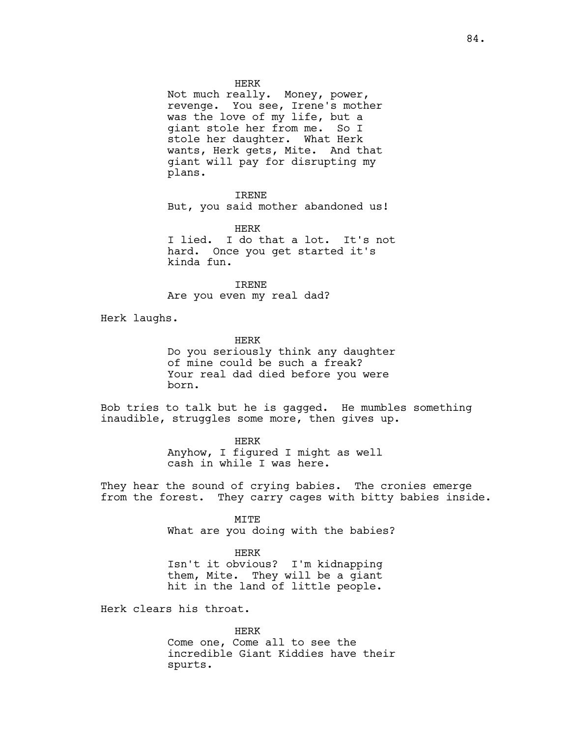HERK

Not much really. Money, power, revenge. You see, Irene's mother was the love of my life, but a giant stole her from me. So I stole her daughter. What Herk wants, Herk gets, Mite. And that giant will pay for disrupting my plans.

IRENE

But, you said mother abandoned us!

HERK I lied. I do that a lot. It's not hard. Once you get started it's kinda fun.

IRENE Are you even my real dad?

Herk laughs.

HERK Do you seriously think any daughter of mine could be such a freak? Your real dad died before you were born.

Bob tries to talk but he is gagged. He mumbles something inaudible, struggles some more, then gives up.

> HERK Anyhow, I figured I might as well cash in while I was here.

They hear the sound of crying babies. The cronies emerge from the forest. They carry cages with bitty babies inside.

> MITE What are you doing with the babies?

HERK Isn't it obvious? I'm kidnapping them, Mite. They will be a giant hit in the land of little people.

Herk clears his throat.

HERK Come one, Come all to see the incredible Giant Kiddies have their spurts.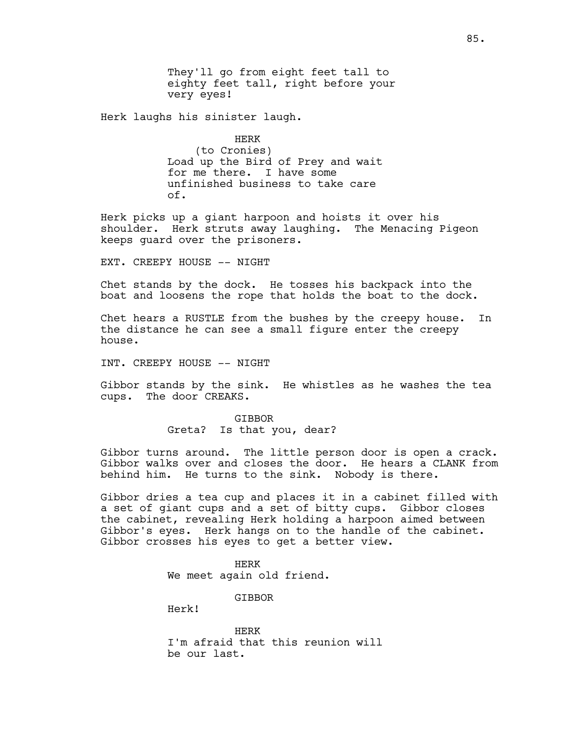They'll go from eight feet tall to eighty feet tall, right before your very eyes!

Herk laughs his sinister laugh.

HERK (to Cronies) Load up the Bird of Prey and wait for me there. I have some unfinished business to take care of.

Herk picks up a giant harpoon and hoists it over his shoulder. Herk struts away laughing. The Menacing Pigeon keeps guard over the prisoners.

EXT. CREEPY HOUSE -- NIGHT

Chet stands by the dock. He tosses his backpack into the boat and loosens the rope that holds the boat to the dock.

Chet hears a RUSTLE from the bushes by the creepy house. In the distance he can see a small figure enter the creepy house.

INT. CREEPY HOUSE -- NIGHT

Gibbor stands by the sink. He whistles as he washes the tea cups. The door CREAKS.

> **GTBBOR** Greta? Is that you, dear?

Gibbor turns around. The little person door is open a crack. Gibbor walks over and closes the door. He hears a CLANK from behind him. He turns to the sink. Nobody is there.

Gibbor dries a tea cup and places it in a cabinet filled with a set of giant cups and a set of bitty cups. Gibbor closes the cabinet, revealing Herk holding a harpoon aimed between Gibbor's eyes. Herk hangs on to the handle of the cabinet. Gibbor crosses his eyes to get a better view.

> HERK We meet again old friend.

> > GIBBOR

Herk!

HERK I'm afraid that this reunion will be our last.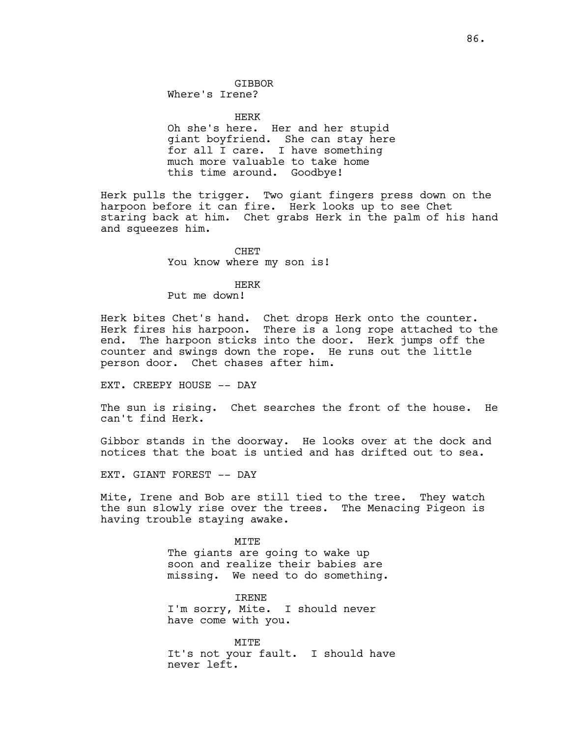# GIBBOR

Where's Irene?

HERK Oh she's here. Her and her stupid giant boyfriend. She can stay here for all I care. I have something much more valuable to take home this time around. Goodbye!

Herk pulls the trigger. Two giant fingers press down on the harpoon before it can fire. Herk looks up to see Chet staring back at him. Chet grabs Herk in the palm of his hand and squeezes him.

# CHET

You know where my son is!

## HERK

Put me down!

Herk bites Chet's hand. Chet drops Herk onto the counter. Herk fires his harpoon. There is a long rope attached to the end. The harpoon sticks into the door. Herk jumps off the counter and swings down the rope. He runs out the little person door. Chet chases after him.

EXT. CREEPY HOUSE -- DAY

The sun is rising. Chet searches the front of the house. He can't find Herk.

Gibbor stands in the doorway. He looks over at the dock and notices that the boat is untied and has drifted out to sea.

EXT. GIANT FOREST -- DAY

Mite, Irene and Bob are still tied to the tree. They watch the sun slowly rise over the trees. The Menacing Pigeon is having trouble staying awake.

> MITE The giants are going to wake up soon and realize their babies are missing. We need to do something.

IRENE I'm sorry, Mite. I should never have come with you.

MITE It's not your fault. I should have never left.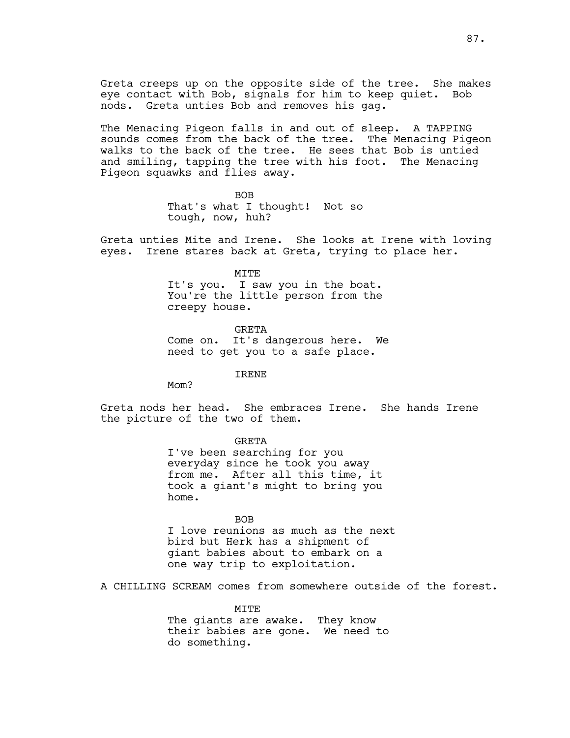Greta creeps up on the opposite side of the tree. She makes eye contact with Bob, signals for him to keep quiet. Bob nods. Greta unties Bob and removes his gag.

The Menacing Pigeon falls in and out of sleep. A TAPPING sounds comes from the back of the tree. The Menacing Pigeon walks to the back of the tree. He sees that Bob is untied and smiling, tapping the tree with his foot. The Menacing Pigeon squawks and flies away.

> BOB That's what I thought! Not so tough, now, huh?

Greta unties Mite and Irene. She looks at Irene with loving eyes. Irene stares back at Greta, trying to place her.

MITE

It's you. I saw you in the boat. You're the little person from the creepy house.

GRETA Come on. It's dangerous here. We need to get you to a safe place.

IRENE

Mom?

Greta nods her head. She embraces Irene. She hands Irene the picture of the two of them.

**GRETA** 

I've been searching for you everyday since he took you away from me. After all this time, it took a giant's might to bring you home.

BOB I love reunions as much as the next bird but Herk has a shipment of giant babies about to embark on a one way trip to exploitation.

A CHILLING SCREAM comes from somewhere outside of the forest.

MITE The giants are awake. They know their babies are gone. We need to do something.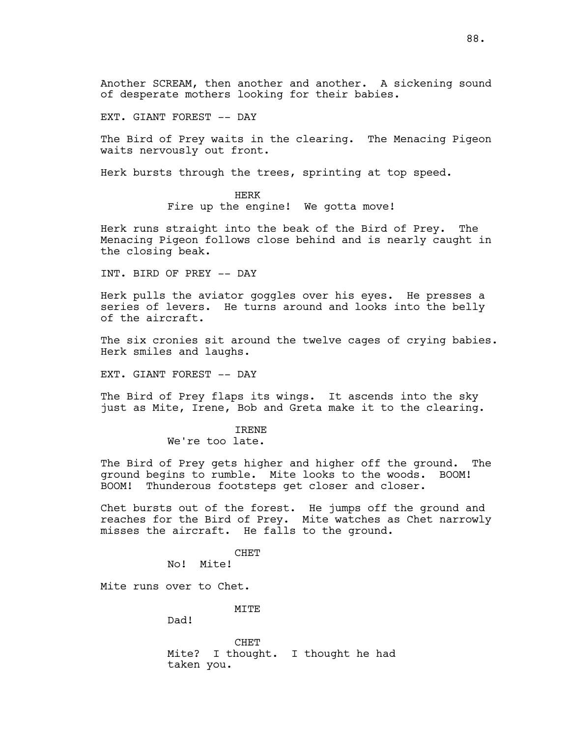Another SCREAM, then another and another. A sickening sound of desperate mothers looking for their babies.

EXT. GIANT FOREST -- DAY

The Bird of Prey waits in the clearing. The Menacing Pigeon waits nervously out front.

Herk bursts through the trees, sprinting at top speed.

HERK Fire up the engine! We gotta move!

Herk runs straight into the beak of the Bird of Prey. The Menacing Pigeon follows close behind and is nearly caught in the closing beak.

INT. BIRD OF PREY -- DAY

Herk pulls the aviator goggles over his eyes. He presses a series of levers. He turns around and looks into the belly of the aircraft.

The six cronies sit around the twelve cages of crying babies. Herk smiles and laughs.

EXT. GIANT FOREST -- DAY

The Bird of Prey flaps its wings. It ascends into the sky just as Mite, Irene, Bob and Greta make it to the clearing.

> IRENE We're too late.

The Bird of Prey gets higher and higher off the ground. The ground begins to rumble. Mite looks to the woods. BOOM! BOOM! Thunderous footsteps get closer and closer.

Chet bursts out of the forest. He jumps off the ground and reaches for the Bird of Prey. Mite watches as Chet narrowly misses the aircraft. He falls to the ground.

CHET

No! Mite!

Mite runs over to Chet.

MITE

Dad!

CHET Mite? I thought. I thought he had taken you.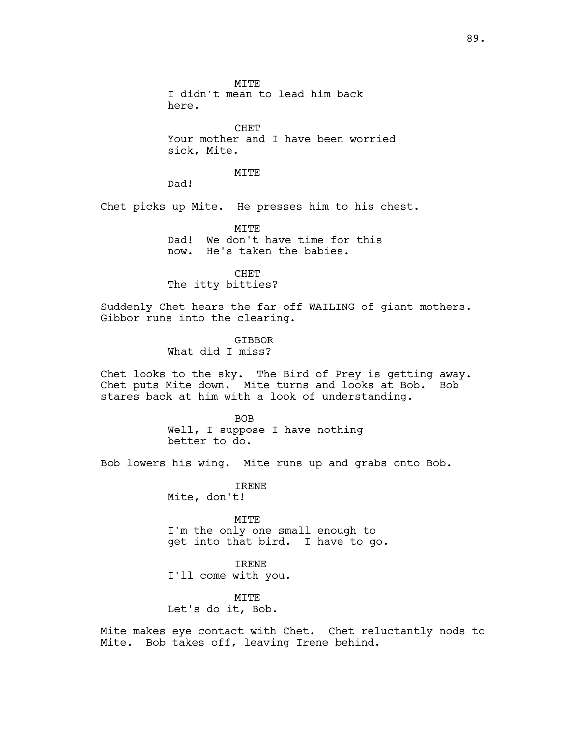MITE I didn't mean to lead him back here.

CHET Your mother and I have been worried sick, Mite.

# MITE

Dad!

Chet picks up Mite. He presses him to his chest.

MITE Dad! We don't have time for this now. He's taken the babies.

CHET The itty bitties?

Suddenly Chet hears the far off WAILING of giant mothers. Gibbor runs into the clearing.

> **GTBBOR** What did I miss?

Chet looks to the sky. The Bird of Prey is getting away. Chet puts Mite down. Mite turns and looks at Bob. Bob stares back at him with a look of understanding.

> BOB Well, I suppose I have nothing better to do.

Bob lowers his wing. Mite runs up and grabs onto Bob.

IRENE Mite, don't!

MITE I'm the only one small enough to get into that bird. I have to go.

IRENE I'll come with you.

MITE Let's do it, Bob.

Mite makes eye contact with Chet. Chet reluctantly nods to Mite. Bob takes off, leaving Irene behind.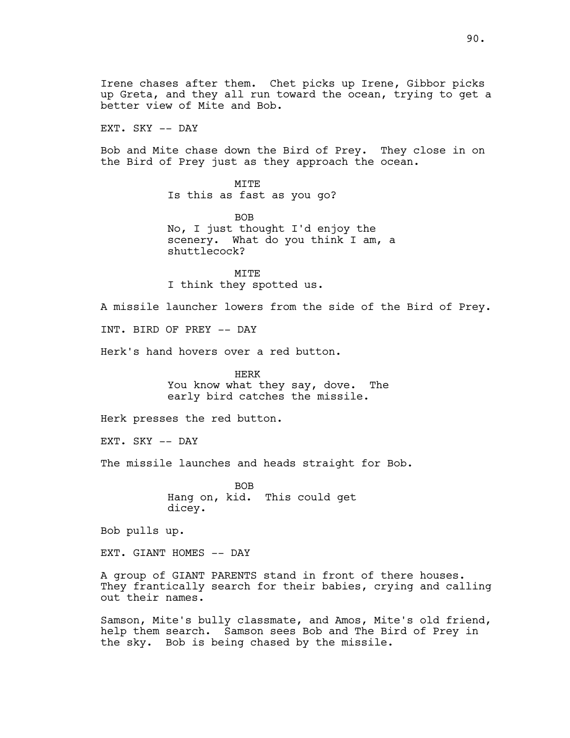Irene chases after them. Chet picks up Irene, Gibbor picks up Greta, and they all run toward the ocean, trying to get a better view of Mite and Bob.

EXT. SKY -- DAY

Bob and Mite chase down the Bird of Prey. They close in on the Bird of Prey just as they approach the ocean.

> MITE Is this as fast as you go?

BOB No, I just thought I'd enjoy the scenery. What do you think I am, a shuttlecock?

MITE I think they spotted us.

A missile launcher lowers from the side of the Bird of Prey.

INT. BIRD OF PREY -- DAY

Herk's hand hovers over a red button.

HERK You know what they say, dove. The early bird catches the missile.

Herk presses the red button.

EXT. SKY -- DAY

The missile launches and heads straight for Bob.

BOB Hang on, kid. This could get dicey.

Bob pulls up.

EXT. GIANT HOMES -- DAY

A group of GIANT PARENTS stand in front of there houses. They frantically search for their babies, crying and calling out their names.

Samson, Mite's bully classmate, and Amos, Mite's old friend, help them search. Samson sees Bob and The Bird of Prey in the sky. Bob is being chased by the missile.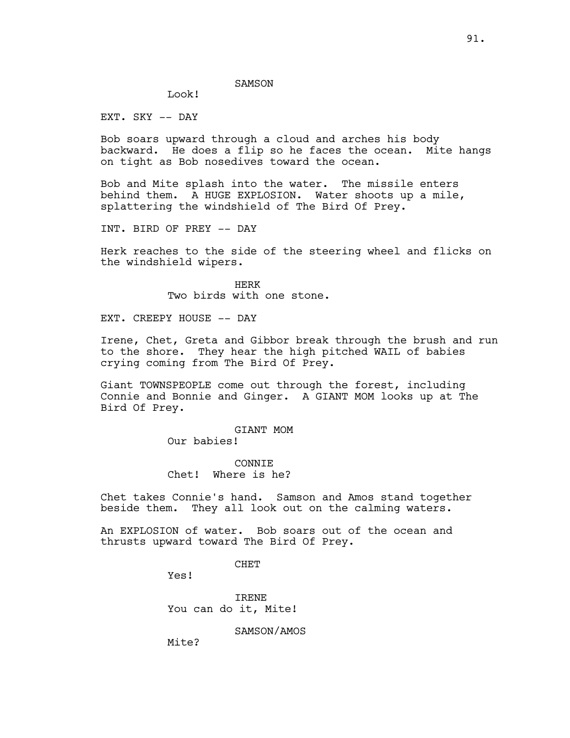# Look!

EXT. SKY -- DAY

Bob soars upward through a cloud and arches his body backward. He does a flip so he faces the ocean. Mite hangs on tight as Bob nosedives toward the ocean.

Bob and Mite splash into the water. The missile enters behind them. A HUGE EXPLOSION. Water shoots up a mile, splattering the windshield of The Bird Of Prey.

INT. BIRD OF PREY -- DAY

Herk reaches to the side of the steering wheel and flicks on the windshield wipers.

> HERK Two birds with one stone.

EXT. CREEPY HOUSE -- DAY

Irene, Chet, Greta and Gibbor break through the brush and run to the shore. They hear the high pitched WAIL of babies crying coming from The Bird Of Prey.

Giant TOWNSPEOPLE come out through the forest, including Connie and Bonnie and Ginger. A GIANT MOM looks up at The Bird Of Prey.

> GIANT MOM Our babies!

> **CONNTE** Chet! Where is he?

Chet takes Connie's hand. Samson and Amos stand together beside them. They all look out on the calming waters.

An EXPLOSION of water. Bob soars out of the ocean and thrusts upward toward The Bird Of Prey.

CHET

Yes!

IRENE You can do it, Mite!

SAMSON/AMOS

Mite?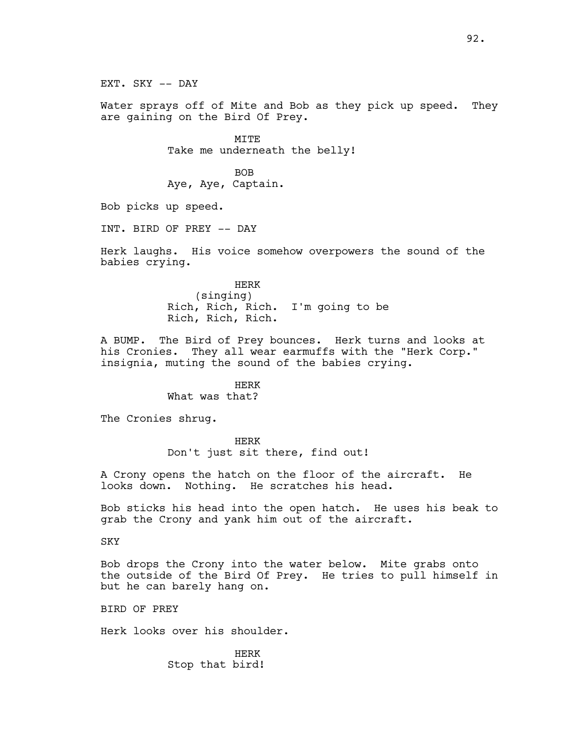EXT. SKY -- DAY

Water sprays off of Mite and Bob as they pick up speed. They are gaining on the Bird Of Prey.

> MITE Take me underneath the belly!

BOB Aye, Aye, Captain.

Bob picks up speed.

INT. BIRD OF PREY -- DAY

Herk laughs. His voice somehow overpowers the sound of the babies crying.

> HERK (singing) Rich, Rich, Rich. I'm going to be Rich, Rich, Rich.

A BUMP. The Bird of Prey bounces. Herk turns and looks at his Cronies. They all wear earmuffs with the "Herk Corp." insignia, muting the sound of the babies crying.

> HERK What was that?

The Cronies shrug.

HERK Don't just sit there, find out!

A Crony opens the hatch on the floor of the aircraft. He looks down. Nothing. He scratches his head.

Bob sticks his head into the open hatch. He uses his beak to grab the Crony and yank him out of the aircraft.

**SKY** 

Bob drops the Crony into the water below. Mite grabs onto the outside of the Bird Of Prey. He tries to pull himself in but he can barely hang on.

BIRD OF PREY

Herk looks over his shoulder.

HERK Stop that bird!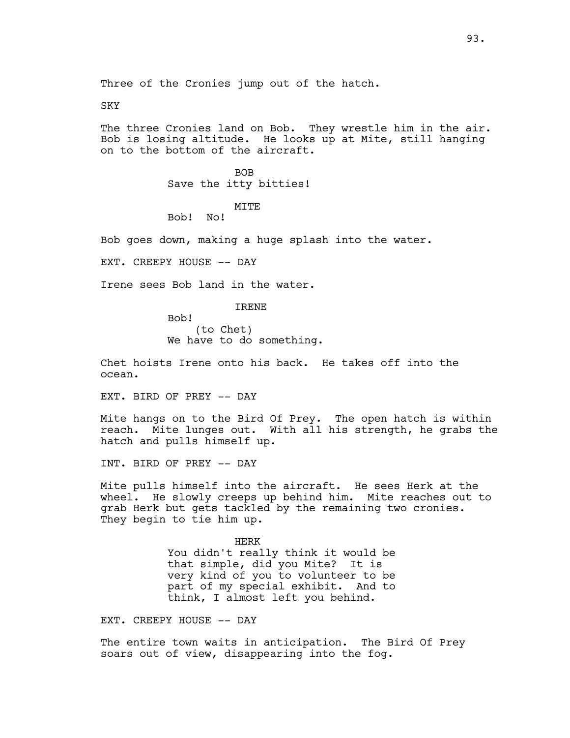Three of the Cronies jump out of the hatch.

### SKY

The three Cronies land on Bob. They wrestle him in the air. Bob is losing altitude. He looks up at Mite, still hanging on to the bottom of the aircraft.

> BOB Save the itty bitties!

> > MITE

Bob! No!

Bob goes down, making a huge splash into the water.

EXT. CREEPY HOUSE -- DAY

Bob!

Irene sees Bob land in the water.

IRENE

(to Chet) We have to do something.

Chet hoists Irene onto his back. He takes off into the ocean.

EXT. BIRD OF PREY -- DAY

Mite hangs on to the Bird Of Prey. The open hatch is within reach. Mite lunges out. With all his strength, he grabs the hatch and pulls himself up.

INT. BIRD OF PREY -- DAY

Mite pulls himself into the aircraft. He sees Herk at the wheel. He slowly creeps up behind him. Mite reaches out to grab Herk but gets tackled by the remaining two cronies. They begin to tie him up.

> HERK You didn't really think it would be that simple, did you Mite? It is very kind of you to volunteer to be part of my special exhibit. And to think, I almost left you behind.

EXT. CREEPY HOUSE -- DAY

The entire town waits in anticipation. The Bird Of Prey soars out of view, disappearing into the fog.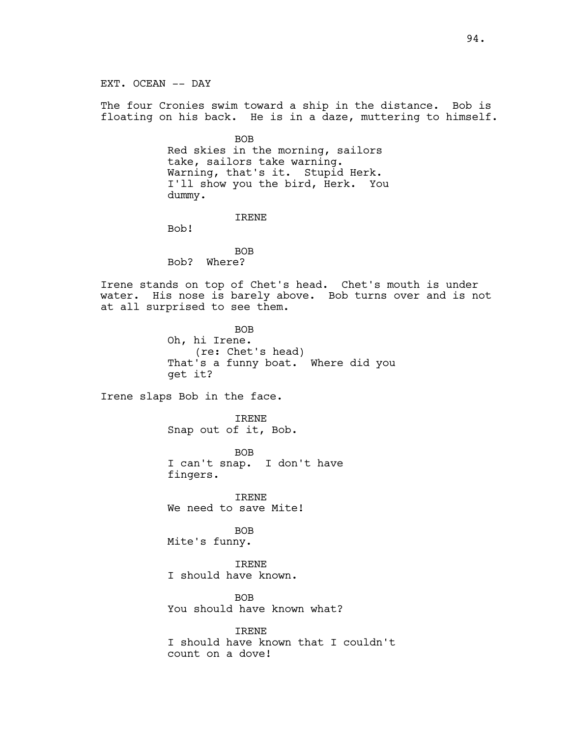The four Cronies swim toward a ship in the distance. Bob is floating on his back. He is in a daze, muttering to himself.

> BOB Red skies in the morning, sailors take, sailors take warning. Warning, that's it. Stupid Herk. I'll show you the bird, Herk. You dummy.

> > IRENE

Bob!

BOB Bob? Where?

Irene stands on top of Chet's head. Chet's mouth is under water. His nose is barely above. Bob turns over and is not at all surprised to see them.

> BOB Oh, hi Irene. (re: Chet's head) That's a funny boat. Where did you get it?

Irene slaps Bob in the face.

IRENE Snap out of it, Bob.

BOB I can't snap. I don't have fingers.

IRENE We need to save Mite!

BOB Mite's funny.

IRENE I should have known.

BOB You should have known what?

IRENE I should have known that I couldn't count on a dove!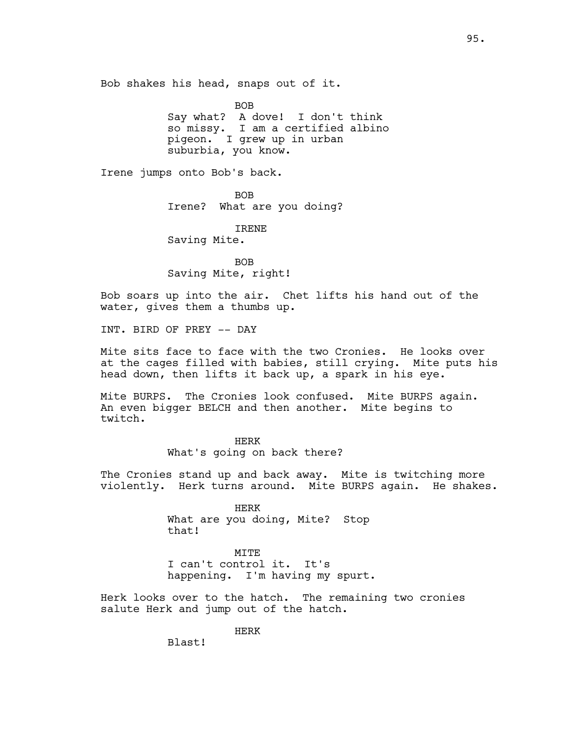Bob shakes his head, snaps out of it.

BOB Say what? A dove! I don't think so missy. I am a certified albino pigeon. I grew up in urban suburbia, you know.

Irene jumps onto Bob's back.

BOB Irene? What are you doing?

IRENE Saving Mite.

BOB Saving Mite, right!

Bob soars up into the air. Chet lifts his hand out of the water, gives them a thumbs up.

INT. BIRD OF PREY -- DAY

Mite sits face to face with the two Cronies. He looks over at the cages filled with babies, still crying. Mite puts his head down, then lifts it back up, a spark in his eye.

Mite BURPS. The Cronies look confused. Mite BURPS again. An even bigger BELCH and then another. Mite begins to twitch.

> HERK What's going on back there?

The Cronies stand up and back away. Mite is twitching more violently. Herk turns around. Mite BURPS again. He shakes.

> HERK What are you doing, Mite? Stop that!

MITE I can't control it. It's happening. I'm having my spurt.

Herk looks over to the hatch. The remaining two cronies salute Herk and jump out of the hatch.

HERK

Blast!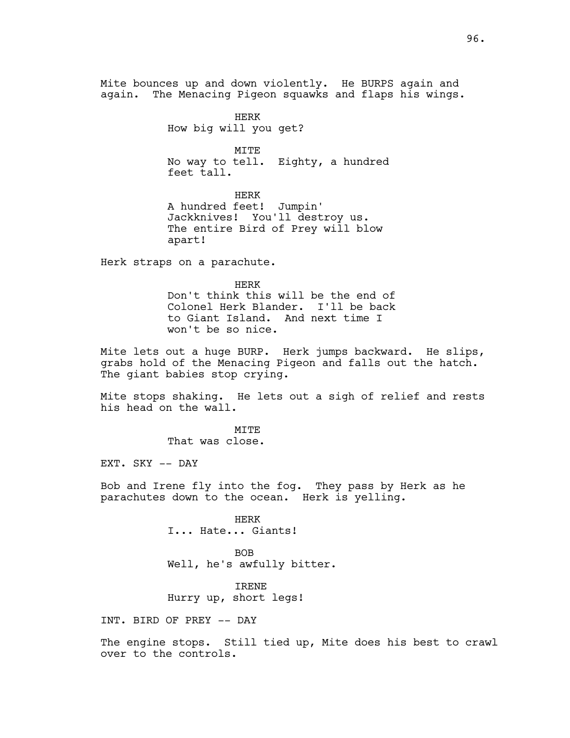Mite bounces up and down violently. He BURPS again and again. The Menacing Pigeon squawks and flaps his wings.

> HERK How big will you get?

MITE No way to tell. Eighty, a hundred feet tall.

HERK A hundred feet! Jumpin' Jackknives! You'll destroy us. The entire Bird of Prey will blow apart!

Herk straps on a parachute.

HERK Don't think this will be the end of Colonel Herk Blander. I'll be back to Giant Island. And next time I won't be so nice.

Mite lets out a huge BURP. Herk jumps backward. He slips, grabs hold of the Menacing Pigeon and falls out the hatch. The giant babies stop crying.

Mite stops shaking. He lets out a sigh of relief and rests his head on the wall.

> $MT$ T $F$ That was close.

EXT. SKY -- DAY

Bob and Irene fly into the fog. They pass by Herk as he parachutes down to the ocean. Herk is yelling.

> HERK I... Hate... Giants!

BOB Well, he's awfully bitter.

IRENE Hurry up, short legs!

INT. BIRD OF PREY -- DAY

The engine stops. Still tied up, Mite does his best to crawl over to the controls.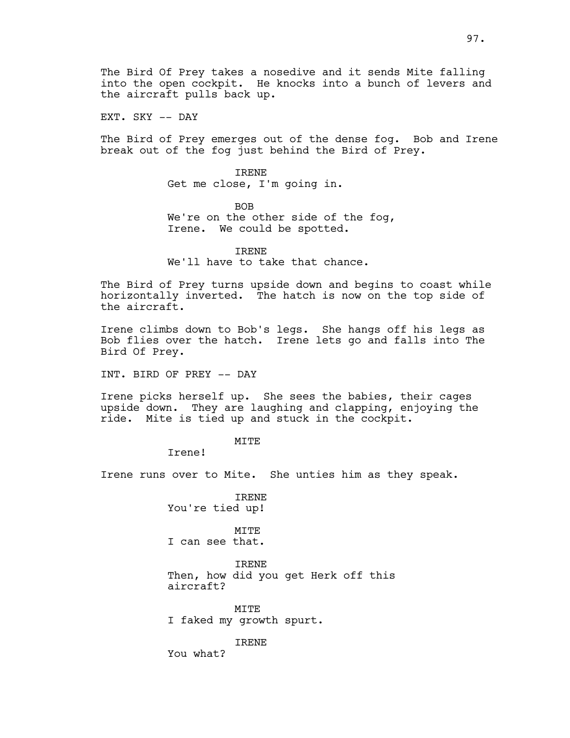The Bird Of Prey takes a nosedive and it sends Mite falling into the open cockpit. He knocks into a bunch of levers and the aircraft pulls back up.

EXT. SKY -- DAY

The Bird of Prey emerges out of the dense fog. Bob and Irene break out of the fog just behind the Bird of Prey.

> IRENE Get me close, I'm going in.

BOB We're on the other side of the fog, Irene. We could be spotted.

IRENE We'll have to take that chance.

The Bird of Prey turns upside down and begins to coast while horizontally inverted. The hatch is now on the top side of the aircraft.

Irene climbs down to Bob's legs. She hangs off his legs as Bob flies over the hatch. Irene lets go and falls into The Bird Of Prey.

INT. BIRD OF PREY -- DAY

Irene picks herself up. She sees the babies, their cages upside down. They are laughing and clapping, enjoying the ride. Mite is tied up and stuck in the cockpit.

**MTTE** 

Irene!

Irene runs over to Mite. She unties him as they speak.

IRENE You're tied up!

MTTF. I can see that.

IRENE Then, how did you get Herk off this aircraft?

MITE I faked my growth spurt.

IRENE

You what?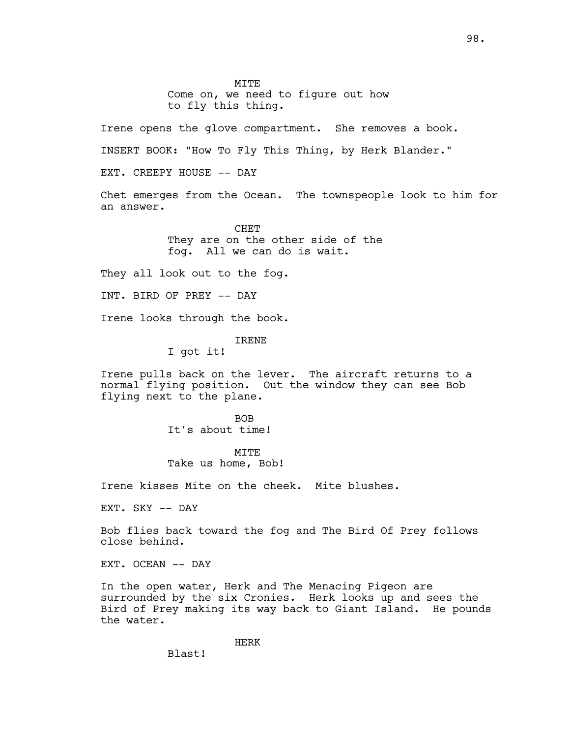Irene opens the glove compartment. She removes a book.

INSERT BOOK: "How To Fly This Thing, by Herk Blander."

EXT. CREEPY HOUSE -- DAY

Chet emerges from the Ocean. The townspeople look to him for an answer.

> CHET They are on the other side of the fog. All we can do is wait.

They all look out to the fog.

INT. BIRD OF PREY -- DAY

Irene looks through the book.

## IRENE

I got it!

Irene pulls back on the lever. The aircraft returns to a normal flying position. Out the window they can see Bob flying next to the plane.

> BOB It's about time!

MITE Take us home, Bob!

Irene kisses Mite on the cheek. Mite blushes.

EXT. SKY -- DAY

Bob flies back toward the fog and The Bird Of Prey follows close behind.

EXT. OCEAN -- DAY

In the open water, Herk and The Menacing Pigeon are surrounded by the six Cronies. Herk looks up and sees the Bird of Prey making its way back to Giant Island. He pounds the water.

HERK

Blast!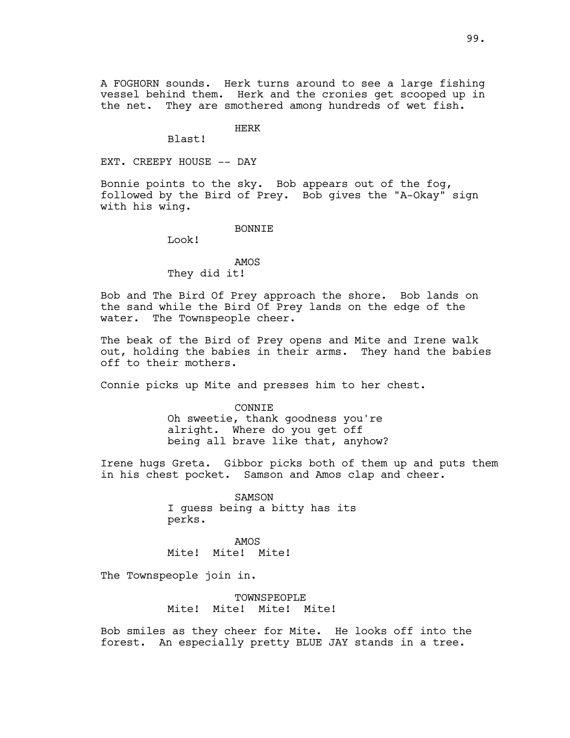A FOGHORN sounds. Herk turns around to see a large fishing vessel behind them. Herk and the cronies get scooped up in the net. They are smothered among hundreds of wet fish.

HERK

Blast!

EXT. CREEPY HOUSE -- DAY

Bonnie points to the sky. Bob appears out of the fog, followed by the Bird of Prey. Bob gives the "A-Okay" sign with his wing.

BONNIE

Look!

AMOS They did it!

Bob and The Bird Of Prey approach the shore. Bob lands on the sand while the Bird Of Prey lands on the edge of the water. The Townspeople cheer.

The beak of the Bird of Prey opens and Mite and Irene walk out, holding the babies in their arms. They hand the babies off to their mothers.

Connie picks up Mite and presses him to her chest.

CONNIE Oh sweetie, thank goodness you're alright. Where do you get off being all brave like that, anyhow?

Irene hugs Greta. Gibbor picks both of them up and puts them in his chest pocket. Samson and Amos clap and cheer.

> SAMSON I guess being a bitty has its perks.

AMOS Mite! Mite! Mite!

The Townspeople join in.

TOWNSPEOPLE Mite! Mite! Mite! Mite!

Bob smiles as they cheer for Mite. He looks off into the forest. An especially pretty BLUE JAY stands in a tree.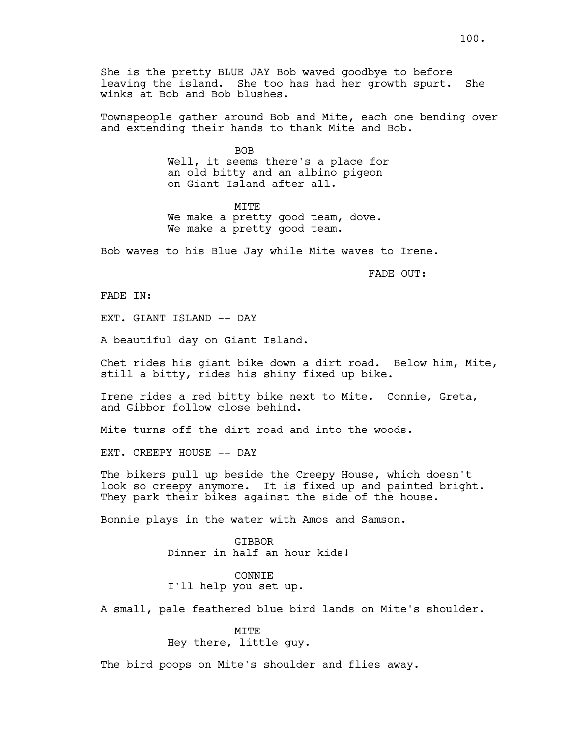She is the pretty BLUE JAY Bob waved goodbye to before leaving the island. She too has had her growth spurt. She winks at Bob and Bob blushes.

Townspeople gather around Bob and Mite, each one bending over and extending their hands to thank Mite and Bob.

> BOB Well, it seems there's a place for an old bitty and an albino pigeon on Giant Island after all.

**MTTE** We make a pretty good team, dove. We make a pretty good team.

Bob waves to his Blue Jay while Mite waves to Irene.

FADE OUT:

FADE IN:

EXT. GIANT ISLAND -- DAY

A beautiful day on Giant Island.

Chet rides his giant bike down a dirt road. Below him, Mite, still a bitty, rides his shiny fixed up bike.

Irene rides a red bitty bike next to Mite. Connie, Greta, and Gibbor follow close behind.

Mite turns off the dirt road and into the woods.

EXT. CREEPY HOUSE -- DAY

The bikers pull up beside the Creepy House, which doesn't look so creepy anymore. It is fixed up and painted bright. They park their bikes against the side of the house.

Bonnie plays in the water with Amos and Samson.

**GTBBOR** Dinner in half an hour kids!

CONNIE I'll help you set up.

A small, pale feathered blue bird lands on Mite's shoulder.

MITE Hey there, little guy.

The bird poops on Mite's shoulder and flies away.